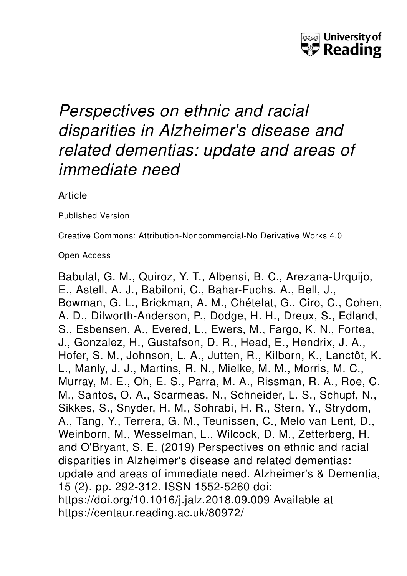

# *Perspectives on ethnic and racial disparities in Alzheimer's disease and related dementias: update and areas of immediate need*

**Article** 

Published Version

Creative Commons: Attribution-Noncommercial-No Derivative Works 4.0

Open Access

Babulal, G. M., Quiroz, Y. T., Albensi, B. C., Arezana-Urquijo, E., Astell, A. J., Babiloni, C., Bahar-Fuchs, A., Bell, J., Bowman, G. L., Brickman, A. M., Chételat, G., Ciro, C., Cohen, A. D., Dilworth-Anderson, P., Dodge, H. H., Dreux, S., Edland, S., Esbensen, A., Evered, L., Ewers, M., Fargo, K. N., Fortea, J., Gonzalez, H., Gustafson, D. R., Head, E., Hendrix, J. A., Hofer, S. M., Johnson, L. A., Jutten, R., Kilborn, K., Lanctôt, K. L., Manly, J. J., Martins, R. N., Mielke, M. M., Morris, M. C., Murray, M. E., Oh, E. S., Parra, M. A., Rissman, R. A., Roe, C. M., Santos, O. A., Scarmeas, N., Schneider, L. S., Schupf, N., Sikkes, S., Snyder, H. M., Sohrabi, H. R., Stern, Y., Strydom, A., Tang, Y., Terrera, G. M., Teunissen, C., Melo van Lent, D., Weinborn, M., Wesselman, L., Wilcock, D. M., Zetterberg, H. and O'Bryant, S. E. (2019) Perspectives on ethnic and racial disparities in Alzheimer's disease and related dementias: update and areas of immediate need. Alzheimer's & Dementia, 15 (2). pp. 292-312. ISSN 1552-5260 doi: https://doi.org/10.1016/j.jalz.2018.09.009 Available at https://centaur.reading.ac.uk/80972/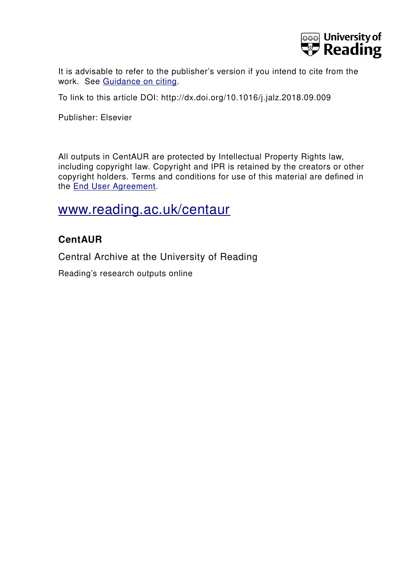

It is advisable to refer to the publisher's version if you intend to cite from the work. See [Guidance on citing.](http://centaur.reading.ac.uk/71187/10/CentAUR%20citing%20guide.pdf)

To link to this article DOI: http://dx.doi.org/10.1016/j.jalz.2018.09.009

Publisher: Elsevier

All outputs in CentAUR are protected by Intellectual Property Rights law, including copyright law. Copyright and IPR is retained by the creators or other copyright holders. Terms and conditions for use of this material are defined in the [End User Agreement.](http://centaur.reading.ac.uk/licence)

# [www.reading.ac.uk/centaur](http://www.reading.ac.uk/centaur)

### **CentAUR**

Central Archive at the University of Reading

Reading's research outputs online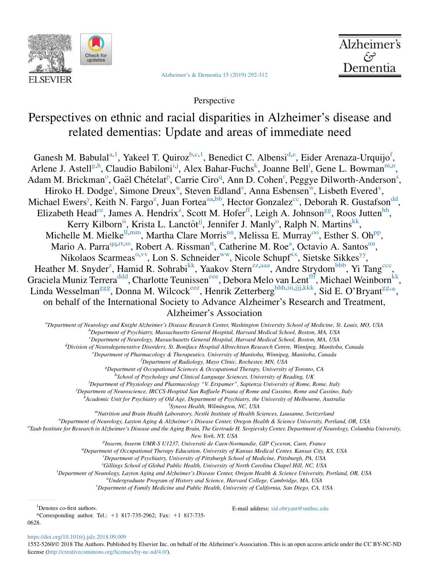

[Alzheimer's & Dementia 15 \(2019\) 292-312](https://doi.org/10.1016/j.jalz.2018.09.009)



Perspective

## Perspectives on ethnic and racial disparities in Alzheimer's disease and related dementias: Update and areas of immediate need

Ganesh M. Babulal<sup>a, 1</sup>, Yakeel T. Quiroz<sup>b,c, 1</sup>, Benedict C. Albensi<sup>d,e</sup>, Eider Arenaza-Urquijo<sup>f</sup>, Arlene J. Astell<sup>g,h</sup>, Claudio Babiloni<sup>i,j</sup>, Alex Bahar-Fuchs<sup>k</sup>, Joanne Bell<sup>1</sup>, Gene L. Bowman<sup>m,n</sup>, Adam M. Brickman<sup>o</sup>, Gaël Chételat<sup>p</sup>, Carrie Ciro<sup>q</sup>, Ann D. Cohen<sup>r</sup>, Peggye Dilworth-Anderson<sup>s</sup>, Hiroko H. Dodge<sup>t</sup>, Simone Dreux<sup>u</sup>, Steven Edland<sup>v</sup>, Anna Esbensen<sup>[w](#page-3-0)</sup>, Lisbeth Evered<sup>[x](#page-3-0)</sup>, Michael Ewers<sup>[y](#page-3-0)</sup>, Keith N. Fargo<sup>[z](#page-3-0)</sup>, Juan Fortea<sup>[aa](#page-3-0),[bb](#page-3-0)</sup>, Hector Gonzalez<sup>cc</sup>, Deborah R. Gustafson<sup>dd</sup>, Eli[z](#page-3-0)abeth Head<sup>ee</sup>, James A. Hendrix<sup>z</sup>, Scott M. Hofer<sup>[ff](#page-3-0)</sup>, Leigh A. Johnson<sup>gg</sup>, Roos Jutten<sup>hh</sup>, Kerry Kilborn<sup>ii</sup>, Krista L. Lanctôt<sup>jj</sup>, Jennifer J. Manly<sup>o</sup>, Ralph N. Martins<sup>kk</sup>, Michelle M. Mielke<sup>[ll,mm](#page-3-0)</sup>, Martha Clare Morris<sup>nn</sup>, Melissa E. Murray<sup>[oo](#page-3-0)</sup>, Esther S. Oh<sup>pp</sup>, Mario A. Parra<sup>qq,rr,ss</sup>, Robert A. Rissman<sup>tt</sup>, Catherine M. Roe<sup>a</sup>, Octavio A. Santos<sup>[uu](#page-3-0)</sup>, Nikolaos Scarmeas<sup>o,vv</sup>, Lon S. Schneider<sup>ww</sup>, Nicole Schupf<sup>xx</sup>, Sietske Sikkes<sup>yy</sup>, Heather M. Snyder<sup>[z](#page-3-0)</sup>, Hamid R. Sohrabi<sup>kk</sup>, Yaakov Stern<sup>[zz](#page-3-0),aaa</sup>, Andre Strydom<sup>bbb</sup>, Yi Tang<sup>ecc</sup>, Graciela Muniz Terrera<sup>[ddd](#page-3-0)</sup>, Charlotte Teunissen<sup>eee</sup>, Debora Melo van Lent<sup>[fff](#page-3-0)</sup>, Michael Weinborn<sup>kk</sup>, Linda Wesselman<sup>[ggg](#page-3-0)</sup>, Donna M. Wilcock<sup>eee</sup>, Henrik Zetterberg<sup>hhh,iii,jjj,kkk</sup>, Sid E. O'Bryant<sup>gg,\*</sup>, on behalf of the International Society to Advance Alzheimer's Research and Treatment, Alzheimer's Association

a<br>
a Department of Neurology and Knight Alzheimer's Disease Research Center, Washington University School of Medicine, St. Louis, MO, USA<br>
<sup>b</sup> Department of Brushistry, Massachusetts Canaral Hespital, Harvard Medical Schoo  $^{b}$ Department of Psychiatry, Massachusetts General Hospital, Harvard Medical School, Boston, MA, USA c Department of Neurology, Massachusetts General Hospital, Harvard Medical School, Boston, MA, USA

d<br>
Division of Neurodegenerative Disorders, St. Boniface Hospital Albrechtsen Research Centre, Winnipeg, Manitoba, Canada<br>
e Denastment of Pharmacology & Therapautics, University of Manitoba, Winnipeg, Manitoba, Canada

 $e^e$ Department of Pharmacology & Therapeutics, University of Manitoba, Winnipeg, Manitoba, Canada

<sup>f</sup>Department of Radiology, Mayo Clinic, Rochester, MN, USA

<sup>g</sup> Department of Occupational Sciences & Occupational Therapy, University of Toronto, CA  $h$  School of Peychology and Clinical Language Sciences, University of Peading, UK

 ${}^h$ School of Psychology and Clinical Language Sciences, University of Reading, UK

<sup>i</sup>Department of Physiology and Pharmacology "V. Erspamer", Sapienza University of Rome, Rome, Italy

j Department of Neuroscience, IRCCS-Hospital San Raffaele Pisana of Rome and Cassino, Rome and Cassino, Italy

<sup>k</sup> Academic Unit for Psychiatry of Old Age, Department of Psychiatry, the University of Melbourne, Australia<br><sup>1</sup>Syneos Haelth Wilmington, N.C. USA

Syneos Health, Wilmington, NC, USA<br>Nutrition and Brain Health Laboratory, Nestlé Institute of Health Sciences, Lausanne, Switzerland "<br>Dapartment of Naurology, Layton Aging & Alebeimar's Disease Center Orgaen Health & Scie

Department of Neurology, Layton Aging & Alzheimer's Disease Center, Oregon Health & Science University, Portland, OR, USA

<sup>o</sup>Taub Institute for Research in Alzheimer's Disease and the Aging Brain, The Gertrude H. Sergievsky Center, Department of Neurology, Columbia University,

New York, NY, USA<br>PInserm, Inserm UMR-S U1237, Université de Caen-Normandie, GIP Cyceron, Caen, France<br>PDapartment of Occupational Therapy Education, University of Kansas Medical Center Kansas City

 ${}^{q}$ Department of Occupational Therapy Education, University of Kansas Medical Center, Kansas City, KS, USA

Department of Psychiatry, University of Pittsburgh School of Medicine, Pittsburgh, PA, USA

<sup>s</sup>Gillings School of Global Public Health, University of North Carolina Chapel Hill, NC, USA<sup>t</sup><br>Congriment of Neurology, Layton Aging and Alzheimar's Disease Center Oregon Health & Science University

<sup>1</sup>Department of Neurology, Layton Aging and Alzheimer's Disease Center, Oregon Health & Science University, Portland, OR, USA

"Undergraduate Program of History and Science, Harvard College, Cambridge, MA, USA<br>"Department of Family Medicine and Bublic Health University of California, San Diego, CA

 $v$ Department of Family Medicine and Public Health, University of California, San Diego, CA, USA

1 Denotes co-first authors.

\*Corresponding author. Tel.:  $+1$  817-735-2962; Fax:  $+1$  817-735-0628.

E-mail address: [sid.obryant@unthsc.edu](mailto:sid.obryant@unthsc.edu)

<https://doi.org/10.1016/j.jalz.2018.09.009>

1552-5260/ 2018 The Authors. Published by Elsevier Inc. on behalf of the Alzheimer's Association. This is an open access article under the CC BY-NC-ND license ([http://creativecommons.org/licenses/by-nc-nd/4.0/\)](http://creativecommons.org/licenses/by-nc-nd/4.0/).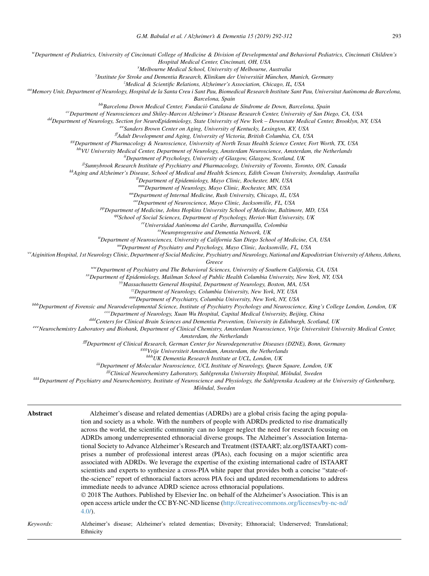<span id="page-3-0"></span>wDepartment of Pediatrics, University of Cincinnati College of Medicine & Division of Developmental and Behavioral Pediatrics, Cincinnati Children's Hospital Medical Center, Cincinnati, OH, USA

 $X^x$ Melbourne Medical School, University of Melbourne, Australia <sup>y</sup>Institute for Stroke and Dementia Research, Klinikum der Universität München, Munich, Germany Medical & Scientific Relations, Alzheimer's Association, Chicago, IL, USA aaMemory Unit, Department of Neurology, Hospital de la Santa Creu i Sant Pau, Biomedical Research Institute Sant Pau, Universitat Autònoma de Barcelona, Barcelona, Spain<br><sup>bb</sup>Barcelona Down Medical Center, Fundació Catalana de Síndrome de Down, Barcelona, Spain <sup>cc</sup>Department of Neurosciences and Shiley-Marcos Alzheimer's Disease Research Center, University of San Diego, CA, USA<br><sup>dd</sup>Department of Neurology, Section for NeuroEpidemiology, State University of New York – Downstate M  $^{ff}$ Adult Development and Aging, University of Victoria, British Columbia, CA, USA <sup>gg</sup>Department of Pharmacology & Neuroscience, University of North Texas Health Science Center, Fort Worth, TX, USA hhVU University Medical Center, Department of Neurology, Amsterdam Neuroscience, Amsterdam, the Netherlands<br>iiDepartment of Psychology, University of Glasgow, Glasgow, Scotland, UK <sup>jj</sup>Sunnybrook Research Institute of Psychiatry and Pharmacology, University of Toronto, Toronto, ON, Canada <sup>kk</sup>Aging and Alzheimer's Disease, School of Medical and Health Sciences, Edith Cowan University, Joondalup, Australia<br><sup>ll</sup>Department of Epidemiology, Mayo Clinic, Rochester, MN, USA mm Department of Neurology, Mayo Clinic, Rochester, MN, USA nnDepartment of Internal Medicine, Rush University, Chicago, IL, USA <sup>oo</sup>Department of Neuroscience, Mayo Clinic, Jacksonville, FL, USA<br><sup>PP</sup>Department of Medicine, Johns Hopkins University School of Medicine, Baltimore, MD, USA<br><sup>99</sup>School of Social Sciences, Department of Psychology, Heriot <sup>rr</sup>Universidad Autónoma del Caribe, Barranquilla, Colombia <sup>58</sup>Neuroprogressive and Dementia Network, UK<br><sup>*a*</sup>Department of Neurosciences, University of California San Diego School of Medicine, CA, USA<br><sup>44</sup> *<sup>44</sup>Department of Psychiatry and Psychology, Mayo Clinic, Jacksonville, F* <sup>vy</sup>Aiginition Hospital, 1st Neurology Clinic, Department of Social Medicine, Psychiatry and Neurology, National and Kapodistrian University of Athens, Athens, Greece<br>wwDepartment of Psychiatry and The Behavioral Sciences, University of Southern California, CA, USA<br>xxDepartment of Epidemiology, Mailman School of Public Health Columbia University, New York, NY, USA yyMassachusetts General Hospital, Department of Neurology, Boston, MA, USA<br><sup>zz</sup>Department of Neurology, Columbia University, New York, NY, USA<br><sup>aaa</sup>Department of Psychiatry, Columbia University, New York, NY, USA bbb Department of Forensic and Neurodevelopmental Science, Institute of Psychiatry Psychology and Neuroscience, King's College London, London, UK<br><sup>ccc</sup>Department of Neurology, Xuan Wu Hospital, Capital Medical University, Amsterdam, the Netherlands fffDepartment of Clinical Research, German Center for Neurodegenerative Diseases (DZNE), Bonn, Germany gggVrije Universiteit Amsterdam, Amsterdam, the Netherlands  $^{hhh}$ UK Dementia Research Institute at UCL, London, UK iiiDepartment of Molecular Neuroscience, UCL Institute of Neurology, Queen Square, London, UK Clinical Neurochemistry Laboratory, Sahlgrenska University Hospital, Mölndal, Sweden <sup>ijj</sup> Clinical Neurochemistry Laboratory, Sahlgrenska University Hospital, Mölndal, Sweden<br>Bepartment of Psychiatry and Neurochemistry, I

Mölndal, Sweden

| Abstract  | Alzheimer's disease and related dementias (ADRDs) are a global crisis facing the aging popula-<br>tion and society as a whole. With the numbers of people with ADRDs predicted to rise dramatically<br>across the world, the scientific community can no longer neglect the need for research focusing on<br>ADRDs among underrepresented ethnoracial diverse groups. The Alzheimer's Association Interna-<br>tional Society to Advance Alzheimer's Research and Treatment (ISTAART; alz.org/ISTAART) com-<br>prises a number of professional interest areas (PIAs), each focusing on a major scientific area<br>associated with ADRDs. We leverage the expertise of the existing international cadre of ISTAART<br>scientists and experts to synthesize a cross-PIA white paper that provides both a concise "state-of-<br>the-science" report of ethnoracial factors across PIA foci and updated recommendations to address<br>immediate needs to advance ADRD science across ethnoracial populations.<br>© 2018 The Authors. Published by Elsevier Inc. on behalf of the Alzheimer's Association. This is an<br>open access article under the CC BY-NC-ND license (http://creativecommons.org/licenses/by-nc-nd/<br>$4.0/$ ). |
|-----------|----------------------------------------------------------------------------------------------------------------------------------------------------------------------------------------------------------------------------------------------------------------------------------------------------------------------------------------------------------------------------------------------------------------------------------------------------------------------------------------------------------------------------------------------------------------------------------------------------------------------------------------------------------------------------------------------------------------------------------------------------------------------------------------------------------------------------------------------------------------------------------------------------------------------------------------------------------------------------------------------------------------------------------------------------------------------------------------------------------------------------------------------------------------------------------------------------------------------------------|
| Keywords: | Alzheimer's disease; Alzheimer's related dementias; Diversity; Ethnoracial; Underserved; Translational;<br>Ethnicity                                                                                                                                                                                                                                                                                                                                                                                                                                                                                                                                                                                                                                                                                                                                                                                                                                                                                                                                                                                                                                                                                                             |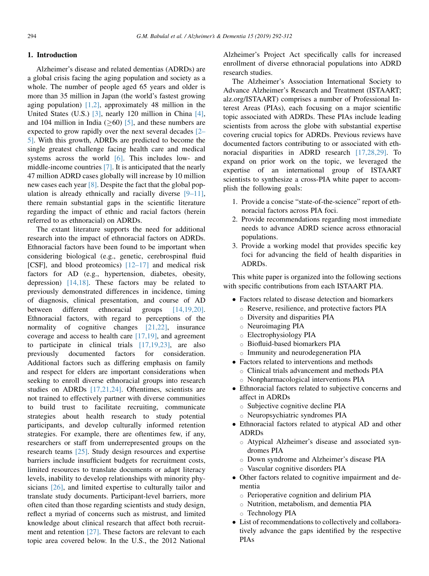#### 1. Introduction

Alzheimer's disease and related dementias (ADRDs) are a global crisis facing the aging population and society as a whole. The number of people aged 65 years and older is more than 35 million in Japan (the world's fastest growing aging population) [\[1,2\],](#page-15-0) approximately 48 million in the United States (U.S.) [\[3\],](#page-16-0) nearly 120 million in China [\[4\],](#page-16-0) and 104 million in India ( $\geq$ 60) [\[5\],](#page-16-0) and these numbers are expected to grow rapidly over the next several decades [\[2–](#page-15-0) [5\]](#page-15-0). With this growth, ADRDs are predicted to become the single greatest challenge facing health care and medical systems across the world  $[6]$ . This includes low- and middle-income countries [\[7\].](#page-16-0) It is anticipated that the nearly 47 million ADRD cases globally will increase by 10 million new cases each year [\[8\]](#page-16-0). Despite the fact that the global population is already ethnically and racially diverse  $[9-11]$ , there remain substantial gaps in the scientific literature regarding the impact of ethnic and racial factors (herein referred to as ethnoracial) on ADRDs.

The extant literature supports the need for additional research into the impact of ethnoracial factors on ADRDs. Ethnoracial factors have been found to be important when considering biological (e.g., genetic, cerebrospinal fluid [CSF], and blood proteomics)  $[12-17]$  and medical risk factors for AD (e.g., hypertension, diabetes, obesity, depression)  $[14,18]$ . These factors may be related to previously demonstrated differences in incidence, timing of diagnosis, clinical presentation, and course of AD between different ethnoracial groups [\[14,19,20\].](#page-16-0) Ethnoracial factors, with regard to perceptions of the normality of cognitive changes [\[21,22\],](#page-16-0) insurance coverage and access to health care  $[17,19]$ , and agreement to participate in clinical trials [\[17,19,23\]](#page-16-0), are also previously documented factors for consideration. Additional factors such as differing emphasis on family and respect for elders are important considerations when seeking to enroll diverse ethnoracial groups into research studies on ADRDs [\[17,21,24\].](#page-16-0) Oftentimes, scientists are not trained to effectively partner with diverse communities to build trust to facilitate recruiting, communicate strategies about health research to study potential participants, and develop culturally informed retention strategies. For example, there are oftentimes few, if any, researchers or staff from underrepresented groups on the research teams [\[25\].](#page-16-0) Study design resources and expertise barriers include insufficient budgets for recruitment costs, limited resources to translate documents or adapt literacy levels, inability to develop relationships with minority phy-sicians [\[26\],](#page-16-0) and limited expertise to culturally tailor and translate study documents. Participant-level barriers, more often cited than those regarding scientists and study design, reflect a myriad of concerns such as mistrust, and limited knowledge about clinical research that affect both recruitment and retention [\[27\]](#page-16-0). These factors are relevant to each topic area covered below. In the U.S., the 2012 National

Alzheimer's Project Act specifically calls for increased enrollment of diverse ethnoracial populations into ADRD research studies.

The Alzheimer's Association International Society to Advance Alzheimer's Research and Treatment (ISTAART; alz.org/ISTAART) comprises a number of Professional Interest Areas (PIAs), each focusing on a major scientific topic associated with ADRDs. These PIAs include leading scientists from across the globe with substantial expertise covering crucial topics for ADRDs. Previous reviews have documented factors contributing to or associated with ethnoracial disparities in ADRD research [\[17,28,29\]](#page-16-0). To expand on prior work on the topic, we leveraged the expertise of an international group of ISTAART scientists to synthesize a cross-PIA white paper to accomplish the following goals:

- 1. Provide a concise "state-of-the-science" report of ethnoracial factors across PIA foci.
- 2. Provide recommendations regarding most immediate needs to advance ADRD science across ethnoracial populations.
- 3. Provide a working model that provides specific key foci for advancing the field of health disparities in ADRDs.

This white paper is organized into the following sections with specific contributions from each ISTAART PIA.

- Factors related to disease detection and biomarkers o Reserve, resilience, and protective factors PIA
	- $\circ$  Diversity and disparities PIA
	- $\circ$  Neuroimaging PIA
	- $\circ$  Electrophysiology PIA
	- o Biofluid-based biomarkers PIA
	- o Immunity and neurodegeneration PIA
- Factors related to interventions and methods
	- o Clinical trials advancement and methods PIA
	- o Nonpharmacological interventions PIA
- Ethnoracial factors related to subjective concerns and affect in ADRDs
	- $\circ$  Subjective cognitive decline PIA
	- $\circ$  Neuropsychiatric syndromes PIA
- Ethnoracial factors related to atypical AD and other ADRDs
	- o Atypical Alzheimer's disease and associated syndromes PIA
	- o Down syndrome and Alzheimer's disease PIA
	- $\circ$  Vascular cognitive disorders PIA
- Other factors related to cognitive impairment and dementia
	- $\circ$  Perioperative cognition and delirium PIA
	- o Nutrition, metabolism, and dementia PIA
	- $\circ$  Technology PIA
- List of recommendations to collectively and collaboratively advance the gaps identified by the respective PIAs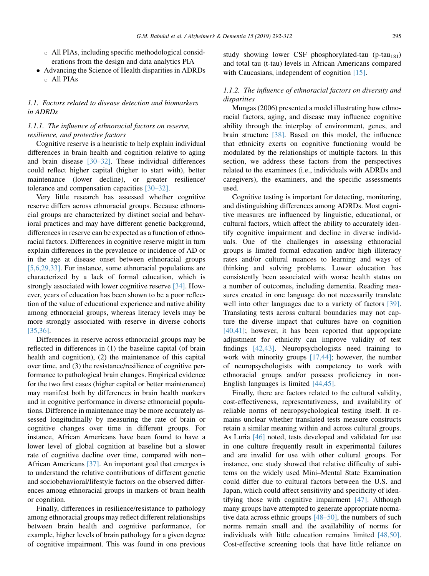- $\circ$  All PIAs, including specific methodological considerations from the design and data analytics PIA
- Advancing the Science of Health disparities in ADRDs  $\circ$  All PIAs

#### 1.1. Factors related to disease detection and biomarkers in ADRDs

#### 1.1.1. The influence of ethnoracial factors on reserve, resilience, and protective factors

Cognitive reserve is a heuristic to help explain individual differences in brain health and cognition relative to aging and brain disease  $[30-32]$ . These individual differences could reflect higher capital (higher to start with), better maintenance (lower decline), or greater resilience/ tolerance and compensation capacities [\[30–32\]](#page-16-0).

Very little research has assessed whether cognitive reserve differs across ethnoracial groups. Because ethnoracial groups are characterized by distinct social and behavioral practices and may have different genetic background, differences in reserve can be expected as a function of ethnoracial factors. Differences in cognitive reserve might in turn explain differences in the prevalence or incidence of AD or in the age at disease onset between ethnoracial groups [\[5,6,29,33\]](#page-16-0). For instance, some ethnoracial populations are characterized by a lack of formal education, which is strongly associated with lower cognitive reserve [\[34\].](#page-16-0) However, years of education has been shown to be a poor reflection of the value of educational experience and native ability among ethnoracial groups, whereas literacy levels may be more strongly associated with reserve in diverse cohorts [\[35,36\]](#page-16-0).

Differences in reserve across ethnoracial groups may be reflected in differences in (1) the baseline capital (of brain health and cognition), (2) the maintenance of this capital over time, and (3) the resistance/resilience of cognitive performance to pathological brain changes. Empirical evidence for the two first cases (higher capital or better maintenance) may manifest both by differences in brain health markers and in cognitive performance in diverse ethnoracial populations. Difference in maintenance may be more accurately assessed longitudinally by measuring the rate of brain or cognitive changes over time in different groups. For instance, African Americans have been found to have a lower level of global cognition at baseline but a slower rate of cognitive decline over time, compared with non– African Americans [\[37\]](#page-16-0). An important goal that emerges is to understand the relative contributions of different genetic and sociobehavioral/lifestyle factors on the observed differences among ethnoracial groups in markers of brain health or cognition.

Finally, differences in resilience/resistance to pathology among ethnoracial groups may reflect different relationships between brain health and cognitive performance, for example, higher levels of brain pathology for a given degree of cognitive impairment. This was found in one previous study showing lower CSF phosphorylated-tau (p-tau<sub>181</sub>) and total tau (t-tau) levels in African Americans compared with Caucasians, independent of cognition [\[15\].](#page-16-0)

#### 1.1.2. The influence of ethnoracial factors on diversity and disparities

Mungas (2006) presented a model illustrating how ethnoracial factors, aging, and disease may influence cognitive ability through the interplay of environment, genes, and brain structure [\[38\].](#page-16-0) Based on this model, the influence that ethnicity exerts on cognitive functioning would be modulated by the relationships of multiple factors. In this section, we address these factors from the perspectives related to the examinees (i.e., individuals with ADRDs and caregivers), the examiners, and the specific assessments used.

Cognitive testing is important for detecting, monitoring, and distinguishing differences among ADRDs. Most cognitive measures are influenced by linguistic, educational, or cultural factors, which affect the ability to accurately identify cognitive impairment and decline in diverse individuals. One of the challenges in assessing ethnoracial groups is limited formal education and/or high illiteracy rates and/or cultural nuances to learning and ways of thinking and solving problems. Lower education has consistently been associated with worse health status on a number of outcomes, including dementia. Reading measures created in one language do not necessarily translate well into other languages due to a variety of factors [\[39\].](#page-16-0) Translating tests across cultural boundaries may not capture the diverse impact that cultures have on cognition [\[40,41\]](#page-16-0); however, it has been reported that appropriate adjustment for ethnicity can improve validity of test findings [\[42,43\].](#page-16-0) Neuropsychologists need training to work with minority groups [\[17,44\]](#page-16-0); however, the number of neuropsychologists with competency to work with ethnoracial groups and/or possess proficiency in non-English languages is limited [\[44,45\].](#page-16-0)

Finally, there are factors related to the cultural validity, cost-effectiveness, representativeness, and availability of reliable norms of neuropsychological testing itself. It remains unclear whether translated tests measure constructs retain a similar meaning within and across cultural groups. As Luria [\[46\]](#page-16-0) noted, tests developed and validated for use in one culture frequently result in experimental failures and are invalid for use with other cultural groups. For instance, one study showed that relative difficulty of subitems on the widely used Mini–Mental State Examination could differ due to cultural factors between the U.S. and Japan, which could affect sensitivity and specificity of identifying those with cognitive impairment [\[47\]](#page-17-0). Although many groups have attempted to generate appropriate normative data across ethnic groups [\[48–50\],](#page-17-0) the numbers of such norms remain small and the availability of norms for individuals with little education remains limited [\[48,50\].](#page-17-0) Cost-effective screening tools that have little reliance on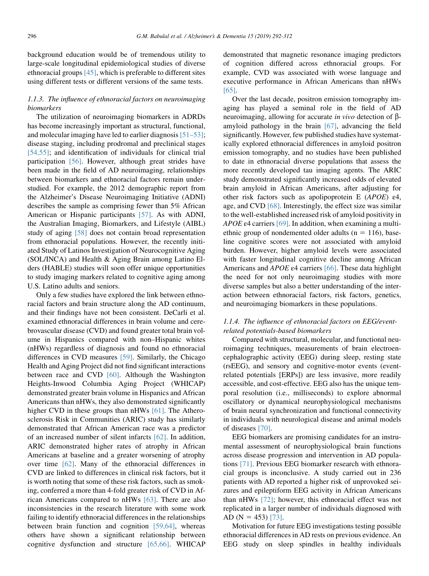background education would be of tremendous utility to large-scale longitudinal epidemiological studies of diverse ethnoracial groups  $[45]$ , which is preferable to different sites using different tests or different versions of the same tests.

#### 1.1.3. The influence of ethnoracial factors on neuroimaging biomarkers

The utilization of neuroimaging biomarkers in ADRDs has become increasingly important as structural, functional, and molecular imaging have led to earlier diagnosis[\[51–53\]](#page-17-0); disease staging, including prodromal and preclinical stages [\[54,55\]](#page-17-0); and identification of individuals for clinical trial participation [\[56\]](#page-17-0). However, although great strides have been made in the field of AD neuroimaging, relationships between biomarkers and ethnoracial factors remain understudied. For example, the 2012 demographic report from the Alzheimer's Disease Neuroimaging Initiative (ADNI) describes the sample as comprising fewer than 5% African American or Hispanic participants [\[57\].](#page-17-0) As with ADNI, the Australian Imaging, Biomarkers, and Lifestyle (AIBL) study of aging [\[58\]](#page-17-0) does not contain broad representation from ethnoracial populations. However, the recently initiated Study of Latinos Investigation of Neurocognitive Aging (SOL/INCA) and Health & Aging Brain among Latino Elders (HABLE) studies will soon offer unique opportunities to study imaging markers related to cognitive aging among U.S. Latino adults and seniors.

Only a few studies have explored the link between ethnoracial factors and brain structure along the AD continuum, and their findings have not been consistent. DeCarli et al. examined ethnoracial differences in brain volume and cerebrovascular disease (CVD) and found greater total brain volume in Hispanics compared with non–Hispanic whites (nHWs) regardless of diagnosis and found no ethnoracial differences in CVD measures [\[59\]](#page-17-0). Similarly, the Chicago Health and Aging Project did not find significant interactions between race and CVD [\[60\]](#page-17-0). Although the Washington Heights-Inwood Columbia Aging Project (WHICAP) demonstrated greater brain volume in Hispanics and African Americans than nHWs, they also demonstrated significantly higher CVD in these groups than nHWs [\[61\].](#page-17-0) The Atherosclerosis Risk in Communities (ARIC) study has similarly demonstrated that African American race was a predictor of an increased number of silent infarcts [\[62\]](#page-17-0). In addition, ARIC demonstrated higher rates of atrophy in African Americans at baseline and a greater worsening of atrophy over time [\[62\]](#page-17-0). Many of the ethnoracial differences in CVD are linked to differences in clinical risk factors, but it is worth noting that some of these risk factors, such as smoking, conferred a more than 4-fold greater risk of CVD in African Americans compared to nHWs [\[63\].](#page-17-0) There are also inconsistencies in the research literature with some work failing to identify ethnoracial differences in the relationships between brain function and cognition [\[59,64\],](#page-17-0) whereas others have shown a significant relationship between cognitive dysfunction and structure [\[65,66\]](#page-17-0). WHICAP demonstrated that magnetic resonance imaging predictors of cognition differed across ethnoracial groups. For example, CVD was associated with worse language and executive performance in African Americans than nHWs [\[65\].](#page-17-0)

Over the last decade, positron emission tomography imaging has played a seminal role in the field of AD neuroimaging, allowing for accurate in vivo detection of  $\beta$ amyloid pathology in the brain [\[67\]](#page-17-0), advancing the field significantly. However, few published studies have systematically explored ethnoracial differences in amyloid positron emission tomography, and no studies have been published to date in ethnoracial diverse populations that assess the more recently developed tau imaging agents. The ARIC study demonstrated significantly increased odds of elevated brain amyloid in African Americans, after adjusting for other risk factors such as apolipoprotein E (APOE) ε4, age, and CVD [\[68\].](#page-17-0) Interestingly, the effect size was similar to the well-established increased risk of amyloid positivity in APOE ε4 carriers [\[69\].](#page-17-0) In addition, when examining a multiethnic group of nondemented older adults ( $n = 116$ ), baseline cognitive scores were not associated with amyloid burden. However, higher amyloid levels were associated with faster longitudinal cognitive decline among African Americans and APOE ε4 carriers [\[66\]](#page-17-0). These data highlight the need for not only neuroimaging studies with more diverse samples but also a better understanding of the interaction between ethnoracial factors, risk factors, genetics, and neuroimaging biomarkers in these populations.

#### 1.1.4. The influence of ethnoracial factors on EEG/eventrelated potentials-based biomarkers

Compared with structural, molecular, and functional neuroimaging techniques, measurements of brain electroencephalographic activity (EEG) during sleep, resting state (rsEEG), and sensory and cognitive-motor events (eventrelated potentials [ERPs]) are less invasive, more readily accessible, and cost-effective. EEG also has the unique temporal resolution (i.e., milliseconds) to explore abnormal oscillatory or dynamical neurophysiological mechanisms of brain neural synchronization and functional connectivity in individuals with neurological disease and animal models of diseases [\[70\]](#page-17-0).

EEG biomarkers are promising candidates for an instrumental assessment of neurophysiological brain functions across disease progression and intervention in AD populations [\[71\].](#page-17-0) Previous EEG biomarker research with ethnoracial groups is inconclusive. A study carried out in 236 patients with AD reported a higher risk of unprovoked seizures and epileptiform EEG activity in African Americans than nHWs [\[72\]](#page-17-0); however, this ethnoracial effect was not replicated in a larger number of individuals diagnosed with AD  $(N = 453)$  [\[73\]](#page-17-0).

Motivation for future EEG investigations testing possible ethnoracial differences in AD rests on previous evidence. An EEG study on sleep spindles in healthy individuals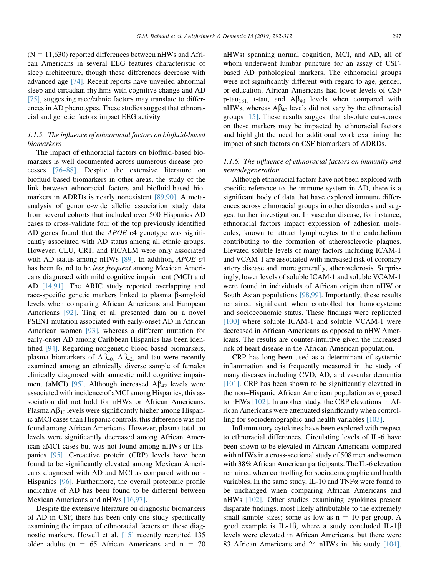$(N = 11,630)$  reported differences between nHWs and African Americans in several EEG features characteristic of sleep architecture, though these differences decrease with advanced age [\[74\]](#page-17-0). Recent reports have unveiled abnormal sleep and circadian rhythms with cognitive change and AD [\[75\],](#page-17-0) suggesting race/ethnic factors may translate to differences in AD phenotypes. These studies suggest that ethnoracial and genetic factors impact EEG activity.

#### 1.1.5. The influence of ethnoracial factors on biofluid-based biomarkers

The impact of ethnoracial factors on biofluid-based biomarkers is well documented across numerous disease processes [\[76–88\]](#page-17-0). Despite the extensive literature on biofluid-based biomarkers in other areas, the study of the link between ethnoracial factors and biofluid-based bio-markers in ADRDs is nearly nonexistent [\[89,90\].](#page-18-0) A metaanalysis of genome-wide allelic association study data from several cohorts that included over 500 Hispanics AD cases to cross-validate four of the top previously identified AD genes found that the  $APOE$  ε4 genotype was significantly associated with AD status among all ethnic groups. However, CLU, CR1, and PICALM were only associated with AD status among nHWs [\[89\].](#page-18-0) In addition,  $APOE$  ε4 has been found to be *less frequent* among Mexican Americans diagnosed with mild cognitive impairment (MCI) and AD [\[14,91\].](#page-16-0) The ARIC study reported overlapping and race-specific genetic markers linked to plasma  $\beta$ -amyloid levels when comparing African Americans and European Americans [\[92\]](#page-18-0). Ting et al. presented data on a novel PSEN1 mutation associated with early-onset AD in African American women [\[93\],](#page-18-0) whereas a different mutation for early-onset AD among Caribbean Hispanics has been identified [\[94\].](#page-18-0) Regarding nongenetic blood-based biomarkers, plasma biomarkers of  $A\beta_{40}$ ,  $A\beta_{42}$ , and tau were recently examined among an ethnically diverse sample of females clinically diagnosed with amnestic mild cognitive impair-ment (aMCI) [\[95\].](#page-18-0) Although increased  $A\beta_{42}$  levels were associated with incidence of aMCI among Hispanics, this association did not hold for nHWs or African Americans. Plasma  $A\beta_{40}$  levels were significantly higher among Hispanic aMCI cases than Hispanic controls; this difference was not found among African Americans. However, plasma total tau levels were significantly decreased among African American aMCI cases but was not found among nHWs or Hispanics [\[95\].](#page-18-0) C-reactive protein (CRP) levels have been found to be significantly elevated among Mexican Americans diagnosed with AD and MCI as compared with non-Hispanics [\[96\].](#page-18-0) Furthermore, the overall proteomic profile indicative of AD has been found to be different between Mexican Americans and nHWs [\[16,97\]](#page-16-0).

Despite the extensive literature on diagnostic biomarkers of AD in CSF, there has been only one study specifically examining the impact of ethnoracial factors on these diagnostic markers. Howell et al. [\[15\]](#page-16-0) recently recruited 135 older adults ( $n = 65$  African Americans and  $n = 70$  nHWs) spanning normal cognition, MCI, and AD, all of whom underwent lumbar puncture for an assay of CSFbased AD pathological markers. The ethnoracial groups were not significantly different with regard to age, gender, or education. African Americans had lower levels of CSF p-tau<sub>181</sub>, t-tau, and  $A\beta_{40}$  levels when compared with nHWs, whereas  $A\beta_{42}$  levels did not vary by the ethnoracial groups [\[15\]](#page-16-0). These results suggest that absolute cut-scores on these markers may be impacted by ethnoracial factors and highlight the need for additional work examining the impact of such factors on CSF biomarkers of ADRDs.

#### 1.1.6. The influence of ethnoracial factors on immunity and neurodegeneration

Although ethnoracial factors have not been explored with specific reference to the immune system in AD, there is a significant body of data that have explored immune differences across ethnoracial groups in other disorders and suggest further investigation. In vascular disease, for instance, ethnoracial factors impact expression of adhesion molecules, known to attract lymphocytes to the endothelium contributing to the formation of atherosclerotic plaques. Elevated soluble levels of many factors including ICAM-1 and VCAM-1 are associated with increased risk of coronary artery disease and, more generally, atherosclerosis. Surprisingly, lower levels of soluble ICAM-1 and soluble VCAM-1 were found in individuals of African origin than nHW or South Asian populations [\[98,99\]](#page-18-0). Importantly, these results remained significant when controlled for homocysteine and socioeconomic status. These findings were replicated [\[100\]](#page-18-0) where soluble ICAM-1 and soluble VCAM-1 were decreased in African Americans as opposed to nHW Americans. The results are counter-intuitive given the increased risk of heart disease in the African American population.

CRP has long been used as a determinant of systemic inflammation and is frequently measured in the study of many diseases including CVD, AD, and vascular dementia [\[101\].](#page-18-0) CRP has been shown to be significantly elevated in the non–Hispanic African American population as opposed to nHWs [\[102\]](#page-18-0). In another study, the CRP elevations in African Americans were attenuated significantly when controlling for sociodemographic and health variables [\[103\].](#page-18-0)

Inflammatory cytokines have been explored with respect to ethnoracial differences. Circulating levels of IL-6 have been shown to be elevated in African Americans compared with nHWs in a cross-sectional study of 508 men and women with 38% African American participants. The IL-6 elevation remained when controlling for sociodemographic and health variables. In the same study, IL-10 and TNF $\alpha$  were found to be unchanged when comparing African Americans and nHWs [\[102\]](#page-18-0). Other studies examining cytokines present disparate findings, most likely attributable to the extremely small sample sizes; some as low as  $n = 10$  per group. A good example is IL-1 $\beta$ , where a study concluded IL-1 $\beta$ levels were elevated in African Americans, but there were 83 African Americans and 24 nHWs in this study [\[104\].](#page-18-0)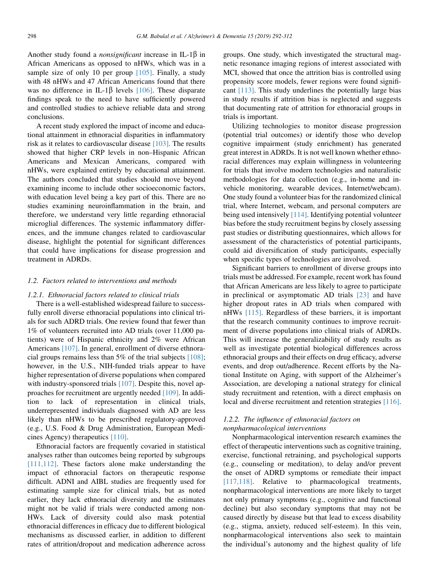Another study found a *nonsignificant* increase in IL-1 $\beta$  in African Americans as opposed to nHWs, which was in a sample size of only 10 per group  $[105]$ . Finally, a study with 48 nHWs and 47 African Americans found that there was no difference in IL-1 $\beta$  levels [\[106\].](#page-18-0) These disparate findings speak to the need to have sufficiently powered and controlled studies to achieve reliable data and strong conclusions.

A recent study explored the impact of income and educational attainment in ethnoracial disparities in inflammatory risk as it relates to cardiovascular disease [\[103\].](#page-18-0) The results showed that higher CRP levels in non–Hispanic African Americans and Mexican Americans, compared with nHWs, were explained entirely by educational attainment. The authors concluded that studies should move beyond examining income to include other socioeconomic factors, with education level being a key part of this. There are no studies examining neuroinflammation in the brain, and therefore, we understand very little regarding ethnoracial microglial differences. The systemic inflammatory differences, and the immune changes related to cardiovascular disease, highlight the potential for significant differences that could have implications for disease progression and treatment in ADRDs.

#### 1.2. Factors related to interventions and methods

#### 1.2.1. Ethnoracial factors related to clinical trials

There is a well-established widespread failure to successfully enroll diverse ethnoracial populations into clinical trials for such ADRD trials. One review found that fewer than 1% of volunteers recruited into AD trials (over 11,000 patients) were of Hispanic ethnicity and 2% were African Americans [\[107\]](#page-18-0). In general, enrollment of diverse ethnoracial groups remains less than 5% of the trial subjects [\[108\]](#page-18-0); however, in the U.S., NIH-funded trials appear to have higher representation of diverse populations when compared with industry-sponsored trials [\[107\].](#page-18-0) Despite this, novel approaches for recruitment are urgently needed [\[109\].](#page-18-0) In addition to lack of representation in clinical trials, underrepresented individuals diagnosed with AD are less likely than nHWs to be prescribed regulatory-approved (e.g., U.S. Food & Drug Administration, European Medicines Agency) therapeutics [\[110\]](#page-18-0).

Ethnoracial factors are frequently covaried in statistical analyses rather than outcomes being reported by subgroups [\[111,112\]](#page-18-0). These factors alone make understanding the impact of ethnoracial factors on therapeutic response difficult. ADNI and AIBL studies are frequently used for estimating sample size for clinical trials, but as noted earlier, they lack ethnoracial diversity and the estimates might not be valid if trials were conducted among non-HWs. Lack of diversity could also mask potential ethnoracial differences in efficacy due to different biological mechanisms as discussed earlier, in addition to different rates of attrition/dropout and medication adherence across groups. One study, which investigated the structural magnetic resonance imaging regions of interest associated with MCI, showed that once the attrition bias is controlled using propensity score models, fewer regions were found significant [\[113\].](#page-18-0) This study underlines the potentially large bias in study results if attrition bias is neglected and suggests that documenting rate of attrition for ethnoracial groups in trials is important.

Utilizing technologies to monitor disease progression (potential trial outcomes) or identify those who develop cognitive impairment (study enrichment) has generated great interest in ADRDs. It is not well known whether ethnoracial differences may explain willingness in volunteering for trials that involve modern technologies and naturalistic methodologies for data collection (e.g., in-home and invehicle monitoring, wearable devices, Internet/webcam). One study found a volunteer bias for the randomized clinical trial, where Internet, webcam, and personal computers are being used intensively [\[114\]](#page-18-0). Identifying potential volunteer bias before the study recruitment begins by closely assessing past studies or distributing questionnaires, which allows for assessment of the characteristics of potential participants, could aid diversification of study participants, especially when specific types of technologies are involved.

Significant barriers to enrollment of diverse groups into trials must be addressed. For example, recent work has found that African Americans are less likely to agree to participate in preclinical or asymptomatic AD trials [\[23\]](#page-16-0) and have higher dropout rates in AD trials when compared with nHWs [\[115\]](#page-18-0). Regardless of these barriers, it is important that the research community continues to improve recruitment of diverse populations into clinical trials of ADRDs. This will increase the generalizability of study results as well as investigate potential biological differences across ethnoracial groups and their effects on drug efficacy, adverse events, and drop out/adherence. Recent efforts by the National Institute on Aging, with support of the Alzheimer's Association, are developing a national strategy for clinical study recruitment and retention, with a direct emphasis on local and diverse recruitment and retention strategies [\[116\].](#page-18-0)

#### 1.2.2. The influence of ethnoracial factors on nonpharmacological interventions

Nonpharmacological intervention research examines the effect of therapeutic interventions such as cognitive training, exercise, functional retraining, and psychological supports (e.g., counseling or meditation), to delay and/or prevent the onset of ADRD symptoms or remediate their impact [\[117,118\]](#page-18-0). Relative to pharmacological treatments, nonpharmacological interventions are more likely to target not only primary symptoms (e.g., cognitive and functional decline) but also secondary symptoms that may not be caused directly by disease but that lead to excess disability (e.g., stigma, anxiety, reduced self-esteem). In this vein, nonpharmacological interventions also seek to maintain the individual's autonomy and the highest quality of life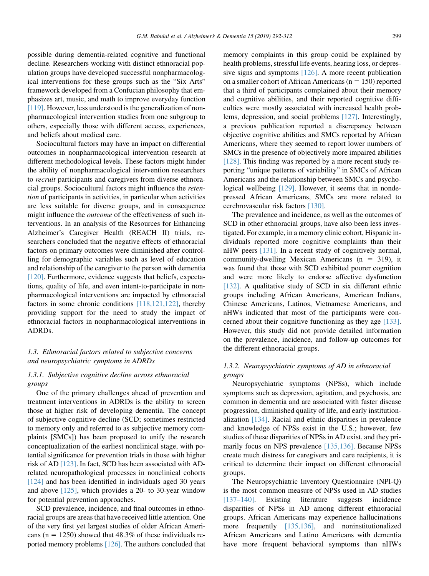possible during dementia-related cognitive and functional decline. Researchers working with distinct ethnoracial population groups have developed successful nonpharmacological interventions for these groups such as the "Six Arts" framework developed from a Confucian philosophy that emphasizes art, music, and math to improve everyday function [\[119\].](#page-18-0) However, less understood is the generalization of nonpharmacological intervention studies from one subgroup to others, especially those with different access, experiences, and beliefs about medical care.

Sociocultural factors may have an impact on differential outcomes in nonpharmacological intervention research at different methodological levels. These factors might hinder the ability of nonpharmacological intervention researchers to recruit participants and caregivers from diverse ethnoracial groups. Sociocultural factors might influence the retention of participants in activities, in particular when activities are less suitable for diverse groups, and in consequence might influence the *outcome* of the effectiveness of such interventions. In an analysis of the Resources for Enhancing Alzheimer's Caregiver Health (REACH II) trials, researchers concluded that the negative effects of ethnoracial factors on primary outcomes were diminished after controlling for demographic variables such as level of education and relationship of the caregiver to the person with dementia [\[120\].](#page-19-0) Furthermore, evidence suggests that beliefs, expectations, quality of life, and even intent-to-participate in nonpharmacological interventions are impacted by ethnoracial factors in some chronic conditions [\[118,121,122\],](#page-18-0) thereby providing support for the need to study the impact of ethnoracial factors in nonpharmacological interventions in ADRDs.

#### 1.3. Ethnoracial factors related to subjective concerns and neuropsychiatric symptoms in ADRDs

#### 1.3.1. Subjective cognitive decline across ethnoracial groups

One of the primary challenges ahead of prevention and treatment interventions in ADRDs is the ability to screen those at higher risk of developing dementia. The concept of subjective cognitive decline (SCD; sometimes restricted to memory only and referred to as subjective memory complaints [SMCs]) has been proposed to unify the research conceptualization of the earliest nonclinical stage, with potential significance for prevention trials in those with higher risk of AD [\[123\].](#page-19-0) In fact, SCD has been associated with ADrelated neuropathological processes in nonclinical cohorts [\[124\]](#page-19-0) and has been identified in individuals aged 30 years and above  $[125]$ , which provides a 20- to 30-year window for potential prevention approaches.

SCD prevalence, incidence, and final outcomes in ethnoracial groups are areas that have received little attention. One of the very first yet largest studies of older African Americans ( $n = 1250$ ) showed that 48.3% of these individuals reported memory problems [\[126\]](#page-19-0). The authors concluded that memory complaints in this group could be explained by health problems, stressful life events, hearing loss, or depressive signs and symptoms [\[126\]](#page-19-0). A more recent publication on a smaller cohort of African Americans ( $n = 150$ ) reported that a third of participants complained about their memory and cognitive abilities, and their reported cognitive difficulties were mostly associated with increased health problems, depression, and social problems [\[127\].](#page-19-0) Interestingly, a previous publication reported a discrepancy between objective cognitive abilities and SMCs reported by African Americans, where they seemed to report lower numbers of SMCs in the presence of objectively more impaired abilities [\[128\].](#page-19-0) This finding was reported by a more recent study reporting "unique patterns of variability" in SMCs of African Americans and the relationship between SMCs and psychological wellbeing [\[129\].](#page-19-0) However, it seems that in nondepressed African Americans, SMCs are more related to cerebrovascular risk factors [\[130\]](#page-19-0).

The prevalence and incidence, as well as the outcomes of SCD in other ethnoracial groups, have also been less investigated. For example, in a memory clinic cohort, Hispanic individuals reported more cognitive complaints than their nHW peers [\[131\].](#page-19-0) In a recent study of cognitively normal, community-dwelling Mexican Americans  $(n = 319)$ , it was found that those with SCD exhibited poorer cognition and were more likely to endorse affective dysfunction [\[132\].](#page-19-0) A qualitative study of SCD in six different ethnic groups including African Americans, American Indians, Chinese Americans, Latinos, Vietnamese Americans, and nHWs indicated that most of the participants were concerned about their cognitive functioning as they age [\[133\].](#page-19-0) However, this study did not provide detailed information on the prevalence, incidence, and follow-up outcomes for the different ethnoracial groups.

#### 1.3.2. Neuropsychiatric symptoms of AD in ethnoracial groups

Neuropsychiatric symptoms (NPSs), which include symptoms such as depression, agitation, and psychosis, are common in dementia and are associated with faster disease progression, diminished quality of life, and early institutionalization [\[134\].](#page-19-0) Racial and ethnic disparities in prevalence and knowledge of NPSs exist in the U.S.; however, few studies of these disparities of NPSs in AD exist, and they primarily focus on NPS prevalence [\[135,136\].](#page-19-0) Because NPSs create much distress for caregivers and care recipients, it is critical to determine their impact on different ethnoracial groups.

The Neuropsychiatric Inventory Questionnaire (NPI-Q) is the most common measure of NPSs used in AD studies [\[137–140\].](#page-19-0) Existing literature suggests incidence disparities of NPSs in AD among different ethnoracial groups. African Americans may experience hallucinations more frequently [\[135,136\],](#page-19-0) and noninstitutionalized African Americans and Latino Americans with dementia have more frequent behavioral symptoms than nHWs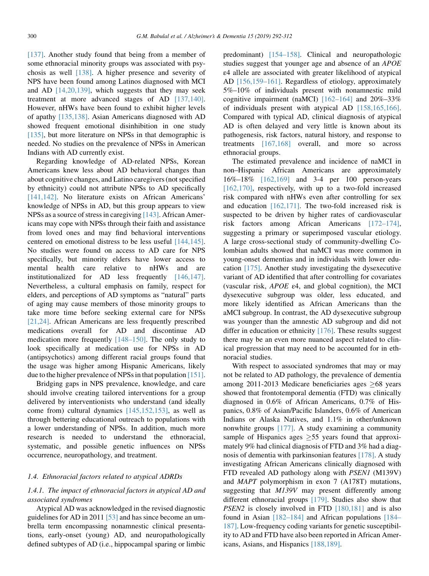[\[137\].](#page-19-0) Another study found that being from a member of some ethnoracial minority groups was associated with psychosis as well [\[138\]](#page-19-0). A higher presence and severity of NPS have been found among Latinos diagnosed with MCI and AD [\[14,20,139\]](#page-16-0), which suggests that they may seek treatment at more advanced stages of AD [\[137,140\].](#page-19-0) However, nHWs have been found to exhibit higher levels of apathy [\[135,138\].](#page-19-0) Asian Americans diagnosed with AD showed frequent emotional disinhibition in one study [\[135\],](#page-19-0) but more literature on NPSs in that demographic is needed. No studies on the prevalence of NPSs in American Indians with AD currently exist.

Regarding knowledge of AD-related NPSs, Korean Americans knew less about AD behavioral changes than about cognitive changes, and Latino caregivers (not specified by ethnicity) could not attribute NPSs to AD specifically [\[141,142\]](#page-19-0). No literature exists on African Americans' knowledge of NPSs in AD, but this group appears to view NPSs as a source of stress in caregiving [\[143\].](#page-19-0) African Americans may cope with NPSs through their faith and assistance from loved ones and may find behavioral interventions centered on emotional distress to be less useful [\[144,145\].](#page-19-0) No studies were found on access to AD care for NPS specifically, but minority elders have lower access to mental health care relative to nHWs and are institutionalized for AD less frequently [\[146,147\].](#page-19-0) Nevertheless, a cultural emphasis on family, respect for elders, and perceptions of AD symptoms as "natural" parts of aging may cause members of those minority groups to take more time before seeking external care for NPSs [\[21,24\]](#page-16-0). African Americans are less frequently prescribed medications overall for AD and discontinue AD medication more frequently [\[148–150\].](#page-19-0) The only study to look specifically at medication use for NPSs in AD (antipsychotics) among different racial groups found that the usage was higher among Hispanic Americans, likely due to the higher prevalence of NPSs in that population [\[151\].](#page-19-0)

Bridging gaps in NPS prevalence, knowledge, and care should involve creating tailored interventions for a group delivered by interventionists who understand (and ideally come from) cultural dynamics [\[145,152,153\],](#page-19-0) as well as through bettering educational outreach to populations with a lower understanding of NPSs. In addition, much more research is needed to understand the ethnoracial, systematic, and possible genetic influences on NPSs occurrence, neuropathology, and treatment.

#### 1.4. Ethnoracial factors related to atypical ADRDs

#### 1.4.1. The impact of ethnoracial factors in atypical AD and associated syndromes

Atypical AD was acknowledged in the revised diagnostic guidelines for AD in 2011 [\[53\]](#page-17-0) and has since become an umbrella term encompassing nonamnestic clinical presentations, early-onset (young) AD, and neuropathologically defined subtypes of AD (i.e., hippocampal sparing or limbic predominant) [\[154–158\].](#page-19-0) Clinical and neuropathologic studies suggest that younger age and absence of an APOE ε4 allele are associated with greater likelihood of atypical AD [\[156,159–161\]](#page-19-0). Regardless of etiology, approximately 5%–10% of individuals present with nonamnestic mild cognitive impairment (naMCI) [\[162–164\]](#page-20-0) and 20%–33% of individuals present with atypical AD [\[158,165,166\].](#page-20-0) Compared with typical AD, clinical diagnosis of atypical AD is often delayed and very little is known about its pathogenesis, risk factors, natural history, and response to treatments [\[167,168\]](#page-20-0) overall, and more so across ethnoracial groups.

The estimated prevalence and incidence of naMCI in non–Hispanic African Americans are approximately 16%–18% [\[162,169\]](#page-20-0) and 3-4 per 100 person-years [\[162,170\]](#page-20-0), respectively, with up to a two-fold increased risk compared with nHWs even after controlling for sex and education [\[162,171\]](#page-20-0). The two-fold increased risk is suspected to be driven by higher rates of cardiovascular risk factors among African Americans [\[172–174\],](#page-20-0) suggesting a primary or superimposed vascular etiology. A large cross-sectional study of community-dwelling Colombian adults showed that naMCI was more common in young-onset dementias and in individuals with lower education [\[175\].](#page-20-0) Another study investigating the dysexecutive variant of AD identified that after controlling for covariates (vascular risk,  $APOE$   $\varepsilon$ 4, and global cognition), the MCI dysexecutive subgroup was older, less educated, and more likely identified as African Americans than the aMCI subgroup. In contrast, the AD dysexecutive subgroup was younger than the amnestic AD subgroup and did not differ in education or ethnicity [\[176\]](#page-20-0). These results suggest there may be an even more nuanced aspect related to clinical progression that may need to be accounted for in ethnoracial studies.

With respect to associated syndromes that may or may not be related to AD pathology, the prevalence of dementia among 2011-2013 Medicare beneficiaries ages  $\geq 68$  years showed that frontotemporal dementia (FTD) was clinically diagnosed in 0.6% of African Americans, 0.7% of Hispanics, 0.8% of Asian/Pacific Islanders, 0.6% of American Indians or Alaska Natives, and 1.1% in other/unknown nonwhite groups [\[177\]](#page-20-0). A study examining a community sample of Hispanics ages  $\geq 55$  years found that approximately 9% had clinical diagnosis of FTD and 3% had a diagnosis of dementia with parkinsonian features [\[178\].](#page-20-0) A study investigating African Americans clinically diagnosed with FTD revealed AD pathology along with PSEN1 (M139V) and MAPT polymorphism in exon 7 (A178T) mutations, suggesting that M139V may present differently among different ethnoracial groups [\[179\]](#page-20-0). Studies also show that PSEN2 is closely involved in FTD [\[180,181\]](#page-20-0) and is also found in Asian [\[182–184\]](#page-20-0) and African populations [\[184–](#page-20-0) [187\]](#page-20-0). Low-frequency coding variants for genetic susceptibility to AD and FTD have also been reported in African Americans, Asians, and Hispanics [\[188,189\].](#page-20-0)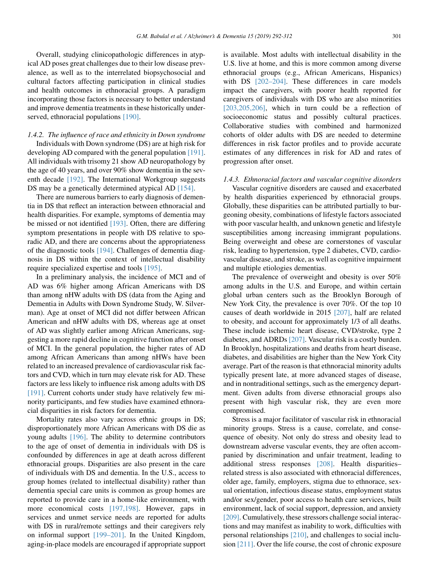Overall, studying clinicopathologic differences in atypical AD poses great challenges due to their low disease prevalence, as well as to the interrelated biopsychosocial and cultural factors affecting participation in clinical studies and health outcomes in ethnoracial groups. A paradigm incorporating those factors is necessary to better understand and improve dementia treatments in these historically under-served, ethnoracial populations [\[190\].](#page-20-0)

#### 1.4.2. The influence of race and ethnicity in Down syndrome Individuals with Down syndrome (DS) are at high risk for developing AD compared with the general population [\[191\].](#page-20-0) All individuals with trisomy 21 show AD neuropathology by the age of 40 years, and over 90% show dementia in the seventh decade [\[192\].](#page-20-0) The International Workgroup suggests DS may be a genetically determined atypical AD [\[154\]](#page-19-0).

There are numerous barriers to early diagnosis of dementia in DS that reflect an interaction between ethnoracial and health disparities. For example, symptoms of dementia may be missed or not identified [\[193\]](#page-20-0). Often, there are differing symptom presentations in people with DS relative to sporadic AD, and there are concerns about the appropriateness of the diagnostic tools [\[194\].](#page-20-0) Challenges of dementia diagnosis in DS within the context of intellectual disability require specialized expertise and tools [\[195\]](#page-20-0).

In a preliminary analysis, the incidence of MCI and of AD was 6% higher among African Americans with DS than among nHW adults with DS (data from the Aging and Dementia in Adults with Down Syndrome Study, W. Silverman). Age at onset of MCI did not differ between African American and nHW adults with DS, whereas age at onset of AD was slightly earlier among African Americans, suggesting a more rapid decline in cognitive function after onset of MCI. In the general population, the higher rates of AD among African Americans than among nHWs have been related to an increased prevalence of cardiovascular risk factors and CVD, which in turn may elevate risk for AD. These factors are less likely to influence risk among adults with DS [\[191\].](#page-20-0) Current cohorts under study have relatively few minority participants, and few studies have examined ethnoracial disparities in risk factors for dementia.

Mortality rates also vary across ethnic groups in DS; disproportionately more African Americans with DS die as young adults [\[196\].](#page-20-0) The ability to determine contributors to the age of onset of dementia in individuals with DS is confounded by differences in age at death across different ethnoracial groups. Disparities are also present in the care of individuals with DS and dementia. In the U.S., access to group homes (related to intellectual disability) rather than dementia special care units is common as group homes are reported to provide care in a home-like environment, with more economical costs [\[197,198\]](#page-21-0). However, gaps in services and unmet service needs are reported for adults with DS in rural/remote settings and their caregivers rely on informal support [\[199–201\].](#page-21-0) In the United Kingdom, aging-in-place models are encouraged if appropriate support is available. Most adults with intellectual disability in the U.S. live at home, and this is more common among diverse ethnoracial groups (e.g., African Americans, Hispanics) with DS [\[202–204\]](#page-21-0). These differences in care models impact the caregivers, with poorer health reported for caregivers of individuals with DS who are also minorities [\[203,205,206\],](#page-21-0) which in turn could be a reflection of socioeconomic status and possibly cultural practices. Collaborative studies with combined and harmonized cohorts of older adults with DS are needed to determine differences in risk factor profiles and to provide accurate estimates of any differences in risk for AD and rates of progression after onset.

#### 1.4.3. Ethnoracial factors and vascular cognitive disorders

Vascular cognitive disorders are caused and exacerbated by health disparities experienced by ethnoracial groups. Globally, these disparities can be attributed partially to burgeoning obesity, combinations of lifestyle factors associated with poor vascular health, and unknown genetic and lifestyle susceptibilities among increasing immigrant populations. Being overweight and obese are cornerstones of vascular risk, leading to hypertension, type 2 diabetes, CVD, cardiovascular disease, and stroke, as well as cognitive impairment and multiple etiologies dementias.

The prevalence of overweight and obesity is over 50% among adults in the U.S. and Europe, and within certain global urban centers such as the Brooklyn Borough of New York City, the prevalence is over 70%. Of the top 10 causes of death worldwide in 2015 [\[207\]](#page-21-0), half are related to obesity, and account for approximately 1/3 of all deaths. These include ischemic heart disease, CVD/stroke, type 2 diabetes, and ADRDs [\[207\].](#page-21-0) Vascular risk is a costly burden. In Brooklyn, hospitalizations and deaths from heart disease, diabetes, and disabilities are higher than the New York City average. Part of the reason is that ethnoracial minority adults typically present late, at more advanced stages of disease, and in nontraditional settings, such as the emergency department. Given adults from diverse ethnoracial groups also present with high vascular risk, they are even more compromised.

Stress is a major facilitator of vascular risk in ethnoracial minority groups. Stress is a cause, correlate, and consequence of obesity. Not only do stress and obesity lead to downstream adverse vascular events, they are often accompanied by discrimination and unfair treatment, leading to additional stress responses [\[208\]](#page-21-0). Health disparities– related stress is also associated with ethnoracial differences, older age, family, employers, stigma due to ethnorace, sexual orientation, infectious disease status, employment status and/or sex/gender, poor access to health care services, built environment, lack of social support, depression, and anxiety [\[209\].](#page-21-0) Cumulatively, these stressors challenge social interactions and may manifest as inability to work, difficulties with personal relationships [\[210\],](#page-21-0) and challenges to social inclusion [\[211\]](#page-21-0). Over the life course, the cost of chronic exposure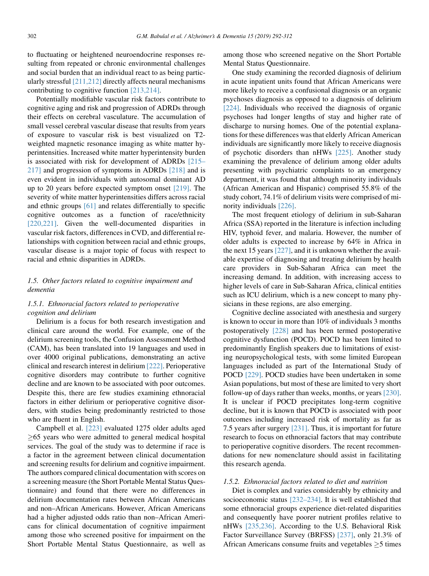to fluctuating or heightened neuroendocrine responses resulting from repeated or chronic environmental challenges and social burden that an individual react to as being particularly stressful [\[211,212\]](#page-21-0) directly affects neural mechanisms contributing to cognitive function [\[213,214\]](#page-21-0).

Potentially modifiable vascular risk factors contribute to cognitive aging and risk and progression of ADRDs through their effects on cerebral vasculature. The accumulation of small vessel cerebral vascular disease that results from years of exposure to vascular risk is best visualized on T2 weighted magnetic resonance imaging as white matter hyperintensities. Increased white matter hyperintensity burden is associated with risk for development of ADRDs [\[215–](#page-21-0) [217\]](#page-21-0) and progression of symptoms in ADRDs [\[218\]](#page-21-0) and is even evident in individuals with autosomal dominant AD up to 20 years before expected symptom onset [\[219\]](#page-21-0). The severity of white matter hyperintensities differs across racial and ethnic groups [\[61\]](#page-17-0) and relates differentially to specific cognitive outcomes as a function of race/ethnicity [\[220,221\]](#page-21-0). Given the well-documented disparities in vascular risk factors, differences in CVD, and differential relationships with cognition between racial and ethnic groups, vascular disease is a major topic of focus with respect to racial and ethnic disparities in ADRDs.

#### 1.5. Other factors related to cognitive impairment and dementia

#### 1.5.1. Ethnoracial factors related to perioperative cognition and delirium

Delirium is a focus for both research investigation and clinical care around the world. For example, one of the delirium screening tools, the Confusion Assessment Method (CAM), has been translated into 19 languages and used in over 4000 original publications, demonstrating an active clinical and research interest in delirium [\[222\].](#page-21-0) Perioperative cognitive disorders may contribute to further cognitive decline and are known to be associated with poor outcomes. Despite this, there are few studies examining ethnoracial factors in either delirium or perioperative cognitive disorders, with studies being predominantly restricted to those who are fluent in English.

Campbell et al. [\[223\]](#page-21-0) evaluated 1275 older adults aged  $\geq$ 65 years who were admitted to general medical hospital services. The goal of the study was to determine if race is a factor in the agreement between clinical documentation and screening results for delirium and cognitive impairment. The authors compared clinical documentation with scores on a screening measure (the Short Portable Mental Status Questionnaire) and found that there were no differences in delirium documentation rates between African Americans and non–African Americans. However, African Americans had a higher adjusted odds ratio than non–African Americans for clinical documentation of cognitive impairment among those who screened positive for impairment on the Short Portable Mental Status Questionnaire, as well as among those who screened negative on the Short Portable Mental Status Questionnaire.

One study examining the recorded diagnosis of delirium in acute inpatient units found that African Americans were more likely to receive a confusional diagnosis or an organic psychoses diagnosis as opposed to a diagnosis of delirium [\[224\].](#page-21-0) Individuals who received the diagnosis of organic psychoses had longer lengths of stay and higher rate of discharge to nursing homes. One of the potential explanations for these differences was that elderly African American individuals are significantly more likely to receive diagnosis of psychotic disorders than nHWs [\[225\]](#page-21-0). Another study examining the prevalence of delirium among older adults presenting with psychiatric complaints to an emergency department, it was found that although minority individuals (African American and Hispanic) comprised 55.8% of the study cohort, 74.1% of delirium visits were comprised of minority individuals [\[226\]](#page-21-0).

The most frequent etiology of delirium in sub-Saharan Africa (SSA) reported in the literature is infection including HIV, typhoid fever, and malaria. However, the number of older adults is expected to increase by 64% in Africa in the next 15 years [\[227\],](#page-21-0) and it is unknown whether the available expertise of diagnosing and treating delirium by health care providers in Sub-Saharan Africa can meet the increasing demand. In addition, with increasing access to higher levels of care in Sub-Saharan Africa, clinical entities such as ICU delirium, which is a new concept to many physicians in these regions, are also emerging.

Cognitive decline associated with anesthesia and surgery is known to occur in more than 10% of individuals 3 months postoperatively [\[228\]](#page-21-0) and has been termed postoperative cognitive dysfunction (POCD). POCD has been limited to predominantly English speakers due to limitations of existing neuropsychological tests, with some limited European languages included as part of the International Study of POCD [\[229\].](#page-21-0) POCD studies have been undertaken in some Asian populations, but most of these are limited to very short follow-up of days rather than weeks, months, or years [\[230\].](#page-21-0) It is unclear if POCD precipitates long-term cognitive decline, but it is known that POCD is associated with poor outcomes including increased risk of mortality as far as 7.5 years after surgery [\[231\].](#page-21-0) Thus, it is important for future research to focus on ethnoracial factors that may contribute to perioperative cognitive disorders. The recent recommendations for new nomenclature should assist in facilitating this research agenda.

#### 1.5.2. Ethnoracial factors related to diet and nutrition

Diet is complex and varies considerably by ethnicity and socioeconomic status [\[232–234\].](#page-21-0) It is well established that some ethnoracial groups experience diet-related disparities and consequently have poorer nutrient profiles relative to nHWs [\[235,236\].](#page-21-0) According to the U.S. Behavioral Risk Factor Surveillance Survey (BRFSS) [\[237\],](#page-21-0) only 21.3% of African Americans consume fruits and vegetables  $\geq$ 5 times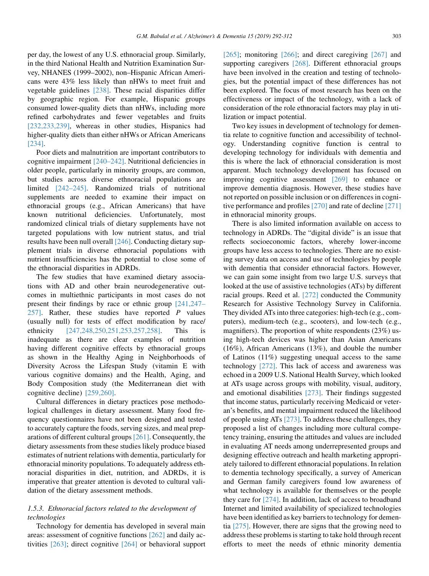per day, the lowest of any U.S. ethnoracial group. Similarly, in the third National Health and Nutrition Examination Survey, NHANES (1999–2002), non–Hispanic African Americans were 43% less likely than nHWs to meet fruit and vegetable guidelines [\[238\].](#page-21-0) These racial disparities differ by geographic region. For example, Hispanic groups consumed lower-quality diets than nHWs, including more refined carbohydrates and fewer vegetables and fruits [\[232,233,239\]](#page-21-0), whereas in other studies, Hispanics had higher-quality diets than either nHWs or African Americans [\[234\].](#page-21-0)

Poor diets and malnutrition are important contributors to cognitive impairment [\[240–242\].](#page-22-0) Nutritional deficiencies in older people, particularly in minority groups, are common, but studies across diverse ethnoracial populations are limited [\[242–245\]](#page-22-0). Randomized trials of nutritional supplements are needed to examine their impact on ethnoracial groups (e.g., African Americans) that have known nutritional deficiencies. Unfortunately, most randomized clinical trials of dietary supplements have not targeted populations with low nutrient status, and trial results have been null overall [\[246\].](#page-22-0) Conducting dietary supplement trials in diverse ethnoracial populations with nutrient insufficiencies has the potential to close some of the ethnoracial disparities in ADRDs.

The few studies that have examined dietary associations with AD and other brain neurodegenerative outcomes in multiethnic participants in most cases do not present their findings by race or ethnic group [\[241,247–](#page-22-0) [257\]](#page-22-0). Rather, these studies have reported  $P$  values (usually null) for tests of effect modification by race/ ethnicity [\[247,248,250,251,253,257,258\]](#page-22-0). This is inadequate as there are clear examples of nutrition having different cognitive effects by ethnoracial groups as shown in the Healthy Aging in Neighborhoods of Diversity Across the Lifespan Study (vitamin E with various cognitive domains) and the Health, Aging, and Body Composition study (the Mediterranean diet with cognitive decline) [\[259,260\]](#page-22-0).

Cultural differences in dietary practices pose methodological challenges in dietary assessment. Many food frequency questionnaires have not been designed and tested to accurately capture the foods, serving sizes, and meal preparations of different cultural groups [\[261\].](#page-22-0) Consequently, the dietary assessments from these studies likely produce biased estimates of nutrient relations with dementia, particularly for ethnoracial minority populations. To adequately address ethnoracial disparities in diet, nutrition, and ADRDs, it is imperative that greater attention is devoted to cultural validation of the dietary assessment methods.

#### 1.5.3. Ethnoracial factors related to the development of technologies

Technology for dementia has developed in several main areas: assessment of cognitive functions [\[262\]](#page-22-0) and daily activities [\[263\]](#page-22-0); direct cognitive [\[264\]](#page-22-0) or behavioral support [\[265\];](#page-22-0) monitoring [\[266\]](#page-22-0); and direct caregiving [\[267\]](#page-22-0) and supporting caregivers [\[268\]](#page-22-0). Different ethnoracial groups have been involved in the creation and testing of technologies, but the potential impact of these differences has not been explored. The focus of most research has been on the effectiveness or impact of the technology, with a lack of consideration of the role ethnoracial factors may play in utilization or impact potential.

Two key issues in development of technology for dementia relate to cognitive function and accessibility of technology. Understanding cognitive function is central to developing technology for individuals with dementia and this is where the lack of ethnoracial consideration is most apparent. Much technology development has focused on improving cognitive assessment [\[269\]](#page-22-0) to enhance or improve dementia diagnosis. However, these studies have not reported on possible inclusion or on differences in cognitive performance and profiles [\[270\]](#page-22-0) and rate of decline [\[271\]](#page-22-0) in ethnoracial minority groups.

There is also limited information available on access to technology in ADRDs. The "digital divide" is an issue that reflects socioeconomic factors, whereby lower-income groups have less access to technologies. There are no existing survey data on access and use of technologies by people with dementia that consider ethnoracial factors. However, we can gain some insight from two large U.S. surveys that looked at the use of assistive technologies (ATs) by different racial groups. Reed et al. [\[272\]](#page-22-0) conducted the Community Research for Assistive Technology Survey in California. They divided ATs into three categories: high-tech (e.g., computers), medium-tech (e.g., scooters), and low-tech (e.g., magnifiers). The proportion of white respondents (23%) using high-tech devices was higher than Asian Americans (16%), African Americans (13%), and double the number of Latinos (11%) suggesting unequal access to the same technology [\[272\].](#page-22-0) This lack of access and awareness was echoed in a 2009 U.S. National Health Survey, which looked at ATs usage across groups with mobility, visual, auditory, and emotional disabilities [\[273\]](#page-22-0). Their findings suggested that income status, particularly receiving Medicaid or veteran's benefits, and mental impairment reduced the likelihood of people using ATs [\[273\].](#page-22-0) To address these challenges, they proposed a list of changes including more cultural competency training, ensuring the attitudes and values are included in evaluating AT needs among underrepresented groups and designing effective outreach and health marketing appropriately tailored to different ethnoracial populations. In relation to dementia technology specifically, a survey of American and German family caregivers found low awareness of what technology is available for themselves or the people they care for [\[274\].](#page-22-0) In addition, lack of access to broadband Internet and limited availability of specialized technologies have been identified as key barriers to technology for dementia [\[275\]](#page-22-0). However, there are signs that the growing need to address these problems is starting to take hold through recent efforts to meet the needs of ethnic minority dementia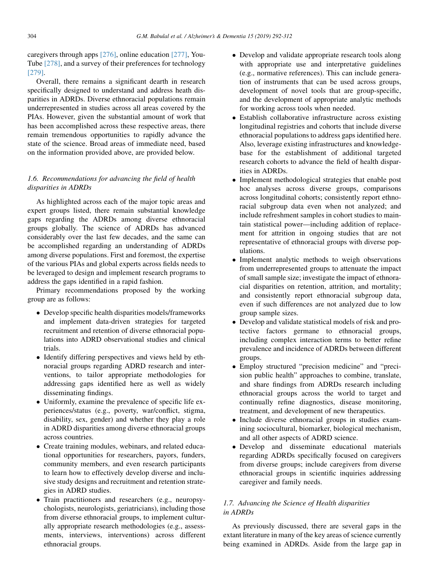caregivers through apps [\[276\]](#page-22-0), online education [\[277\],](#page-22-0) You-Tube [\[278\]](#page-22-0), and a survey of their preferences for technology [\[279\].](#page-22-0)

Overall, there remains a significant dearth in research specifically designed to understand and address heath disparities in ADRDs. Diverse ethnoracial populations remain underrepresented in studies across all areas covered by the PIAs. However, given the substantial amount of work that has been accomplished across these respective areas, there remain tremendous opportunities to rapidly advance the state of the science. Broad areas of immediate need, based on the information provided above, are provided below.

#### 1.6. Recommendations for advancing the field of health disparities in ADRDs

As highlighted across each of the major topic areas and expert groups listed, there remain substantial knowledge gaps regarding the ADRDs among diverse ethnoracial groups globally. The science of ADRDs has advanced considerably over the last few decades, and the same can be accomplished regarding an understanding of ADRDs among diverse populations. First and foremost, the expertise of the various PIAs and global experts across fields needs to be leveraged to design and implement research programs to address the gaps identified in a rapid fashion.

Primary recommendations proposed by the working group are as follows:

- Develop specific health disparities models/frameworks and implement data-driven strategies for targeted recruitment and retention of diverse ethnoracial populations into ADRD observational studies and clinical trials.
- Identify differing perspectives and views held by ethnoracial groups regarding ADRD research and interventions, to tailor appropriate methodologies for addressing gaps identified here as well as widely disseminating findings.
- Uniformly, examine the prevalence of specific life experiences/status (e.g., poverty, war/conflict, stigma, disability, sex, gender) and whether they play a role in ADRD disparities among diverse ethnoracial groups across countries.
- Create training modules, webinars, and related educational opportunities for researchers, payors, funders, community members, and even research participants to learn how to effectively develop diverse and inclusive study designs and recruitment and retention strategies in ADRD studies.
- Train practitioners and researchers (e.g., neuropsychologists, neurologists, geriatricians), including those from diverse ethnoracial groups, to implement culturally appropriate research methodologies (e.g., assessments, interviews, interventions) across different ethnoracial groups.
- Develop and validate appropriate research tools along with appropriate use and interpretative guidelines (e.g., normative references). This can include generation of instruments that can be used across groups, development of novel tools that are group-specific, and the development of appropriate analytic methods for working across tools when needed.
- Establish collaborative infrastructure across existing longitudinal registries and cohorts that include diverse ethnoracial populations to address gaps identified here. Also, leverage existing infrastructures and knowledgebase for the establishment of additional targeted research cohorts to advance the field of health disparities in ADRDs.
- Implement methodological strategies that enable post hoc analyses across diverse groups, comparisons across longitudinal cohorts; consistently report ethnoracial subgroup data even when not analyzed; and include refreshment samples in cohort studies to maintain statistical power—including addition of replacement for attrition in ongoing studies that are not representative of ethnoracial groups with diverse populations.
- Implement analytic methods to weigh observations from underrepresented groups to attenuate the impact of small sample size; investigate the impact of ethnoracial disparities on retention, attrition, and mortality; and consistently report ethnoracial subgroup data, even if such differences are not analyzed due to low group sample sizes.
- Develop and validate statistical models of risk and protective factors germane to ethnoracial groups, including complex interaction terms to better refine prevalence and incidence of ADRDs between different groups.
- Employ structured "precision medicine" and "precision public health" approaches to combine, translate, and share findings from ADRDs research including ethnoracial groups across the world to target and continually refine diagnostics, disease monitoring, treatment, and development of new therapeutics.
- Include diverse ethnoracial groups in studies examining sociocultural, biomarker, biological mechanism, and all other aspects of ADRD science.
- Develop and disseminate educational materials regarding ADRDs specifically focused on caregivers from diverse groups; include caregivers from diverse ethnoracial groups in scientific inquiries addressing caregiver and family needs.

#### 1.7. Advancing the Science of Health disparities in ADRDs

As previously discussed, there are several gaps in the extant literature in many of the key areas of science currently being examined in ADRDs. Aside from the large gap in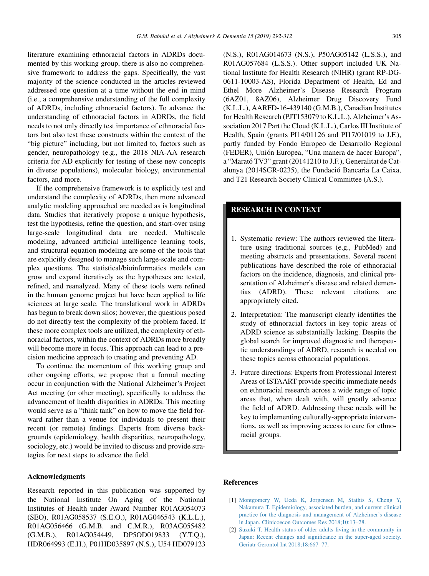<span id="page-15-0"></span>literature examining ethnoracial factors in ADRDs documented by this working group, there is also no comprehensive framework to address the gaps. Specifically, the vast majority of the science conducted in the articles reviewed addressed one question at a time without the end in mind (i.e., a comprehensive understanding of the full complexity of ADRDs, including ethnoracial factors). To advance the understanding of ethnoracial factors in ADRDs, the field needs to not only directly test importance of ethnoracial factors but also test these constructs within the context of the "big picture" including, but not limited to, factors such as gender, neuropathology (e.g., the 2018 NIA-AA research criteria for AD explicitly for testing of these new concepts in diverse populations), molecular biology, environmental factors, and more.

If the comprehensive framework is to explicitly test and understand the complexity of ADRDs, then more advanced analytic modeling approached are needed as is longitudinal data. Studies that iteratively propose a unique hypothesis, test the hypothesis, refine the question, and start-over using large-scale longitudinal data are needed. Multiscale modeling, advanced artificial intelligence learning tools, and structural equation modeling are some of the tools that are explicitly designed to manage such large-scale and complex questions. The statistical/bioinformatics models can grow and expand iteratively as the hypotheses are tested, refined, and reanalyzed. Many of these tools were refined in the human genome project but have been applied to life sciences at large scale. The translational work in ADRDs has begun to break down silos; however, the questions posed do not directly test the complexity of the problem faced. If these more complex tools are utilized, the complexity of ethnoracial factors, within the context of ADRDs more broadly will become more in focus. This approach can lead to a precision medicine approach to treating and preventing AD.

To continue the momentum of this working group and other ongoing efforts, we propose that a formal meeting occur in conjunction with the National Alzheimer's Project Act meeting (or other meeting), specifically to address the advancement of health disparities in ADRDs. This meeting would serve as a "think tank" on how to move the field forward rather than a venue for individuals to present their recent (or remote) findings. Experts from diverse backgrounds (epidemiology, health disparities, neuropathology, sociology, etc.) would be invited to discuss and provide strategies for next steps to advance the field.

#### Acknowledgments

Research reported in this publication was supported by the National Institute On Aging of the National Institutes of Health under Award Number R01AG054073 (SEO), R01AG058537 (S.E.O.), R01AG046543 (K.L.L.), R01AG056466 (G.M.B. and C.M.R.), R03AG055482 (G.M.B.), R01AG054449, DP5OD019833 (Y.T.Q.), HDR064993 (E.H.), P01HD035897 (N.S.), U54 HD079123 (N.S.), R01AG014673 (N.S.), P50AG05142 (L.S.S.), and R01AG057684 (L.S.S.). Other support included UK National Institute for Health Research (NIHR) (grant RP-DG-0611-10003-AS), Florida Department of Health, Ed and Ethel More Alzheimer's Disease Research Program (6AZ01, 8AZ06), Alzheimer Drug Discovery Fund (K.L.L.), AARFD-16-439140 (G.M.B.), Canadian Institutes for Health Research (PJT153079 to K.L.L.), Alzheimer's Association 2017 Part the Cloud (K.L.L.), Carlos III Institute of Health, Spain (grants PI14/01126 and PI17/01019 to J.F.), partly funded by Fondo Europeo de Desarrollo Regional (FEDER), Unión Europea, "Una manera de hacer Europa", a "Marató TV3" grant (20141210 to J.F.), Generalitat de Catalunya (2014SGR-0235), the Fundació Bancaria La Caixa, and T21 Research Society Clinical Committee (A.S.).

#### RESEARCH IN CONTEXT

- 1. Systematic review: The authors reviewed the literature using traditional sources (e.g., PubMed) and meeting abstracts and presentations. Several recent publications have described the role of ethnoracial factors on the incidence, diagnosis, and clinical presentation of Alzheimer's disease and related dementias (ADRD). These relevant citations are appropriately cited.
- 2. Interpretation: The manuscript clearly identifies the study of ethnoracial factors in key topic areas of ADRD science as substantially lacking. Despite the global search for improved diagnostic and therapeutic understandings of ADRD, research is needed on these topics across ethnoracial populations.
- 3. Future directions: Experts from Professional Interest Areas of ISTAART provide specific immediate needs on ethnoracial research across a wide range of topic areas that, when dealt with, will greatly advance the field of ADRD. Addressing these needs will be key to implementing culturally-appropriate interventions, as well as improving access to care for ethnoracial groups.

#### References

- [1] [Montgomery W, Ueda K, Jorgensen M, Stathis S, Cheng Y,](http://refhub.elsevier.com/S1552-5260(18)33556-8/sref1) [Nakamura T. Epidemiology, associated burden, and current clinical](http://refhub.elsevier.com/S1552-5260(18)33556-8/sref1) [practice for the diagnosis and management of Alzheimer's disease](http://refhub.elsevier.com/S1552-5260(18)33556-8/sref1) [in Japan. Clinicoecon Outcomes Res 2018;10:13–28.](http://refhub.elsevier.com/S1552-5260(18)33556-8/sref1)
- [2] [Suzuki T. Health status of older adults living in the community in](http://refhub.elsevier.com/S1552-5260(18)33556-8/sref2) [Japan: Recent changes and significance in the super-aged society.](http://refhub.elsevier.com/S1552-5260(18)33556-8/sref2) [Geriatr Gerontol Int 2018;18:667–77.](http://refhub.elsevier.com/S1552-5260(18)33556-8/sref2)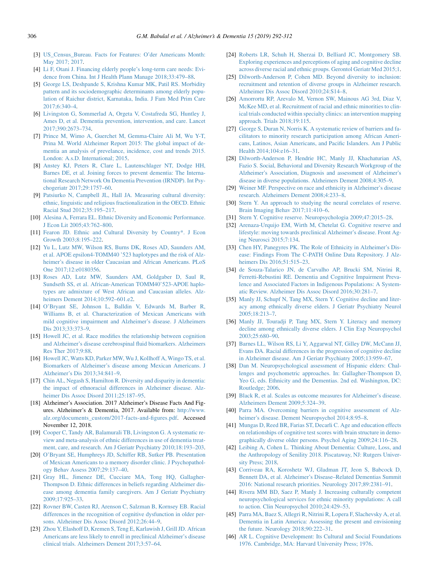- <span id="page-16-0"></span>[3] [US\\_Census\\_Bureau. Facts for Features: O'der Americans Month:](http://refhub.elsevier.com/S1552-5260(18)33556-8/sref3) [May 2017; 2017](http://refhub.elsevier.com/S1552-5260(18)33556-8/sref3).
- [4] [Li F, Otani J. Financing elderly people's long-term care needs: Evi](http://refhub.elsevier.com/S1552-5260(18)33556-8/sref4)[dence from China. Int J Health Plann Manage 2018;33:479–88](http://refhub.elsevier.com/S1552-5260(18)33556-8/sref4).
- [5] [George LS, Deshpande S, Krishna Kumar MK, Patil RS. Morbidity](http://refhub.elsevier.com/S1552-5260(18)33556-8/sref5) [pattern and its sociodemographic determinants among elderly popu](http://refhub.elsevier.com/S1552-5260(18)33556-8/sref5)[lation of Raichur district, Karnataka, India. J Fam Med Prim Care](http://refhub.elsevier.com/S1552-5260(18)33556-8/sref5) [2017;6:340–4](http://refhub.elsevier.com/S1552-5260(18)33556-8/sref5).
- [6] [Livingston G, Sommerlad A, Orgeta V, Costafreda SG, Huntley J,](http://refhub.elsevier.com/S1552-5260(18)33556-8/sref6) [Ames D, et al. Dementia prevention, intervention, and care. Lancet](http://refhub.elsevier.com/S1552-5260(18)33556-8/sref6) [2017;390:2673–734](http://refhub.elsevier.com/S1552-5260(18)33556-8/sref6).
- [7] [Prince M, Wimo A, Guerchet M, Gemma-Claire Ali M, Wu Y-T,](http://refhub.elsevier.com/S1552-5260(18)33556-8/sref7) [Prina M. World Alzheimer Report 2015: The global impact of de](http://refhub.elsevier.com/S1552-5260(18)33556-8/sref7)[mentia an analysis of prevelance, incidence, cost and trends 2015.](http://refhub.elsevier.com/S1552-5260(18)33556-8/sref7) [London: A.s.D. International; 2015](http://refhub.elsevier.com/S1552-5260(18)33556-8/sref7).
- [8] [Anstey KJ, Peters R, Clare L, Lautenschlager NT, Dodge HH,](http://refhub.elsevier.com/S1552-5260(18)33556-8/sref8) [Barnes DE, et al. Joining forces to prevent dementia: The Interna](http://refhub.elsevier.com/S1552-5260(18)33556-8/sref8)[tional Research Network On Dementia Prevention \(IRNDP\). Int Psy](http://refhub.elsevier.com/S1552-5260(18)33556-8/sref8)[chogeriatr 2017;29:1757–60.](http://refhub.elsevier.com/S1552-5260(18)33556-8/sref8)
- [9] [Patsiurko N, Campbell JL, Hall JA. Measuring cultural diversity:](http://refhub.elsevier.com/S1552-5260(18)33556-8/sref9) [ethnic, linguistic and religious fractionalization in the OECD. Ethnic](http://refhub.elsevier.com/S1552-5260(18)33556-8/sref9) [Racial Stud 2012;35:195–217.](http://refhub.elsevier.com/S1552-5260(18)33556-8/sref9)
- [10] [Alesina A, Ferrara EL. Ethnic Diversity and Economic Performance.](http://refhub.elsevier.com/S1552-5260(18)33556-8/sref10) [J Econ Lit 2005;43:762–800.](http://refhub.elsevier.com/S1552-5260(18)33556-8/sref10)
- [11] [Fearon JD. Ethnic and Cultural Diversity by Country\\*. J Econ](http://refhub.elsevier.com/S1552-5260(18)33556-8/sref11) [Growth 2003;8:195–222.](http://refhub.elsevier.com/S1552-5260(18)33556-8/sref11)
- [12] [Yu L, Lutz MW, Wilson RS, Burns DK, Roses AD, Saunders AM,](http://refhub.elsevier.com/S1552-5260(18)33556-8/sref12) [et al. APOE epsilon4-TOMM40 '523 haplotypes and the risk of Alz](http://refhub.elsevier.com/S1552-5260(18)33556-8/sref12)[heimer's disease in older Caucasian and African Americans. PLoS](http://refhub.elsevier.com/S1552-5260(18)33556-8/sref12) [One 2017;12:e0180356](http://refhub.elsevier.com/S1552-5260(18)33556-8/sref12).
- [13] [Roses AD, Lutz MW, Saunders AM, Goldgaber D, Saul R,](http://refhub.elsevier.com/S1552-5260(18)33556-8/sref13) [Sundseth SS, et al. African-American TOMM40'523-APOE haplo](http://refhub.elsevier.com/S1552-5260(18)33556-8/sref13)[types are admixture of West African and Caucasian alleles. Alz](http://refhub.elsevier.com/S1552-5260(18)33556-8/sref13)[heimers Dement 2014;10:592–601.e2.](http://refhub.elsevier.com/S1552-5260(18)33556-8/sref13)
- [14] [O'Bryant SE, Johnson L, Balldin V, Edwards M, Barber R,](http://refhub.elsevier.com/S1552-5260(18)33556-8/sref14) [Williams B, et al. Characterization of Mexican Americans with](http://refhub.elsevier.com/S1552-5260(18)33556-8/sref14) [mild cognitive impairment and Alzheimer's disease. J Alzheimers](http://refhub.elsevier.com/S1552-5260(18)33556-8/sref14) [Dis 2013;33:373–9.](http://refhub.elsevier.com/S1552-5260(18)33556-8/sref14)
- [15] [Howell JC, et al. Race modifies the relationship between cognition](http://refhub.elsevier.com/S1552-5260(18)33556-8/sref15) [and Alzheimer's disease cerebrospinal fluid biomarkers. Alzheimers](http://refhub.elsevier.com/S1552-5260(18)33556-8/sref15) [Res Ther 2017;9:88.](http://refhub.elsevier.com/S1552-5260(18)33556-8/sref15)
- [16] [Howell JC, Watts KD, Parker MW, Wu J, Kollhoff A, Wingo TS, et al.](http://refhub.elsevier.com/S1552-5260(18)33556-8/sref16) [Biomarkers of Alzheimer's disease among Mexican Americans. J](http://refhub.elsevier.com/S1552-5260(18)33556-8/sref16) [Alzheimer's Dis 2013;34:841–9.](http://refhub.elsevier.com/S1552-5260(18)33556-8/sref16)
- [17] [Chin AL, Negash S, Hamilton R. Diversity and disparity in dementia:](http://refhub.elsevier.com/S1552-5260(18)33556-8/sref17) [the impact of ethnoracial differences in Alzheimer disease. Alz](http://refhub.elsevier.com/S1552-5260(18)33556-8/sref17)[heimer Dis Assoc Disord 2011;25:187–95](http://refhub.elsevier.com/S1552-5260(18)33556-8/sref17).
- [18] Alzheimer's Association. 2017 Alzheimer's Disease Facts And Figures. Alzheimer's & Dementia, 2017. Available from: [http://www.](http://www.alz.org/documents_custom/2017-facts-and-figures.pdf) [alz.org/documents\\_custom/2017-facts-and-figures.pdf](http://www.alz.org/documents_custom/2017-facts-and-figures.pdf). Accessed November 12, 2018.
- [19] [Cooper C, Tandy AR, Balamurali TB, Livingston G. A systematic re](http://refhub.elsevier.com/S1552-5260(18)33556-8/sref19)[view and meta-analysis of ethnic differences in use of dementia treat](http://refhub.elsevier.com/S1552-5260(18)33556-8/sref19)[ment, care, and research. Am J Geriatr Psychiatry 2010;18:193–203](http://refhub.elsevier.com/S1552-5260(18)33556-8/sref19).
- [20] [O'Bryant SE, Humphreys JD, Schiffer RB, Sutker PB. Presentation](http://refhub.elsevier.com/S1552-5260(18)33556-8/sref20) [of Mexican Americans to a memory disorder clinic. J Psychopathol](http://refhub.elsevier.com/S1552-5260(18)33556-8/sref20)[ogy Behav Assess 2007;29:137–40.](http://refhub.elsevier.com/S1552-5260(18)33556-8/sref20)
- [21] [Gray HL, Jimenez DE, Cucciare MA, Tong HQ, Gallagher-](http://refhub.elsevier.com/S1552-5260(18)33556-8/sref21)[Thompson D. Ethnic differences in beliefs regarding Alzheimer dis](http://refhub.elsevier.com/S1552-5260(18)33556-8/sref21)[ease among dementia family caregivers. Am J Geriatr Psychiatry](http://refhub.elsevier.com/S1552-5260(18)33556-8/sref21) [2009;17:925–33](http://refhub.elsevier.com/S1552-5260(18)33556-8/sref21).
- [22] [Rovner BW, Casten RJ, Arenson C, Salzman B, Kornsey EB. Racial](http://refhub.elsevier.com/S1552-5260(18)33556-8/sref22) [differences in the recognition of cognitive dysfunction in older per](http://refhub.elsevier.com/S1552-5260(18)33556-8/sref22)[sons. Alzheimer Dis Assoc Disord 2012;26:44–9](http://refhub.elsevier.com/S1552-5260(18)33556-8/sref22).
- [23] [Zhou Y, Elashoff D, Kremen S, Teng E, Karlawish J, Grill JD. African](http://refhub.elsevier.com/S1552-5260(18)33556-8/sref23) [Americans are less likely to enroll in preclinical Alzheimer's disease](http://refhub.elsevier.com/S1552-5260(18)33556-8/sref23) [clinical trials. Alzheimers Dement 2017;3:57–64.](http://refhub.elsevier.com/S1552-5260(18)33556-8/sref23)
- [24] [Roberts LR, Schuh H, Sherzai D, Belliard JC, Montgomery SB.](http://refhub.elsevier.com/S1552-5260(18)33556-8/sref24) [Exploring experiences and perceptions of aging and cognitive decline](http://refhub.elsevier.com/S1552-5260(18)33556-8/sref24) [across diverse racial and ethnic groups. Gerontol Geriatr Med 2015;1](http://refhub.elsevier.com/S1552-5260(18)33556-8/sref24).
- [25] [Dilworth-Anderson P, Cohen MD. Beyond diversity to inclusion:](http://refhub.elsevier.com/S1552-5260(18)33556-8/sref25) [recruitment and retention of diverse groups in Alzheimer research.](http://refhub.elsevier.com/S1552-5260(18)33556-8/sref25) [Alzheimer Dis Assoc Disord 2010;24:S14–8](http://refhub.elsevier.com/S1552-5260(18)33556-8/sref25).
- [26] [Amorrortu RP, Arevalo M, Vernon SW, Mainous AG 3rd, Diaz V,](http://refhub.elsevier.com/S1552-5260(18)33556-8/sref26) [McKee MD, et al. Recruitment of racial and ethnic minorities to clin](http://refhub.elsevier.com/S1552-5260(18)33556-8/sref26)[ical trials conducted within specialty clinics: an intervention mapping](http://refhub.elsevier.com/S1552-5260(18)33556-8/sref26) [approach. Trials 2018;19:115](http://refhub.elsevier.com/S1552-5260(18)33556-8/sref26).
- [27] [George S, Duran N, Norris K. A systematic review of barriers and fa](http://refhub.elsevier.com/S1552-5260(18)33556-8/sref27)[cilitators to minority research participation among African Ameri](http://refhub.elsevier.com/S1552-5260(18)33556-8/sref27)[cans, Latinos, Asian Americans, and Pacific Islanders. Am J Public](http://refhub.elsevier.com/S1552-5260(18)33556-8/sref27) [Health 2014;104:e16–31](http://refhub.elsevier.com/S1552-5260(18)33556-8/sref27).
- [28] [Dilworth-Anderson P, Hendrie HC, Manly JJ, Khachaturian AS,](http://refhub.elsevier.com/S1552-5260(18)33556-8/sref28) [Fazio S. Social, Behavioral and Diversity Research Workgroup of the](http://refhub.elsevier.com/S1552-5260(18)33556-8/sref28) [Alzheimer's Association, Diagnosis and assessment of Alzheimer's](http://refhub.elsevier.com/S1552-5260(18)33556-8/sref28) [disease in diverse populations. Alzheimers Dement 2008;4:305–9](http://refhub.elsevier.com/S1552-5260(18)33556-8/sref28).
- [29] [Weiner MF. Perspective on race and ethnicity in Alzheimer's disease](http://refhub.elsevier.com/S1552-5260(18)33556-8/sref29) [research. Alzheimers Dement 2008;4:233–8.](http://refhub.elsevier.com/S1552-5260(18)33556-8/sref29)
- [30] [Stern Y. An approach to studying the neural correlates of reserve.](http://refhub.elsevier.com/S1552-5260(18)33556-8/sref30) [Brain Imaging Behav 2017;11:410–6.](http://refhub.elsevier.com/S1552-5260(18)33556-8/sref30)
- [31] [Stern Y. Cognitive reserve. Neuropsychologia 2009;47:2015–28](http://refhub.elsevier.com/S1552-5260(18)33556-8/sref31).
- [32] [Arenaza-Urquijo EM, Wirth M, Chetelat G. Cognitive reserve and](http://refhub.elsevier.com/S1552-5260(18)33556-8/sref32) [lifestyle: moving towards preclinical Alzheimer's disease. Front Ag](http://refhub.elsevier.com/S1552-5260(18)33556-8/sref32)[ing Neurosci 2015;7:134.](http://refhub.elsevier.com/S1552-5260(18)33556-8/sref32)
- [33] [Chen HY, Panegyres PK. The Role of Ethnicity in Alzheimer's Dis](http://refhub.elsevier.com/S1552-5260(18)33556-8/sref33)[ease: Findings From The C-PATH Online Data Repository. J Alz](http://refhub.elsevier.com/S1552-5260(18)33556-8/sref33)[heimers Dis 2016;51:515–23](http://refhub.elsevier.com/S1552-5260(18)33556-8/sref33).
- [34] [de Souza-Talarico JN, de Carvalho AP, Brucki SM, Nitrini R,](http://refhub.elsevier.com/S1552-5260(18)33556-8/sref34) [Ferretti-Rebustini RE. Dementia and Cognitive Impairment Preva](http://refhub.elsevier.com/S1552-5260(18)33556-8/sref34)[lence and Associated Factors in Indigenous Populations: A System](http://refhub.elsevier.com/S1552-5260(18)33556-8/sref34)[atic Review. Alzheimer Dis Assoc Disord 2016;30:281–7](http://refhub.elsevier.com/S1552-5260(18)33556-8/sref34).
- [35] [Manly JJ, Schupf N, Tang MX, Stern Y. Cognitive decline and liter](http://refhub.elsevier.com/S1552-5260(18)33556-8/sref35)[acy among ethnically diverse elders. J Geriatr Psychiatry Neurol](http://refhub.elsevier.com/S1552-5260(18)33556-8/sref35) [2005;18:213–7](http://refhub.elsevier.com/S1552-5260(18)33556-8/sref35).
- [36] [Manly JJ, Touradji P, Tang MX, Stern Y. Literacy and memory](http://refhub.elsevier.com/S1552-5260(18)33556-8/sref36) [decline among ethnically diverse elders. J Clin Exp Neuropsychol](http://refhub.elsevier.com/S1552-5260(18)33556-8/sref36) [2003;25:680–90](http://refhub.elsevier.com/S1552-5260(18)33556-8/sref36).
- [37] [Barnes LL, Wilson RS, Li Y, Aggarwal NT, Gilley DW, McCann JJ,](http://refhub.elsevier.com/S1552-5260(18)33556-8/sref37) [Evans DA. Racial differences in the progression of cognitive decline](http://refhub.elsevier.com/S1552-5260(18)33556-8/sref37) [in Alzheimer disease. Am J Geriatr Psychiatry 2005;13:959–67](http://refhub.elsevier.com/S1552-5260(18)33556-8/sref37).
- [38] [Dan M. Neuropsychological assessment of Hispanic elders: Chal](http://refhub.elsevier.com/S1552-5260(18)33556-8/sref38)[lenges and psychometric approaches. In: Gallagher-Thompson D,](http://refhub.elsevier.com/S1552-5260(18)33556-8/sref38) [Yeo G, eds. Ethnicity and the Dementias. 2nd ed. Washington, DC:](http://refhub.elsevier.com/S1552-5260(18)33556-8/sref38) [Routledge; 2006](http://refhub.elsevier.com/S1552-5260(18)33556-8/sref38).
- [39] [Black R, et al. Scales as outcome measures for Alzheimer's disease.](http://refhub.elsevier.com/S1552-5260(18)33556-8/sref39) [Alzheimers Dement 2009;5:324–39.](http://refhub.elsevier.com/S1552-5260(18)33556-8/sref39)
- [40] [Parra MA. Overcoming barriers in cognitive assessment of Alz](http://refhub.elsevier.com/S1552-5260(18)33556-8/sref40)[heimer's disease. Dement Neuropsychol 2014;8:95–8.](http://refhub.elsevier.com/S1552-5260(18)33556-8/sref40)
- [41] [Mungas D, Reed BR, Farias ST, Decarli C. Age and education effects](http://refhub.elsevier.com/S1552-5260(18)33556-8/sref41) [on relationships of cognitive test scores with brain structure in demo](http://refhub.elsevier.com/S1552-5260(18)33556-8/sref41)[graphically diverse older persons. Psychol Aging 2009;24:116–28](http://refhub.elsevier.com/S1552-5260(18)33556-8/sref41).
- [42] [Leibing A, Cohen L. Thinking About Dementia: Culture, Loss, and](http://refhub.elsevier.com/S1552-5260(18)33556-8/sref42) [the Anthropology of Senility 2018. Piscataway, NJ: Rutgers Univer](http://refhub.elsevier.com/S1552-5260(18)33556-8/sref42)[sity Press; 2018.](http://refhub.elsevier.com/S1552-5260(18)33556-8/sref42)
- [43] [Corriveau RA, Koroshetz WJ, Gladman JT, Jeon S, Babcock D,](http://refhub.elsevier.com/S1552-5260(18)33556-8/sref43) [Bennett DA, et al. Alzheimer's Disease–Related Dementias Summit](http://refhub.elsevier.com/S1552-5260(18)33556-8/sref43) [2016: National research priorities. Neurology 2017;89:2381–91](http://refhub.elsevier.com/S1552-5260(18)33556-8/sref43).
- [44] [Rivera MM BD, Saez P, Manly J. Increasing culturally competent](http://refhub.elsevier.com/S1552-5260(18)33556-8/sref44) [neuropsychological services for ethnic minority populations: A call](http://refhub.elsevier.com/S1552-5260(18)33556-8/sref44) [to action. Clin Neuropsychol 2010;24:429–53](http://refhub.elsevier.com/S1552-5260(18)33556-8/sref44).
- [45] [Parra MA, Baez S, Allegri R, Nitrini R, Lopera F, Slachevsky A, et al.](http://refhub.elsevier.com/S1552-5260(18)33556-8/sref45) [Dementia in Latin America: Assessing the present and envisioning](http://refhub.elsevier.com/S1552-5260(18)33556-8/sref45) [the future. Neurology 2018;90:222–31.](http://refhub.elsevier.com/S1552-5260(18)33556-8/sref45)
- [46] [AR L. Cognitive Development: Its Cultural and Social Foundations](http://refhub.elsevier.com/S1552-5260(18)33556-8/sref46) [1976. Cambridge, MA: Harvard University Press; 1976.](http://refhub.elsevier.com/S1552-5260(18)33556-8/sref46)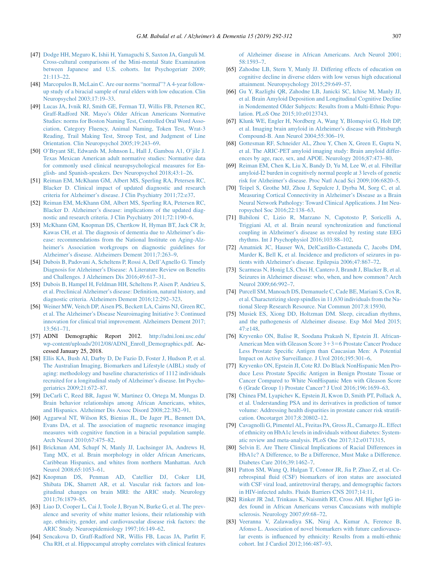- <span id="page-17-0"></span>[47] [Dodge HH, Meguro K, Ishii H, Yamaguchi S, Saxton JA, Ganguli M.](http://refhub.elsevier.com/S1552-5260(18)33556-8/sref47) [Cross-cultural comparisons of the Mini-mental State Examination](http://refhub.elsevier.com/S1552-5260(18)33556-8/sref47) [between Japanese and U.S. cohorts. Int Psychogeriatr 2009;](http://refhub.elsevier.com/S1552-5260(18)33556-8/sref47) [21:113–22](http://refhub.elsevier.com/S1552-5260(18)33556-8/sref47).
- [48] [Marcopulos B, McLain C. Are our norms "normal"? A 4-year follow](http://refhub.elsevier.com/S1552-5260(18)33556-8/sref48)[up study of a biracial sample of rural elders with low education. Clin](http://refhub.elsevier.com/S1552-5260(18)33556-8/sref48) [Neuropsychol 2003;17:19–33](http://refhub.elsevier.com/S1552-5260(18)33556-8/sref48).
- [49] [Lucas JA, Ivnik RJ, Smith GE, Ferman TJ, Willis FB, Petersen RC,](http://refhub.elsevier.com/S1552-5260(18)33556-8/sref49) [Graff-Radford NR. Mayo's Older African Americans Normative](http://refhub.elsevier.com/S1552-5260(18)33556-8/sref49) [Studies: norms for Boston Naming Test, Controlled Oral Word Asso](http://refhub.elsevier.com/S1552-5260(18)33556-8/sref49)[ciation, Category Fluency, Animal Naming, Token Test, Wrat-3](http://refhub.elsevier.com/S1552-5260(18)33556-8/sref49) [Reading, Trail Making Test, Stroop Test, and Judgment of Line](http://refhub.elsevier.com/S1552-5260(18)33556-8/sref49) [Orientation. Clin Neuropsychol 2005;19:243–69.](http://refhub.elsevier.com/S1552-5260(18)33556-8/sref49)
- [50] [O'Bryant SE, Edwards M, Johnson L, Hall J, Gamboa A1, O'jile J.](http://refhub.elsevier.com/S1552-5260(18)33556-8/sref50) [Texas Mexican American adult normative studies: Normative data](http://refhub.elsevier.com/S1552-5260(18)33556-8/sref50) [for commonly used clinical neuropsychological measures for En](http://refhub.elsevier.com/S1552-5260(18)33556-8/sref50)[glish- and Spanish-speakers. Dev Neuropsychol 2018;43:1–26](http://refhub.elsevier.com/S1552-5260(18)33556-8/sref50).
- [51] [Reiman EM, McKhann GM, Albert MS, Sperling RA, Petersen RC,](http://refhub.elsevier.com/S1552-5260(18)33556-8/sref51) [Blacker D. Clinical impact of updated diagnostic and research](http://refhub.elsevier.com/S1552-5260(18)33556-8/sref51) [criteria for Alzheimer's disease. J Clin Psychiatry 2011;72:e37.](http://refhub.elsevier.com/S1552-5260(18)33556-8/sref51)
- [52] [Reiman EM, McKhann GM, Albert MS, Sperling RA, Petersen RC,](http://refhub.elsevier.com/S1552-5260(18)33556-8/sref52) [Blacker D. Alzheimer's disease: implications of the updated diag](http://refhub.elsevier.com/S1552-5260(18)33556-8/sref52)[nostic and research criteria. J Clin Psychiatry 2011;72:1190–6](http://refhub.elsevier.com/S1552-5260(18)33556-8/sref52).
- [53] [McKhann GM, Knopman DS, Chertkow H, Hyman BT, Jack CR Jr,](http://refhub.elsevier.com/S1552-5260(18)33556-8/sref53) [Kawas CH, et al. The diagnosis of dementia due to Alzheimer's dis](http://refhub.elsevier.com/S1552-5260(18)33556-8/sref53)[ease: recommendations from the National Institute on Aging-Alz](http://refhub.elsevier.com/S1552-5260(18)33556-8/sref53)[heimer's Association workgroups on diagnostic guidelines for](http://refhub.elsevier.com/S1552-5260(18)33556-8/sref53) [Alzheimer's disease. Alzheimers Dement 2011;7:263–9](http://refhub.elsevier.com/S1552-5260(18)33556-8/sref53).
- [54] [Dubois B, Padovani A, Scheltens P, Rossi A, Dell'Agnello G. Timely](http://refhub.elsevier.com/S1552-5260(18)33556-8/sref54) [Diagnosis for Alzheimer's Disease: A Literature Review on Benefits](http://refhub.elsevier.com/S1552-5260(18)33556-8/sref54) [and Challenges. J Alzheimers Dis 2016;49:617–31.](http://refhub.elsevier.com/S1552-5260(18)33556-8/sref54)
- [55] [Dubois B, Hampel H, Feldman HH, Scheltens P, Aisen P, Andrieu S,](http://refhub.elsevier.com/S1552-5260(18)33556-8/sref55) [et al. Preclinical Alzheimer's disease: Definition, natural history, and](http://refhub.elsevier.com/S1552-5260(18)33556-8/sref55) [diagnostic criteria. Alzheimers Dement 2016;12:292–323.](http://refhub.elsevier.com/S1552-5260(18)33556-8/sref55)
- [56] [Weiner MW, Veitch DP, Aisen PS, Beckett LA, Cairns NJ, Green RC,](http://refhub.elsevier.com/S1552-5260(18)33556-8/sref56) [et al. The Alzheimer's Disease Neuroimaging Initiative 3: Continued](http://refhub.elsevier.com/S1552-5260(18)33556-8/sref56) [innovation for clinical trial improvement. Alzheimers Dement 2017;](http://refhub.elsevier.com/S1552-5260(18)33556-8/sref56) [13:561–71](http://refhub.elsevier.com/S1552-5260(18)33556-8/sref56).
- [57] ADNI Demographic Report 2012. [http://adni.loni.usc.edu/](http://adni.loni.usc.edu/wp-content/uploads/2012/08/ADNI_Enroll_Demographics.pdf) [wp-content/uploads/2012/08/ADNI\\_Enroll\\_Demographics.pdf](http://adni.loni.usc.edu/wp-content/uploads/2012/08/ADNI_Enroll_Demographics.pdf). Accessed January 25, 2018.
- [58] [Ellis KA, Bush AI, Darby D, De Fazio D, Foster J, Hudson P, et al.](http://refhub.elsevier.com/S1552-5260(18)33556-8/sref58) [The Australian Imaging, Biomarkers and Lifestyle \(AIBL\) study of](http://refhub.elsevier.com/S1552-5260(18)33556-8/sref58) [aging: methodology and baseline characteristics of 1112 individuals](http://refhub.elsevier.com/S1552-5260(18)33556-8/sref58) [recruited for a longitudinal study of Alzheimer's disease. Int Psycho](http://refhub.elsevier.com/S1552-5260(18)33556-8/sref58)[geriatrics 2009;21:672–87](http://refhub.elsevier.com/S1552-5260(18)33556-8/sref58).
- [59] [DeCarli C, Reed BR, Jagust W, Martinez O, Ortega M, Mungas D.](http://refhub.elsevier.com/S1552-5260(18)33556-8/sref59) [Brain behavior relationships among African Americans, whites,](http://refhub.elsevier.com/S1552-5260(18)33556-8/sref59) [and Hispanics. Alzheimer Dis Assoc Disord 2008;22:382–91](http://refhub.elsevier.com/S1552-5260(18)33556-8/sref59).
- [60] [Aggarwal NT, Wilson RS, Bienias JL, De Jager PL, Bennett DA,](http://refhub.elsevier.com/S1552-5260(18)33556-8/sref60) [Evans DA, et al. The association of magnetic resonance imaging](http://refhub.elsevier.com/S1552-5260(18)33556-8/sref60) [measures with cognitive function in a biracial population sample.](http://refhub.elsevier.com/S1552-5260(18)33556-8/sref60) [Arch Neurol 2010;67:475–82.](http://refhub.elsevier.com/S1552-5260(18)33556-8/sref60)
- [61] [Brickman AM, Schupf N, Manly JJ, Luchsinger JA, Andrews H,](http://refhub.elsevier.com/S1552-5260(18)33556-8/sref61) [Tang MX, et al. Brain morphology in older African Americans,](http://refhub.elsevier.com/S1552-5260(18)33556-8/sref61) [Caribbean Hispanics, and whites from northern Manhattan. Arch](http://refhub.elsevier.com/S1552-5260(18)33556-8/sref61) [Neurol 2008;65:1053–61.](http://refhub.elsevier.com/S1552-5260(18)33556-8/sref61)
- [62] [Knopman DS, Penman AD, Catellier DJ, Coker LH,](http://refhub.elsevier.com/S1552-5260(18)33556-8/sref62) [Shibata DK, Sharrett AR, et al. Vascular risk factors and lon](http://refhub.elsevier.com/S1552-5260(18)33556-8/sref62)[gitudinal changes on brain MRI: the ARIC study. Neurology](http://refhub.elsevier.com/S1552-5260(18)33556-8/sref62) [2011;76:1879–85](http://refhub.elsevier.com/S1552-5260(18)33556-8/sref62).
- [63] [Liao D, Cooper L, Cai J, Toole J, Bryan N, Burke G, et al. The prev](http://refhub.elsevier.com/S1552-5260(18)33556-8/sref63)[alence and severity of white matter lesions, their relationship with](http://refhub.elsevier.com/S1552-5260(18)33556-8/sref63) [age, ethnicity, gender, and cardiovascular disease risk factors: the](http://refhub.elsevier.com/S1552-5260(18)33556-8/sref63) [ARIC Study. Neuroepidemiology 1997;16:149–62.](http://refhub.elsevier.com/S1552-5260(18)33556-8/sref63)
- [64] [Sencakova D, Graff-Radford NR, Willis FB, Lucas JA, Parfitt F,](http://refhub.elsevier.com/S1552-5260(18)33556-8/sref64) [Cha RH, et al. Hippocampal atrophy correlates with clinical features](http://refhub.elsevier.com/S1552-5260(18)33556-8/sref64)

[of Alzheimer disease in African Americans. Arch Neurol 2001;](http://refhub.elsevier.com/S1552-5260(18)33556-8/sref64) [58:1593–7](http://refhub.elsevier.com/S1552-5260(18)33556-8/sref64).

- [65] [Zahodne LB, Stern Y, Manly JJ. Differing effects of education on](http://refhub.elsevier.com/S1552-5260(18)33556-8/sref65) [cognitive decline in diverse elders with low versus high educational](http://refhub.elsevier.com/S1552-5260(18)33556-8/sref65) [attainment. Neuropsychology 2015;29:649–57](http://refhub.elsevier.com/S1552-5260(18)33556-8/sref65).
- [66] [Gu Y, Razlighi QR, Zahodne LB, Janicki SC, Ichise M, Manly JJ,](http://refhub.elsevier.com/S1552-5260(18)33556-8/sref66) [et al. Brain Amyloid Deposition and Longitudinal Cognitive Decline](http://refhub.elsevier.com/S1552-5260(18)33556-8/sref66) [in Nondemented Older Subjects: Results from a Multi-Ethnic Popu](http://refhub.elsevier.com/S1552-5260(18)33556-8/sref66)[lation. PLoS One 2015;10:e0123743.](http://refhub.elsevier.com/S1552-5260(18)33556-8/sref66)
- [67] [Klunk WE, Engler H, Nordberg A, Wang Y, Blomqvist G, Holt DP,](http://refhub.elsevier.com/S1552-5260(18)33556-8/sref67) [et al. Imaging brain amyloid in Alzheimer's disease with Pittsburgh](http://refhub.elsevier.com/S1552-5260(18)33556-8/sref67) [Compound-B. Ann Neurol 2004;55:306–19](http://refhub.elsevier.com/S1552-5260(18)33556-8/sref67).
- [68] [Gottesman RF, Schneider AL, Zhou Y, Chen X, Green E, Gupta N,](http://refhub.elsevier.com/S1552-5260(18)33556-8/sref68) [et al. The ARIC-PET amyloid imaging study: Brain amyloid differ](http://refhub.elsevier.com/S1552-5260(18)33556-8/sref68)[ences by age, race, sex, and APOE. Neurology 2016;87:473–80.](http://refhub.elsevier.com/S1552-5260(18)33556-8/sref68)
- [69] [Reiman EM, Chen K, Liu X, Bandy D, Yu M, Lee W, et al. Fibrillar](http://refhub.elsevier.com/S1552-5260(18)33556-8/sref69) [amyloid-](http://refhub.elsevier.com/S1552-5260(18)33556-8/sref69) $\hat{I}2$  burden in cognitively normal people at 3 levels of genetic [risk for Alzheimer's disease. Proc Natl Acad Sci 2009;106:6820–5.](http://refhub.elsevier.com/S1552-5260(18)33556-8/sref69)
- [70] [Teipel S, Grothe MJ, Zhou J, Sepulcre J, Dyrba M, Sorg C, et al.](http://refhub.elsevier.com/S1552-5260(18)33556-8/sref70) [Measuring Cortical Connectivity in Alzheimer's Disease as a Brain](http://refhub.elsevier.com/S1552-5260(18)33556-8/sref70) [Neural Network Pathology: Toward Clinical Applications. J Int Neu](http://refhub.elsevier.com/S1552-5260(18)33556-8/sref70)[ropsychol Soc 2016;22:138–63](http://refhub.elsevier.com/S1552-5260(18)33556-8/sref70).
- [71] [Babiloni C, Lizio R, Marzano N, Capotosto P, Soricelli A,](http://refhub.elsevier.com/S1552-5260(18)33556-8/sref71) [Triggiani AI, et al. Brain neural synchronization and functional](http://refhub.elsevier.com/S1552-5260(18)33556-8/sref71) [coupling in Alzheimer's disease as revealed by resting state EEG](http://refhub.elsevier.com/S1552-5260(18)33556-8/sref71) [rhythms. Int J Psychophysiol 2016;103:88–102.](http://refhub.elsevier.com/S1552-5260(18)33556-8/sref71)
- [72] [Amatniek JC, Hauser WA, DelCastillo-Castaneda C, Jacobs DM,](http://refhub.elsevier.com/S1552-5260(18)33556-8/sref72) [Marder K, Bell K, et al. Incidence and predictors of seizures in pa](http://refhub.elsevier.com/S1552-5260(18)33556-8/sref72)[tients with Alzheimer's disease. Epilepsia 2006;47:867–72.](http://refhub.elsevier.com/S1552-5260(18)33556-8/sref72)
- [73] [Scarmeas N, Honig LS, Choi H, Cantero J, Brandt J, Blacker B, et al.](http://refhub.elsevier.com/S1552-5260(18)33556-8/sref73) [Seizures in Alzheimer disease: who, when, and how common? Arch](http://refhub.elsevier.com/S1552-5260(18)33556-8/sref73) [Neurol 2009;66:992–7.](http://refhub.elsevier.com/S1552-5260(18)33556-8/sref73)
- [74] [Purcell SM, Manoach DS, Demanuele C, Cade BE, Mariani S, Cox R,](http://refhub.elsevier.com/S1552-5260(18)33556-8/sref74) [et al. Characterizing sleep spindles in 11,630 individuals from the Na](http://refhub.elsevier.com/S1552-5260(18)33556-8/sref74)[tional Sleep Research Resource. Nat Commun 2017;8:15930.](http://refhub.elsevier.com/S1552-5260(18)33556-8/sref74)
- [75] [Musiek ES, Xiong DD, Holtzman DM. Sleep, circadian rhythms,](http://refhub.elsevier.com/S1552-5260(18)33556-8/sref75) [and the pathogenesis of Alzheimer disease. Exp Mol Med 2015;](http://refhub.elsevier.com/S1552-5260(18)33556-8/sref75) [47:e148.](http://refhub.elsevier.com/S1552-5260(18)33556-8/sref75)
- [76] [Kryvenko ON, Balise R, Soodana Prakash N, Epstein JI. African-](http://refhub.elsevier.com/S1552-5260(18)33556-8/sref76)American Men with Gleason Score  $3+3=6$  $3+3=6$  Prostate Cancer Produce [Less Prostate Specific Antigen than Caucasian Men: A Potential](http://refhub.elsevier.com/S1552-5260(18)33556-8/sref76) [Impact on Active Surveillance. J Urol 2016;195:301–6](http://refhub.elsevier.com/S1552-5260(18)33556-8/sref76).
- [77] [Kryvenko ON, Epstein JI, Cote RJ. Do Black NonHispanic Men Pro](http://refhub.elsevier.com/S1552-5260(18)33556-8/sref77)[duce Less Prostate Specific Antigen in Benign Prostate Tissue or](http://refhub.elsevier.com/S1552-5260(18)33556-8/sref77) [Cancer Compared to White NonHispanic Men with Gleason Score](http://refhub.elsevier.com/S1552-5260(18)33556-8/sref77) [6 \(Grade Group 1\) Prostate Cancer? J Urol 2016;196:1659–63.](http://refhub.elsevier.com/S1552-5260(18)33556-8/sref77)
- [78] [Chinea FM, Lyapichev K, Epstein JI, Kwon D, Smith PT, Pollack A,](http://refhub.elsevier.com/S1552-5260(18)33556-8/sref78) [et al. Understanding PSA and its derivatives in prediction of tumor](http://refhub.elsevier.com/S1552-5260(18)33556-8/sref78) [volume: Addressing health disparities in prostate cancer risk stratifi](http://refhub.elsevier.com/S1552-5260(18)33556-8/sref78)[cation. Oncotarget 2017;8:20802–12.](http://refhub.elsevier.com/S1552-5260(18)33556-8/sref78)
- [79] [Cavagnolli G, Pimentel AL, Freitas PA, Gross JL, Camargo JL. Effect](http://refhub.elsevier.com/S1552-5260(18)33556-8/sref79) [of ethnicity on HbA1c levels in individuals without diabetes: System](http://refhub.elsevier.com/S1552-5260(18)33556-8/sref79)[atic review and meta-analysis. PLoS One 2017;12:e0171315](http://refhub.elsevier.com/S1552-5260(18)33556-8/sref79).
- [80] [Selvin E. Are There Clinical Implications of Racial Differences in](http://refhub.elsevier.com/S1552-5260(18)33556-8/sref80) [HbA1c? A Difference, to Be a Difference, Must Make a Difference.](http://refhub.elsevier.com/S1552-5260(18)33556-8/sref80) [Diabetes Care 2016;39:1462–7.](http://refhub.elsevier.com/S1552-5260(18)33556-8/sref80)
- [81] [Patton SM, Wang Q, Hulgan T, Connor JR, Jia P, Zhao Z, et al. Ce](http://refhub.elsevier.com/S1552-5260(18)33556-8/sref81)[rebrospinal fluid \(CSF\) biomarkers of iron status are associated](http://refhub.elsevier.com/S1552-5260(18)33556-8/sref81) [with CSF viral load, antiretroviral therapy, and demographic factors](http://refhub.elsevier.com/S1552-5260(18)33556-8/sref81) [in HIV-infected adults. Fluids Barriers CNS 2017;14:11.](http://refhub.elsevier.com/S1552-5260(18)33556-8/sref81)
- [82] [Rinker JR 2nd, Trinkaus K, Naismith RT, Cross AH. Higher IgG in](http://refhub.elsevier.com/S1552-5260(18)33556-8/sref82)[dex found in African Americans versus Caucasians with multiple](http://refhub.elsevier.com/S1552-5260(18)33556-8/sref82) [sclerosis. Neurology 2007;69:68–72](http://refhub.elsevier.com/S1552-5260(18)33556-8/sref82).
- [83] [Veeranna V, Zalawadiya SK, Niraj A, Kumar A, Ference B,](http://refhub.elsevier.com/S1552-5260(18)33556-8/sref83) [Afonso L. Association of novel biomarkers with future cardiovascu](http://refhub.elsevier.com/S1552-5260(18)33556-8/sref83)[lar events is influenced by ethnicity: Results from a multi-ethnic](http://refhub.elsevier.com/S1552-5260(18)33556-8/sref83) [cohort. Int J Cardiol 2012;166:487–93](http://refhub.elsevier.com/S1552-5260(18)33556-8/sref83).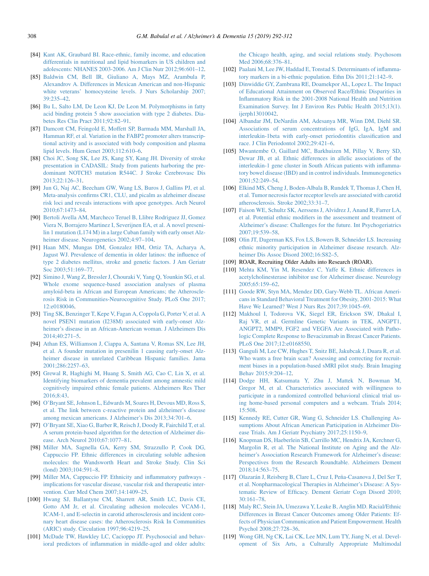- <span id="page-18-0"></span>[84] [Kant AK, Graubard BI. Race-ethnic, family income, and education](http://refhub.elsevier.com/S1552-5260(18)33556-8/sref84) [differentials in nutritional and lipid biomarkers in US children and](http://refhub.elsevier.com/S1552-5260(18)33556-8/sref84) [adolescents: NHANES 2003-2006. Am J Clin Nutr 2012;96:601–12](http://refhub.elsevier.com/S1552-5260(18)33556-8/sref84).
- [85] [Baldwin CM, Bell IR, Giuliano A, Mays MZ, Arambula P,](http://refhub.elsevier.com/S1552-5260(18)33556-8/sref85) [Alexandrov A. Differences in Mexican American and non-Hispanic](http://refhub.elsevier.com/S1552-5260(18)33556-8/sref85) [white veterans' homocysteine levels. J Nurs Scholarship 2007;](http://refhub.elsevier.com/S1552-5260(18)33556-8/sref85) [39:235–42](http://refhub.elsevier.com/S1552-5260(18)33556-8/sref85).
- [86] [Bu L, Salto LM, De Leon KJ, De Leon M. Polymorphisms in fatty](http://refhub.elsevier.com/S1552-5260(18)33556-8/sref86) [acid binding protein 5 show association with type 2 diabetes. Dia](http://refhub.elsevier.com/S1552-5260(18)33556-8/sref86)[betes Res Clin Pract 2011;92:82–91.](http://refhub.elsevier.com/S1552-5260(18)33556-8/sref86)
- [87] [Damcott CM, Feingold E, Moffett SP, Barmada MM, Marshall JA,](http://refhub.elsevier.com/S1552-5260(18)33556-8/sref87) [Hamman RF, et al. Variation in the FABP2 promoter alters transcrip](http://refhub.elsevier.com/S1552-5260(18)33556-8/sref87)[tional activity and is associated with body composition and plasma](http://refhub.elsevier.com/S1552-5260(18)33556-8/sref87) [lipid levels. Hum Genet 2003;112:610–6](http://refhub.elsevier.com/S1552-5260(18)33556-8/sref87).
- [88] [Choi JC, Song SK, Lee JS, Kang SY, Kang JH. Diversity of stroke](http://refhub.elsevier.com/S1552-5260(18)33556-8/sref88) [presentation in CADASIL: Study from patients harboring the pre](http://refhub.elsevier.com/S1552-5260(18)33556-8/sref88)[dominant NOTCH3 mutation R544C. J Stroke Cerebrovasc Dis](http://refhub.elsevier.com/S1552-5260(18)33556-8/sref88) [2013;22:126–31](http://refhub.elsevier.com/S1552-5260(18)33556-8/sref88).
- [89] [Jun G, Naj AC, Beecham GW, Wang LS, Buros J, Gallins PJ, et al.](http://refhub.elsevier.com/S1552-5260(18)33556-8/sref89) [Meta-analysis confirms CR1, CLU, and picalm as alzheimer disease](http://refhub.elsevier.com/S1552-5260(18)33556-8/sref89) [risk loci and reveals interactions with apoe genotypes. Arch Neurol](http://refhub.elsevier.com/S1552-5260(18)33556-8/sref89) [2010;67:1473–84](http://refhub.elsevier.com/S1552-5260(18)33556-8/sref89).
- [90] [Bertoli Avella AM, Marcheco Teruel B, Llibre Rodriguez JJ, Gomez](http://refhub.elsevier.com/S1552-5260(18)33556-8/sref90) [Viera N, Borrajero Martinez I, Severijnen EA, et al. A novel preseni](http://refhub.elsevier.com/S1552-5260(18)33556-8/sref90)[lin 1 mutation \(L174 M\) in a large Cuban family with early onset Alz](http://refhub.elsevier.com/S1552-5260(18)33556-8/sref90)[heimer disease. Neurogenetics 2002;4:97–104](http://refhub.elsevier.com/S1552-5260(18)33556-8/sref90).
- [91] [Haan MN, Mungas DM, Gonzalez HM, Ortiz TA, Acharya A,](http://refhub.elsevier.com/S1552-5260(18)33556-8/sref91) [Jagust WJ. Prevalence of dementia in older latinos: the influence of](http://refhub.elsevier.com/S1552-5260(18)33556-8/sref91) [type 2 diabetes mellitus, stroke and genetic factors. J Am Geriatr](http://refhub.elsevier.com/S1552-5260(18)33556-8/sref91) Soc  $2003:51:169-77$
- [92] [Simino J, Wang Z, Bressler J, Chouraki V, Yang Q, Younkin SG, et al.](http://refhub.elsevier.com/S1552-5260(18)33556-8/sref92) [Whole exome sequence-based association analyses of plasma](http://refhub.elsevier.com/S1552-5260(18)33556-8/sref92) [amyloid-beta in African and European Americans; the Atheroscle](http://refhub.elsevier.com/S1552-5260(18)33556-8/sref92)[rosis Risk in Communities-Neurocognitive Study. PLoS One 2017;](http://refhub.elsevier.com/S1552-5260(18)33556-8/sref92) [12:e0180046.](http://refhub.elsevier.com/S1552-5260(18)33556-8/sref92)
- [93] [Ting SK, Benzinger T, Kepe V, Fagan A, Coppola G, Porter V, et al. A](http://refhub.elsevier.com/S1552-5260(18)33556-8/sref93) [novel PSEN1 mutation \(I238M\) associated with early-onset Alz](http://refhub.elsevier.com/S1552-5260(18)33556-8/sref93)[heimer's disease in an African-American woman. J Alzheimers Dis](http://refhub.elsevier.com/S1552-5260(18)33556-8/sref93) [2014;40:271–5](http://refhub.elsevier.com/S1552-5260(18)33556-8/sref93).
- [94] [Athan ES, Williamson J, Ciappa A, Santana V, Romas SN, Lee JH,](http://refhub.elsevier.com/S1552-5260(18)33556-8/sref94) [et al. A founder mutation in presenilin 1 causing early-onset Alz](http://refhub.elsevier.com/S1552-5260(18)33556-8/sref94)[heimer disease in unrelated Caribbean Hispanic families. Jama](http://refhub.elsevier.com/S1552-5260(18)33556-8/sref94) [2001;286:2257–63](http://refhub.elsevier.com/S1552-5260(18)33556-8/sref94).
- [95] [Grewal R, Haghighi M, Huang S, Smith AG, Cao C, Lin X, et al.](http://refhub.elsevier.com/S1552-5260(18)33556-8/sref95) [Identifying biomarkers of dementia prevalent among amnestic mild](http://refhub.elsevier.com/S1552-5260(18)33556-8/sref95) [cognitively impaired ethnic female patients. Alzheimers Res Ther](http://refhub.elsevier.com/S1552-5260(18)33556-8/sref95) [2016;8:43](http://refhub.elsevier.com/S1552-5260(18)33556-8/sref95).
- [96] [O'Bryant SE, Johnson L, Edwards M, Soares H, Devous MD, Ross S,](http://refhub.elsevier.com/S1552-5260(18)33556-8/sref96) [et al. The link between c-reactive protein and alzheimer's disease](http://refhub.elsevier.com/S1552-5260(18)33556-8/sref96) [among mexican americans. J Alzheimer's Dis 2013;34:701–6](http://refhub.elsevier.com/S1552-5260(18)33556-8/sref96).
- [97] [O'Bryant SE, Xiao G, Barber R, Reisch J, Doody R, Fairchild T, et al.](http://refhub.elsevier.com/S1552-5260(18)33556-8/sref97) [A serum protein-based algorithm for the detection of Alzheimer dis](http://refhub.elsevier.com/S1552-5260(18)33556-8/sref97)[ease. Arch Neurol 2010;67:1077–81.](http://refhub.elsevier.com/S1552-5260(18)33556-8/sref97)
- [98] [Miller MA, Sagnella GA, Kerry SM, Strazzullo P, Cook DG,](http://refhub.elsevier.com/S1552-5260(18)33556-8/sref98) [Cappuccio FP. Ethnic differences in circulating soluble adhesion](http://refhub.elsevier.com/S1552-5260(18)33556-8/sref98) [molecules: the Wandsworth Heart and Stroke Study. Clin Sci](http://refhub.elsevier.com/S1552-5260(18)33556-8/sref98) [\(lond\) 2003;104:591–8.](http://refhub.elsevier.com/S1552-5260(18)33556-8/sref98)
- [99] [Miller MA, Cappuccio FP. Ethnicity and inflammatory pathways](http://refhub.elsevier.com/S1552-5260(18)33556-8/sref99)  [implications for vascular disease, vascular risk and therapeutic inter](http://refhub.elsevier.com/S1552-5260(18)33556-8/sref99)[vention. Curr Med Chem 2007;14:1409–25](http://refhub.elsevier.com/S1552-5260(18)33556-8/sref99).
- [100] [Hwang SJ, Ballantyne CM, Sharrett AR, Smith LC, Davis CE,](http://refhub.elsevier.com/S1552-5260(18)33556-8/sref100) [Gotto AM Jr, et al. Circulating adhesion molecules VCAM-1,](http://refhub.elsevier.com/S1552-5260(18)33556-8/sref100) [ICAM-1, and E-selectin in carotid atherosclerosis and incident coro](http://refhub.elsevier.com/S1552-5260(18)33556-8/sref100)[nary heart disease cases: the Atherosclerosis Risk In Communities](http://refhub.elsevier.com/S1552-5260(18)33556-8/sref100) [\(ARIC\) study. Circulation 1997;96:4219–25.](http://refhub.elsevier.com/S1552-5260(18)33556-8/sref100)
- [101] [McDade TW, Hawkley LC, Cacioppo JT. Psychosocial and behav](http://refhub.elsevier.com/S1552-5260(18)33556-8/sref101)[ioral predictors of inflammation in middle-aged and older adults:](http://refhub.elsevier.com/S1552-5260(18)33556-8/sref101)

[the Chicago health, aging, and social relations study. Psychosom](http://refhub.elsevier.com/S1552-5260(18)33556-8/sref101) [Med 2006;68:376–81](http://refhub.elsevier.com/S1552-5260(18)33556-8/sref101).

- [102] [Paalani M, Lee JW, Haddad E, Tonstad S. Determinants of inflamma](http://refhub.elsevier.com/S1552-5260(18)33556-8/sref102)[tory markers in a bi-ethnic population. Ethn Dis 2011;21:142–9](http://refhub.elsevier.com/S1552-5260(18)33556-8/sref102).
- [103] [Dinwiddie GY, Zambrana RE, Doamekpor AL, Lopez L. The Impact](http://refhub.elsevier.com/S1552-5260(18)33556-8/sref103) [of Educational Attainment on Observed Race/Ethnic Disparities in](http://refhub.elsevier.com/S1552-5260(18)33556-8/sref103) [Inflammatory Risk in the 2001-2008 National Health and Nutrition](http://refhub.elsevier.com/S1552-5260(18)33556-8/sref103) [Examination Survey. Int J Environ Res Public Health 2015;13\(1\).](http://refhub.elsevier.com/S1552-5260(18)33556-8/sref103) [ijerph13010042.](http://refhub.elsevier.com/S1552-5260(18)33556-8/sref103)
- [104] [Albandar JM, DeNardin AM, Adesanya MR, Winn DM, Diehl SR.](http://refhub.elsevier.com/S1552-5260(18)33556-8/sref104) [Associations of serum concentrations of IgG, IgA, IgM and](http://refhub.elsevier.com/S1552-5260(18)33556-8/sref104) [interleukin-1beta with early-onset periodontitis classification and](http://refhub.elsevier.com/S1552-5260(18)33556-8/sref104) [race. J Clin Periodontol 2002;29:421–6.](http://refhub.elsevier.com/S1552-5260(18)33556-8/sref104)
- [105] [Mwantembe O, Gaillard MC, Barkhuizen M, Pillay V, Berry SD,](http://refhub.elsevier.com/S1552-5260(18)33556-8/sref105) [Dewar JB, et al. Ethnic differences in allelic associations of the](http://refhub.elsevier.com/S1552-5260(18)33556-8/sref105) [interleukin-1 gene cluster in South African patients with inflamma](http://refhub.elsevier.com/S1552-5260(18)33556-8/sref105)[tory bowel disease \(IBD\) and in control individuals. Immunogenetics](http://refhub.elsevier.com/S1552-5260(18)33556-8/sref105) [2001;52:249–54](http://refhub.elsevier.com/S1552-5260(18)33556-8/sref105).
- [106] [Elkind MS, Cheng J, Boden-Albala B, Rundek T, Thomas J, Chen H,](http://refhub.elsevier.com/S1552-5260(18)33556-8/sref106) [et al. Tumor necrosis factor receptor levels are associated with carotid](http://refhub.elsevier.com/S1552-5260(18)33556-8/sref106) [atherosclerosis. Stroke 2002;33:31–7.](http://refhub.elsevier.com/S1552-5260(18)33556-8/sref106)
- [107] [Faison WE, Schultz SK, Aerssens J, Alvidrez J, Anand R, Farrer LA,](http://refhub.elsevier.com/S1552-5260(18)33556-8/sref107) [et al. Potential ethnic modifiers in the assessment and treatment of](http://refhub.elsevier.com/S1552-5260(18)33556-8/sref107) [Alzheimer's disease: Challenges for the future. Int Psychogeriatrics](http://refhub.elsevier.com/S1552-5260(18)33556-8/sref107) [2007;19:539–58](http://refhub.elsevier.com/S1552-5260(18)33556-8/sref107).
- [108] [Olin JT, Dagerman KS, Fox LS, Bowers B, Schneider LS. Increasing](http://refhub.elsevier.com/S1552-5260(18)33556-8/sref108) [ethnic minority participation in Alzheimer disease research. Alz](http://refhub.elsevier.com/S1552-5260(18)33556-8/sref108)[heimer Dis Assoc Disord 2002;16:S82–5.](http://refhub.elsevier.com/S1552-5260(18)33556-8/sref108)
- [109] ROAR, Recruiting Older Adults into Research (ROAR).
- [110] [Mehta KM, Yin M, Resendez C, Yaffe K. Ethnic differences in](http://refhub.elsevier.com/S1552-5260(18)33556-8/sref110) [acetylcholinesterase inhibitor use for Alzheimer disease. Neurology](http://refhub.elsevier.com/S1552-5260(18)33556-8/sref110) [2005;65:159–62](http://refhub.elsevier.com/S1552-5260(18)33556-8/sref110).
- [111] [Goode RW, Styn MA, Mendez DD, Gary-Webb TL. African Ameri](http://refhub.elsevier.com/S1552-5260(18)33556-8/sref111)[cans in Standard Behavioral Treatment for Obesity, 2001-2015: What](http://refhub.elsevier.com/S1552-5260(18)33556-8/sref111) [Have We Learned? West J Nurs Res 2017;39:1045–69.](http://refhub.elsevier.com/S1552-5260(18)33556-8/sref111)
- [112] [Makhoul I, Todorova VK, Siegel ER, Erickson SW, Dhakal I,](http://refhub.elsevier.com/S1552-5260(18)33556-8/sref112) [Raj VR, et al. Germline Genetic Variants in TEK, ANGPT1,](http://refhub.elsevier.com/S1552-5260(18)33556-8/sref112) [ANGPT2, MMP9, FGF2 and VEGFA Are Associated with Patho](http://refhub.elsevier.com/S1552-5260(18)33556-8/sref112)[logic Complete Response to Bevacizumab in Breast Cancer Patients.](http://refhub.elsevier.com/S1552-5260(18)33556-8/sref112) [PLoS One 2017;12:e0168550](http://refhub.elsevier.com/S1552-5260(18)33556-8/sref112).
- [113] [Ganguli M, Lee CW, Hughes T, Snitz BE, Jakubcak J, Duara R, et al.](http://refhub.elsevier.com/S1552-5260(18)33556-8/sref113) [Who wants a free brain scan? Assessing and correcting for recruit](http://refhub.elsevier.com/S1552-5260(18)33556-8/sref113)[ment biases in a population-based sMRI pilot study. Brain Imaging](http://refhub.elsevier.com/S1552-5260(18)33556-8/sref113) [Behav 2015;9:204–12.](http://refhub.elsevier.com/S1552-5260(18)33556-8/sref113)
- [114] [Dodge HH, Katsumata Y, Zhu J, Mattek N, Bowman M,](http://refhub.elsevier.com/S1552-5260(18)33556-8/sref114) [Gregor M, et al. Characteristics associated with willingness to](http://refhub.elsevier.com/S1552-5260(18)33556-8/sref114) [participate in a randomized controlled behavioral clinical trial us](http://refhub.elsevier.com/S1552-5260(18)33556-8/sref114)[ing home-based personal computers and a webcam. Trials 2014;](http://refhub.elsevier.com/S1552-5260(18)33556-8/sref114) [15:508](http://refhub.elsevier.com/S1552-5260(18)33556-8/sref114).
- [115] [Kennedy RE, Cutter GR, Wang G, Schneider LS. Challenging As](http://refhub.elsevier.com/S1552-5260(18)33556-8/sref115)[sumptions About African American Participation in Alzheimer Dis](http://refhub.elsevier.com/S1552-5260(18)33556-8/sref115)[ease Trials. Am J Geriatr Psychiatry 2017;25:1150–9.](http://refhub.elsevier.com/S1552-5260(18)33556-8/sref115)
- [116] [Knopman DS, Haeberlein SB, Carrillo MC, Hendrix JA, Kerchner G,](http://refhub.elsevier.com/S1552-5260(18)33556-8/sref116) [Margolin R, et al. The National Institute on Aging and the Alz](http://refhub.elsevier.com/S1552-5260(18)33556-8/sref116)[heimer's Association Research Framework for Alzheimer's disease:](http://refhub.elsevier.com/S1552-5260(18)33556-8/sref116) [Perspectives from the Research Roundtable. Alzheimers Dement](http://refhub.elsevier.com/S1552-5260(18)33556-8/sref116) [2018;14:563–75](http://refhub.elsevier.com/S1552-5260(18)33556-8/sref116).
- [117] [Olazar](http://refhub.elsevier.com/S1552-5260(18)33556-8/sref117)á[n J, Reisberg B, Clare L, Cruz I, Pe](http://refhub.elsevier.com/S1552-5260(18)33556-8/sref117)ña-Casanova J, Del Ser T, [et al. Nonpharmacological Therapies in Alzheimer's Disease: A Sys](http://refhub.elsevier.com/S1552-5260(18)33556-8/sref117)[tematic Review of Efficacy. Dement Geriatr Cogn Disord 2010;](http://refhub.elsevier.com/S1552-5260(18)33556-8/sref117) [30:161–78](http://refhub.elsevier.com/S1552-5260(18)33556-8/sref117).
- [118] [Maly RC, Stein JA, Umezawa Y, Leake B, Anglin MD. Racial/Ethnic](http://refhub.elsevier.com/S1552-5260(18)33556-8/sref118) [Differences in Breast Cancer Outcomes among Older Patients: Ef](http://refhub.elsevier.com/S1552-5260(18)33556-8/sref118)[fects of Physician Communication and Patient Empowerment. Health](http://refhub.elsevier.com/S1552-5260(18)33556-8/sref118) [Psychol 2008;27:728–36.](http://refhub.elsevier.com/S1552-5260(18)33556-8/sref118)
- [119] [Wong GH, Ng CK, Lai CK, Lee MN, Lum TY, Jiang N, et al. Devel](http://refhub.elsevier.com/S1552-5260(18)33556-8/sref119)[opment of Six Arts, a Culturally Appropriate Multimodal](http://refhub.elsevier.com/S1552-5260(18)33556-8/sref119)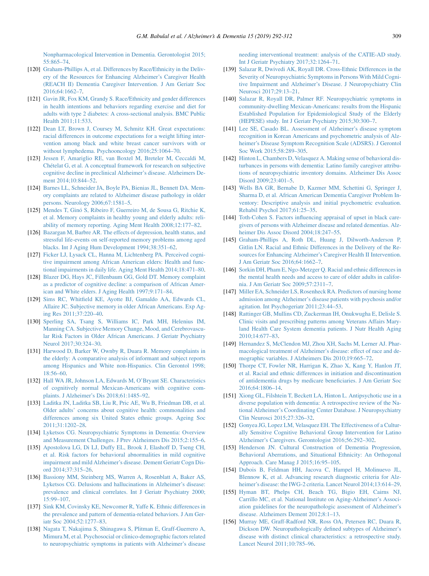<span id="page-19-0"></span>[Nonpharmacological Intervention in Dementia. Gerontologist 2015;](http://refhub.elsevier.com/S1552-5260(18)33556-8/sref119) [55:865–74](http://refhub.elsevier.com/S1552-5260(18)33556-8/sref119).

- [120] [Graham-Phillips A, et al. Differences by Race/Ethnicity in the Deliv](http://refhub.elsevier.com/S1552-5260(18)33556-8/sref120)[ery of the Resources for Enhancing Alzheimer's Caregiver Health](http://refhub.elsevier.com/S1552-5260(18)33556-8/sref120) [\(REACH II\) Dementia Caregiver Intervention. J Am Geriatr Soc](http://refhub.elsevier.com/S1552-5260(18)33556-8/sref120) [2016;64:1662–7](http://refhub.elsevier.com/S1552-5260(18)33556-8/sref120).
- [121] [Gavin JR, Fox KM, Grandy S. Race/Ethnicity and gender differences](http://refhub.elsevier.com/S1552-5260(18)33556-8/sref121) [in health intentions and behaviors regarding exercise and diet for](http://refhub.elsevier.com/S1552-5260(18)33556-8/sref121) [adults with type 2 diabetes: A cross-sectional analysis. BMC Public](http://refhub.elsevier.com/S1552-5260(18)33556-8/sref121) [Health 2011;11:533.](http://refhub.elsevier.com/S1552-5260(18)33556-8/sref121)
- [122] [Dean LT, Brown J, Coursey M, Schmitz KH. Great expectations:](http://refhub.elsevier.com/S1552-5260(18)33556-8/sref122) [racial differences in outcome expectations for a weight lifting inter](http://refhub.elsevier.com/S1552-5260(18)33556-8/sref122)[vention among black and white breast cancer survivors with or](http://refhub.elsevier.com/S1552-5260(18)33556-8/sref122) [without lymphedema. Psychooncology 2016;25:1064–70](http://refhub.elsevier.com/S1552-5260(18)33556-8/sref122).
- [123] [Jessen F, Amariglio RE, van Boxtel M, Breteler M, Ceccaldi M,](http://refhub.elsevier.com/S1552-5260(18)33556-8/sref123) [Ch](http://refhub.elsevier.com/S1552-5260(18)33556-8/sref123)é[telat G, et al. A conceptual framework for research on subjective](http://refhub.elsevier.com/S1552-5260(18)33556-8/sref123) [cognitive decline in preclinical Alzheimer's disease. Alzheimers De](http://refhub.elsevier.com/S1552-5260(18)33556-8/sref123)[ment 2014;10:844–52.](http://refhub.elsevier.com/S1552-5260(18)33556-8/sref123)
- [124] [Barnes LL, Schneider JA, Boyle PA, Bienias JL, Bennett DA. Mem](http://refhub.elsevier.com/S1552-5260(18)33556-8/sref124)[ory complaints are related to Alzheimer disease pathology in older](http://refhub.elsevier.com/S1552-5260(18)33556-8/sref124) [persons. Neurology 2006;67:1581–5](http://refhub.elsevier.com/S1552-5260(18)33556-8/sref124).
- [125] [Mendes T, Gin](http://refhub.elsevier.com/S1552-5260(18)33556-8/sref125)ó S, Ribeiro F, Guerreiro M, de Sousa G, Ritchie K, [et al. Memory complaints in healthy young and elderly adults: reli](http://refhub.elsevier.com/S1552-5260(18)33556-8/sref125)[ability of memory reporting. Aging Ment Health 2008;12:177–82.](http://refhub.elsevier.com/S1552-5260(18)33556-8/sref125)
- [126] [Bazargan M, Barbre AR. The effects of depression, health status, and](http://refhub.elsevier.com/S1552-5260(18)33556-8/sref126) [stressful life-events on self-reported memory problems among aged](http://refhub.elsevier.com/S1552-5260(18)33556-8/sref126) [blacks. Int J Aging Hum Development 1994;38:351–62](http://refhub.elsevier.com/S1552-5260(18)33556-8/sref126).
- [127] [Ficker LJ, Lysack CL, Hanna M, Lichtenberg PA. Perceived cogni](http://refhub.elsevier.com/S1552-5260(18)33556-8/sref127)[tive impairment among African American elders: Health and func](http://refhub.elsevier.com/S1552-5260(18)33556-8/sref127)[tional impairments in daily life. Aging Ment Health 2014;18:471–80](http://refhub.elsevier.com/S1552-5260(18)33556-8/sref127).
- [128] [Blazer DG, Hays JC, Fillenbaum GG, Gold DT. Memory complaint](http://refhub.elsevier.com/S1552-5260(18)33556-8/sref128) [as a predictor of cognitive decline: a comparison of African Amer](http://refhub.elsevier.com/S1552-5260(18)33556-8/sref128)[ican and White elders. J Aging Health 1997;9:171–84](http://refhub.elsevier.com/S1552-5260(18)33556-8/sref128).
- [129] [Sims RC, Whitfield KE, Ayotte BJ, Gamaldo AA, Edwards CL,](http://refhub.elsevier.com/S1552-5260(18)33556-8/sref129) [Allaire JC. Subjective memory in older African Americans. Exp Ag](http://refhub.elsevier.com/S1552-5260(18)33556-8/sref129)[ing Res 2011;37:220–40.](http://refhub.elsevier.com/S1552-5260(18)33556-8/sref129)
- [130] [Sperling SA, Tsang S, Williams IC, Park MH, Helenius IM,](http://refhub.elsevier.com/S1552-5260(18)33556-8/sref130) [Manning CA. Subjective Memory Change, Mood, and Cerebrovascu](http://refhub.elsevier.com/S1552-5260(18)33556-8/sref130)[lar Risk Factors in Older African Americans. J Geriatr Psychiatry](http://refhub.elsevier.com/S1552-5260(18)33556-8/sref130) [Neurol 2017;30:324–30.](http://refhub.elsevier.com/S1552-5260(18)33556-8/sref130)
- [131] [Harwood D, Barker W, Ownby R, Duara R. Memory complaints in](http://refhub.elsevier.com/S1552-5260(18)33556-8/sref131) [the elderly: A comparative analysis of informant and subject reports](http://refhub.elsevier.com/S1552-5260(18)33556-8/sref131) [among Hispanics and White non-Hispanics. Clin Gerontol 1998;](http://refhub.elsevier.com/S1552-5260(18)33556-8/sref131) [18:56–60](http://refhub.elsevier.com/S1552-5260(18)33556-8/sref131).
- [132] [Hall WA JR, Johnson LA, Edwards M, O'Bryant SE. Characteristics](http://refhub.elsevier.com/S1552-5260(18)33556-8/sref132) [of cognitively normal Mexican-Americans with cognitive com](http://refhub.elsevier.com/S1552-5260(18)33556-8/sref132)[plaints. J Alzheimer's Dis 2018;61:1485–92](http://refhub.elsevier.com/S1552-5260(18)33556-8/sref132).
- [133] [Laditka JN, Laditka SB, Liu R, Pric AE, Wu B, Friedman DB, et al.](http://refhub.elsevier.com/S1552-5260(18)33556-8/sref133) [Older adults' concerns about cognitive health: commonalities and](http://refhub.elsevier.com/S1552-5260(18)33556-8/sref133) [differences among six United States ethnic groups. Ageing Soc](http://refhub.elsevier.com/S1552-5260(18)33556-8/sref133) [2011;31:1202–28](http://refhub.elsevier.com/S1552-5260(18)33556-8/sref133).
- [134] [Lyketsos CG. Neuropsychiatric Symptoms in Dementia: Overview](http://refhub.elsevier.com/S1552-5260(18)33556-8/sref134) [and Measurement Challenges. J Prev Alzheimers Dis 2015;2:155–6](http://refhub.elsevier.com/S1552-5260(18)33556-8/sref134).
- [135] [Apostolova LG, Di LJ, Duffy EL, Brook J, Elashoff D, Tseng CH,](http://refhub.elsevier.com/S1552-5260(18)33556-8/sref135) [et al. Risk factors for behavioral abnormalities in mild cognitive](http://refhub.elsevier.com/S1552-5260(18)33556-8/sref135) [impairment and mild Alzheimer's disease. Dement Geriatr Cogn Dis](http://refhub.elsevier.com/S1552-5260(18)33556-8/sref135)[ord 2014;37:315–26](http://refhub.elsevier.com/S1552-5260(18)33556-8/sref135).
- [136] [Bassiony MM, Steinberg MS, Warren A, Rosenblatt A, Baker AS,](http://refhub.elsevier.com/S1552-5260(18)33556-8/sref136) [Lyketsos CG. Delusions and hallucinations in Alzheimer's disease:](http://refhub.elsevier.com/S1552-5260(18)33556-8/sref136) [prevalence and clinical correlates. Int J Geriatr Psychiatry 2000;](http://refhub.elsevier.com/S1552-5260(18)33556-8/sref136)  $15:99-107$ .
- [137] [Sink KM, Covinsky KE, Newcomer R, Yaffe K. Ethnic differences in](http://refhub.elsevier.com/S1552-5260(18)33556-8/sref137) [the prevalence and pattern of dementia-related behaviors. J Am Ger](http://refhub.elsevier.com/S1552-5260(18)33556-8/sref137)[iatr Soc 2004;52:1277–83](http://refhub.elsevier.com/S1552-5260(18)33556-8/sref137).
- [138] [Nagata T, Nakajima S, Shinagawa S, Plitman E, Graff-Guerrero A,](http://refhub.elsevier.com/S1552-5260(18)33556-8/sref138) [Mimura M, et al. Psychosocial or clinico-demographic factors related](http://refhub.elsevier.com/S1552-5260(18)33556-8/sref138) [to neuropsychiatric symptoms in patients with Alzheimer's disease](http://refhub.elsevier.com/S1552-5260(18)33556-8/sref138)

[needing interventional treatment: analysis of the CATIE-AD study.](http://refhub.elsevier.com/S1552-5260(18)33556-8/sref138) [Int J Geriatr Psychiatry 2017;32:1264–71](http://refhub.elsevier.com/S1552-5260(18)33556-8/sref138).

- [139] Salazar R, Dwivedi AK, Royall DR, Cross-Ethnic Differences in the [Severity of Neuropsychiatric Symptoms in Persons With Mild Cogni](http://refhub.elsevier.com/S1552-5260(18)33556-8/sref139)[tive Impairment and Alzheimer's Disease. J Neuropsychiatry Clin](http://refhub.elsevier.com/S1552-5260(18)33556-8/sref139) [Neurosci 2017;29:13–21](http://refhub.elsevier.com/S1552-5260(18)33556-8/sref139).
- [140] [Salazar R, Royall DR, Palmer RF. Neuropsychiatric symptoms in](http://refhub.elsevier.com/S1552-5260(18)33556-8/sref140) [community-dwelling Mexican-Americans: results from the Hispanic](http://refhub.elsevier.com/S1552-5260(18)33556-8/sref140) [Established Population for Epidemiological Study of the Elderly](http://refhub.elsevier.com/S1552-5260(18)33556-8/sref140) [\(HEPESE\) study. Int J Geriatr Psychiatry 2015;30:300–7](http://refhub.elsevier.com/S1552-5260(18)33556-8/sref140).
- [141] [Lee SE, Casado BL. Assessment of Alzheimer's disease symptom](http://refhub.elsevier.com/S1552-5260(18)33556-8/sref141) [recognition in Korean Americans and psychometric analysis of Alz](http://refhub.elsevier.com/S1552-5260(18)33556-8/sref141)[heimer's Disease Symptom Recognition Scale \(ADSRS\). J Gerontol](http://refhub.elsevier.com/S1552-5260(18)33556-8/sref141) [Soc Work 2015;58:289–305](http://refhub.elsevier.com/S1552-5260(18)33556-8/sref141).
- [142] [Hinton L, Chambers D, Velasquez A. Making sense of behavioral dis](http://refhub.elsevier.com/S1552-5260(18)33556-8/sref142)[turbances in persons with dementia: Latino family caregiver attribu](http://refhub.elsevier.com/S1552-5260(18)33556-8/sref142)[tions of neuropsychiatric inventory domains. Alzheimer Dis Assoc](http://refhub.elsevier.com/S1552-5260(18)33556-8/sref142) [Disord 2009;23:401–5](http://refhub.elsevier.com/S1552-5260(18)33556-8/sref142).
- [143] [Wells BA GR, Bernabe D, Kazmer MM, Schettini G, Springer J,](http://refhub.elsevier.com/S1552-5260(18)33556-8/sref143) [Sharma D, et al. African American Dementia Caregiver Problem In](http://refhub.elsevier.com/S1552-5260(18)33556-8/sref143)[ventory: Descriptive analysis and initial psychometric evaluation.](http://refhub.elsevier.com/S1552-5260(18)33556-8/sref143) [Rehabil Psychol 2017;61:25–35.](http://refhub.elsevier.com/S1552-5260(18)33556-8/sref143)
- [144] [Toth-Cohen S. Factors influencing appraisal of upset in black care](http://refhub.elsevier.com/S1552-5260(18)33556-8/sref144)[givers of persons with Alzheimer disease and related dementias. Alz](http://refhub.elsevier.com/S1552-5260(18)33556-8/sref144)[heimer Dis Assoc Disord 2004;18:247–55](http://refhub.elsevier.com/S1552-5260(18)33556-8/sref144).
- [145] [Graham-Phillips A, Roth DL, Huang J, Dilworth-Anderson P,](http://refhub.elsevier.com/S1552-5260(18)33556-8/sref145) [Gitlin LN. Racial and Ethnic Differences in the Delivery of the Re](http://refhub.elsevier.com/S1552-5260(18)33556-8/sref145)[sources for Enhancing Alzheimer's Caregiver Health II Intervention.](http://refhub.elsevier.com/S1552-5260(18)33556-8/sref145) [J Am Geriatr Soc 2016;64:1662–7](http://refhub.elsevier.com/S1552-5260(18)33556-8/sref145).
- [146] [Sorkin DH, Pham E, Ngo-Metzger Q. Racial and ethnic differences in](http://refhub.elsevier.com/S1552-5260(18)33556-8/sref146) [the mental health needs and access to care of older adults in califor](http://refhub.elsevier.com/S1552-5260(18)33556-8/sref146)[nia. J Am Geriatr Soc 2009;57:2311–7](http://refhub.elsevier.com/S1552-5260(18)33556-8/sref146).
- [147] [Miller EA, Schneider LS, Rosenheck RA. Predictors of nursing home](http://refhub.elsevier.com/S1552-5260(18)33556-8/sref147) [admission among Alzheimer's disease patients with psychosis and/or](http://refhub.elsevier.com/S1552-5260(18)33556-8/sref147) [agitation. Int Psychogeriatr 2011;23:44–53.](http://refhub.elsevier.com/S1552-5260(18)33556-8/sref147)
- [148] [Rattinger GB, Mullins CD, Zuckerman IH, Onukwugha E, Delisle S.](http://refhub.elsevier.com/S1552-5260(18)33556-8/sref148) [Clinic visits and prescribing patterns among Veterans Affairs Mary](http://refhub.elsevier.com/S1552-5260(18)33556-8/sref148)[land Health Care System dementia patients. J Nutr Health Aging](http://refhub.elsevier.com/S1552-5260(18)33556-8/sref148) [2010;14:677–83](http://refhub.elsevier.com/S1552-5260(18)33556-8/sref148).
- [149] [Hernandez S, McClendon MJ, Zhou XH, Sachs M, Lerner AJ. Phar](http://refhub.elsevier.com/S1552-5260(18)33556-8/sref149)[macological treatment of Alzheimer's disease: effect of race and de](http://refhub.elsevier.com/S1552-5260(18)33556-8/sref149)[mographic variables. J Alzheimers Dis 2010;19:665–72.](http://refhub.elsevier.com/S1552-5260(18)33556-8/sref149)
- [150] [Thorpe CT, Fowler NR, Harrigan K, Zhao X, Kang Y, Hanlon JT,](http://refhub.elsevier.com/S1552-5260(18)33556-8/sref150) [et al. Racial and ethnic differences in initiation and discontinuation](http://refhub.elsevier.com/S1552-5260(18)33556-8/sref150) [of antidementia drugs by medicare beneficiaries. J Am Geriatr Soc](http://refhub.elsevier.com/S1552-5260(18)33556-8/sref150) [2016;64:1806–14](http://refhub.elsevier.com/S1552-5260(18)33556-8/sref150).
- [151] [Xiong GL, Filshtein T, Beckett LA, Hinton L. Antipsychotic use in a](http://refhub.elsevier.com/S1552-5260(18)33556-8/sref151) [diverse population with dementia: A retrospective review of the Na](http://refhub.elsevier.com/S1552-5260(18)33556-8/sref151)[tional Alzheimer's Coordinating Center Database. J Neuropsychiatry](http://refhub.elsevier.com/S1552-5260(18)33556-8/sref151) [Clin Neurosci 2015;27:326–32](http://refhub.elsevier.com/S1552-5260(18)33556-8/sref151).
- [152] [Gonyea JG, Lopez LM, Velasquez EH. The Effectiveness of a Cultur](http://refhub.elsevier.com/S1552-5260(18)33556-8/sref152)[ally Sensitive Cognitive Behavioral Group Intervention for Latino](http://refhub.elsevier.com/S1552-5260(18)33556-8/sref152) [Alzheimer's Caregivers. Gerontologist 2016;56:292–302.](http://refhub.elsevier.com/S1552-5260(18)33556-8/sref152)
- [153] [Henderson JN. Cultural Construction of Dementia Progression,](http://refhub.elsevier.com/S1552-5260(18)33556-8/sref153) [Behavioral Aberrations, and Situational Ethnicity: An Orthogonal](http://refhub.elsevier.com/S1552-5260(18)33556-8/sref153) [Approach. Care Manag J 2015;16:95–105.](http://refhub.elsevier.com/S1552-5260(18)33556-8/sref153)
- [154] [Dubois B, Feldman HH, Jacova C, Hampel H, Molinuevo JL,](http://refhub.elsevier.com/S1552-5260(18)33556-8/sref154) [Blennow K, et al. Advancing research diagnostic criteria for Alz](http://refhub.elsevier.com/S1552-5260(18)33556-8/sref154)[heimer's disease: the IWG-2 criteria. Lancet Neurol 2014;13:614–29](http://refhub.elsevier.com/S1552-5260(18)33556-8/sref154).
- [155] [Hyman BT, Phelps CH, Beach TG, Bigio EH, Cairns NJ,](http://refhub.elsevier.com/S1552-5260(18)33556-8/sref155) [Carrillo MC, et al. National Institute on Aging-Alzheimer's Associ](http://refhub.elsevier.com/S1552-5260(18)33556-8/sref155)[ation guidelines for the neuropathologic assessment of Alzheimer's](http://refhub.elsevier.com/S1552-5260(18)33556-8/sref155) [disease. Alzheimers Dement 2012;8:1–13](http://refhub.elsevier.com/S1552-5260(18)33556-8/sref155).
- [156] [Murray ME, Graff-Radford NR, Ross OA, Petersen RC, Duara R,](http://refhub.elsevier.com/S1552-5260(18)33556-8/sref156) [Dickson DW. Neuropathologically defined subtypes of Alzheimer's](http://refhub.elsevier.com/S1552-5260(18)33556-8/sref156) [disease with distinct clinical characteristics: a retrospective study.](http://refhub.elsevier.com/S1552-5260(18)33556-8/sref156) [Lancet Neurol 2011;10:785–96.](http://refhub.elsevier.com/S1552-5260(18)33556-8/sref156)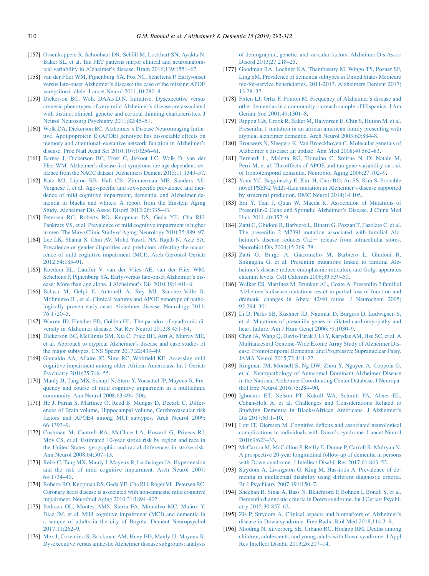- <span id="page-20-0"></span>[157] [Ossenkoppele R, Schonhaut DR, Sch](http://refhub.elsevier.com/S1552-5260(18)33556-8/sref157)öll M, Lockhart SN, Ayakta N, [Baker SL, et al. Tau PET patterns mirror clinical and neuroanatom](http://refhub.elsevier.com/S1552-5260(18)33556-8/sref157)[ical variability in Alzheimer's disease. Brain 2016;139:1551–67.](http://refhub.elsevier.com/S1552-5260(18)33556-8/sref157)
- [158] [van der Flier WM, Pijnenburg YA, Fox NC, Scheltens P. Early-onset](http://refhub.elsevier.com/S1552-5260(18)33556-8/sref158) [versus late-onset Alzheimer's disease: the case of the missing APOE](http://refhub.elsevier.com/S1552-5260(18)33556-8/sref158) [varepsilon4 allele. Lancet Neurol 2011;10:280–8](http://refhub.elsevier.com/S1552-5260(18)33556-8/sref158).
- [159] [Dickerson BC, Wolk DAA.s.D.N. Initiative. Dysexecutive versus](http://refhub.elsevier.com/S1552-5260(18)33556-8/sref159) [amnesic phenotypes of very mild Alzheimer's disease are associated](http://refhub.elsevier.com/S1552-5260(18)33556-8/sref159) [with distinct clinical, genetic and cortical thinning characteristics. J](http://refhub.elsevier.com/S1552-5260(18)33556-8/sref159) [Neurol Neurosurg Psychiatry 2011;82:45–51](http://refhub.elsevier.com/S1552-5260(18)33556-8/sref159).
- [160] [Wolk DA, Dickerson BC, Alzheimer's Disease Neuroimaging Initia](http://refhub.elsevier.com/S1552-5260(18)33556-8/sref160)[tive. Apolipoprotein E \(APOE\) genotype has dissociable effects on](http://refhub.elsevier.com/S1552-5260(18)33556-8/sref160) [memory and attentional–executive network function in Alzheimer's](http://refhub.elsevier.com/S1552-5260(18)33556-8/sref160) [disease. Proc Natl Acad Sci 2010;107:10256–61.](http://refhub.elsevier.com/S1552-5260(18)33556-8/sref160)
- [161] [Barnes J, Dickerson BC, Frost C, Jiskoot LC, Wolk D, van der](http://refhub.elsevier.com/S1552-5260(18)33556-8/sref161) [Flier WM. Alzheimer's disease first symptoms are age dependent: ev](http://refhub.elsevier.com/S1552-5260(18)33556-8/sref161)[idence from the NACC dataset. Alzheimers Dement 2015;11:1349–57](http://refhub.elsevier.com/S1552-5260(18)33556-8/sref161).
- [162] [Katz MJ, Lipton RB, Hall CB, Zimmerman ME, Sanders AE,](http://refhub.elsevier.com/S1552-5260(18)33556-8/sref162) [Verghese J, et al. Age-specific and sex-specific prevalence and inci](http://refhub.elsevier.com/S1552-5260(18)33556-8/sref162)[dence of mild cognitive impairment, dementia, and Alzheimer de](http://refhub.elsevier.com/S1552-5260(18)33556-8/sref162)[mentia in blacks and whites: A report from the Einstein Aging](http://refhub.elsevier.com/S1552-5260(18)33556-8/sref162) [Study. Alzheimer Dis Assoc Disord 2012;26:335–43](http://refhub.elsevier.com/S1552-5260(18)33556-8/sref162).
- [163] [Petersen RC, Roberts RO, Knopman DS, Geda YE, Cha RH,](http://refhub.elsevier.com/S1552-5260(18)33556-8/sref163) [Pankratz VS, et al. Prevalence of mild cognitive impairment is higher](http://refhub.elsevier.com/S1552-5260(18)33556-8/sref163) [in men. The Mayo Clinic Study of Aging. Neurology 2010;75:889–97](http://refhub.elsevier.com/S1552-5260(18)33556-8/sref163).
- [164] [Lee LK, Shahar S, Chin AV, Mohd Yusoff NA, Rajab N, Aziz SA.](http://refhub.elsevier.com/S1552-5260(18)33556-8/sref164) [Prevalence of gender disparities and predictors affecting the occur](http://refhub.elsevier.com/S1552-5260(18)33556-8/sref164)[rence of mild cognitive impairment \(MCI\). Arch Gerontol Geriatr](http://refhub.elsevier.com/S1552-5260(18)33556-8/sref164) [2012;54:185–91](http://refhub.elsevier.com/S1552-5260(18)33556-8/sref164).
- [165] [Koedam EL, Lauffer V, van der Vlies AE, van der Flier WM,](http://refhub.elsevier.com/S1552-5260(18)33556-8/sref165) [Scheltens P, Pijnenburg YA. Early-versus late-onset Alzheimer's dis](http://refhub.elsevier.com/S1552-5260(18)33556-8/sref165)[ease: More than age alone. J Alzheimer's Dis 2010;19:1401–8](http://refhub.elsevier.com/S1552-5260(18)33556-8/sref165).
- [166] [Balasa M, Gelpi E, Antonell A, Rey MJ, S](http://refhub.elsevier.com/S1552-5260(18)33556-8/sref166)ánchez-Valle R, [Molinuevo JL, et al. Clinical features and APOE genotype of patho](http://refhub.elsevier.com/S1552-5260(18)33556-8/sref166)[logically proven early-onset Alzheimer disease. Neurology 2011;](http://refhub.elsevier.com/S1552-5260(18)33556-8/sref166) [76:1720–5](http://refhub.elsevier.com/S1552-5260(18)33556-8/sref166).
- [167] [Warren JD, Fletcher PD, Golden HL. The paradox of syndromic di](http://refhub.elsevier.com/S1552-5260(18)33556-8/sref167)[versity in Alzheimer disease. Nat Rev Neurol 2012;8:451–64.](http://refhub.elsevier.com/S1552-5260(18)33556-8/sref167)
- [168] [Dickerson BC, McGinnis SM, Xia C, Price BH, Atri A, Murray ME,](http://refhub.elsevier.com/S1552-5260(18)33556-8/sref168) [et al. Approach to atypical Alzheimer's disease and case studies of](http://refhub.elsevier.com/S1552-5260(18)33556-8/sref168) [the major subtypes. CNS Spectr 2017;22:439–49](http://refhub.elsevier.com/S1552-5260(18)33556-8/sref168).
- [169] [Gamaldo AA, Allaire JC, Sims RC, Whitfield KE. Assessing mild](http://refhub.elsevier.com/S1552-5260(18)33556-8/sref169) [cognitive impairment among older African Americans. Int J Geriatr](http://refhub.elsevier.com/S1552-5260(18)33556-8/sref169) [Psychiatry 2010;25:748–55](http://refhub.elsevier.com/S1552-5260(18)33556-8/sref169).
- [170] [Manly JJ, Tang MX, Schupf N, Stern Y, Vonsattel JP, Mayeux R. Fre](http://refhub.elsevier.com/S1552-5260(18)33556-8/sref170)[quency and course of mild cognitive impairment in a multiethnic](http://refhub.elsevier.com/S1552-5260(18)33556-8/sref170) [community. Ann Neurol 2008;63:494–506.](http://refhub.elsevier.com/S1552-5260(18)33556-8/sref170)
- [171] [He J, Farias S, Martinez O, Reed B, Mungas D, Decarli C. Differ](http://refhub.elsevier.com/S1552-5260(18)33556-8/sref171)[ences of Brain volume, Hippocampal volume, Cerebrovascular risk](http://refhub.elsevier.com/S1552-5260(18)33556-8/sref171) [factors and APOE4 among MCI subtypes. Arch Neurol 2009;](http://refhub.elsevier.com/S1552-5260(18)33556-8/sref171) [66:1393–9](http://refhub.elsevier.com/S1552-5260(18)33556-8/sref171).
- [172] [Cushman M, Cantrell RA, McClure LA, Howard G, Prineas RJ,](http://refhub.elsevier.com/S1552-5260(18)33556-8/sref172) [Moy CS, et al. Estimated 10-year stroke risk by region and race in](http://refhub.elsevier.com/S1552-5260(18)33556-8/sref172) [the United States: geographic and racial differences in stroke risk.](http://refhub.elsevier.com/S1552-5260(18)33556-8/sref172) [Ann Neurol 2008;64:507–13.](http://refhub.elsevier.com/S1552-5260(18)33556-8/sref172)
- [173] [Reitz C, Tang MX, Manly J, Mayeux R, Luchsinger JA. Hypertension](http://refhub.elsevier.com/S1552-5260(18)33556-8/sref173) [and the risk of mild cognitive impairment. Arch Neurol 2007;](http://refhub.elsevier.com/S1552-5260(18)33556-8/sref173) [64:1734–40](http://refhub.elsevier.com/S1552-5260(18)33556-8/sref173).
- [174] [Roberts RO, Knopman DS, Geda YE, Cha RH, Roger VL, Petersen RC.](http://refhub.elsevier.com/S1552-5260(18)33556-8/sref174) [Coronary heart disease is associated with non-amnestic mild cognitive](http://refhub.elsevier.com/S1552-5260(18)33556-8/sref174) [impairment. Neurobiol Aging 2010;31:1894–902](http://refhub.elsevier.com/S1552-5260(18)33556-8/sref174).
- [175] [Pedraza OL, Montes AMS, Sierra FA, Montalvo MC, Mu](http://refhub.elsevier.com/S1552-5260(18)33556-8/sref175)ñoz Y, [D](http://refhub.elsevier.com/S1552-5260(18)33556-8/sref175)íaz JM, et al. Mild cognitive impairment (MCI) and dementia in [a sample of adults in the city of Bogota. Dement Neuropsychol](http://refhub.elsevier.com/S1552-5260(18)33556-8/sref175) [2017;11:262–9](http://refhub.elsevier.com/S1552-5260(18)33556-8/sref175).
- [176] [Mez J, Cosentino S, Brickman AM, Huey ED, Manly JJ, Mayeux R.](http://refhub.elsevier.com/S1552-5260(18)33556-8/sref176) [Dysexecutive versus amnestic Alzheimer disease subgroups: analysis](http://refhub.elsevier.com/S1552-5260(18)33556-8/sref176)

[of demographic, genetic, and vascular factors. Alzheimer Dis Assoc](http://refhub.elsevier.com/S1552-5260(18)33556-8/sref176) [Disord 2013;27:218–25](http://refhub.elsevier.com/S1552-5260(18)33556-8/sref176).

- [177] [Goodman RA, Lochner KA, Thambisetty M, Wingo TS, Posner SF,](http://refhub.elsevier.com/S1552-5260(18)33556-8/sref177) [Ling SM. Prevalence of dementia subtypes in United States Medicare](http://refhub.elsevier.com/S1552-5260(18)33556-8/sref177) [fee-for-service beneficiaries, 2011-2013. Alzheimers Dement 2017;](http://refhub.elsevier.com/S1552-5260(18)33556-8/sref177) [13:28–37](http://refhub.elsevier.com/S1552-5260(18)33556-8/sref177).
- [178] [Fitten LJ, Ortiz F, Ponton M. Frequency of Alzheimer's disease and](http://refhub.elsevier.com/S1552-5260(18)33556-8/sref178) [other dementias in a community outreach sample of Hispanics. J Am](http://refhub.elsevier.com/S1552-5260(18)33556-8/sref178) [Geriatr Soc 2001;49:1301–8](http://refhub.elsevier.com/S1552-5260(18)33556-8/sref178).
- [179] [Rippon GA, Crook R, Baker M, Halvorsen E, Chin S, Hutton M, et al.](http://refhub.elsevier.com/S1552-5260(18)33556-8/sref179) [Presenilin 1 mutation in an african american family presenting with](http://refhub.elsevier.com/S1552-5260(18)33556-8/sref179) [atypical alzheimer dementia. Arch Neurol 2003;60:884–8.](http://refhub.elsevier.com/S1552-5260(18)33556-8/sref179)
- [180] [Brouwers N, Sleegers K, Van Broeckhoven C. Molecular genetics of](http://refhub.elsevier.com/S1552-5260(18)33556-8/sref180) [Alzheimer's disease: an update. Ann Med 2008;40:562–83.](http://refhub.elsevier.com/S1552-5260(18)33556-8/sref180)
- [181] [Bernardi L, Maletta RG, Tomaino C, Smirne N, Di Natale M,](http://refhub.elsevier.com/S1552-5260(18)33556-8/sref181) [Perri M, et al. The effects of APOE and tau gene variability on risk](http://refhub.elsevier.com/S1552-5260(18)33556-8/sref181) [of frontotemporal dementia. Neurobiol Aging 2006;27:702–9](http://refhub.elsevier.com/S1552-5260(18)33556-8/sref181).
- [182] [Youn YC, Bagyinszky E, Kim H, Choi BO, An SS, Kim S. Probable](http://refhub.elsevier.com/S1552-5260(18)33556-8/sref182) [novel PSEN2 Val214Leu mutation in Alzheimer's disease supported](http://refhub.elsevier.com/S1552-5260(18)33556-8/sref182) [by structural prediction. BMC Neurol 2014;14:105.](http://refhub.elsevier.com/S1552-5260(18)33556-8/sref182)
- [183] [Bai Y, Tian J, Quan W, Maeda K. Association of Mutations of](http://refhub.elsevier.com/S1552-5260(18)33556-8/sref183) [Presenilin-2 Gene and Sporadic Alzheimer's Disease. J China Med](http://refhub.elsevier.com/S1552-5260(18)33556-8/sref183) [Univ 2011;40:357–9](http://refhub.elsevier.com/S1552-5260(18)33556-8/sref183).
- [184] [Zatti G, Ghidoni R, Barbiero L, Binetti G, Pozzan T, Fasolato C, et al.](http://refhub.elsevier.com/S1552-5260(18)33556-8/sref184) [The presenilin 2 M239I mutation associated with familial Alz](http://refhub.elsevier.com/S1552-5260(18)33556-8/sref184)[heimer's disease reduces Ca2](http://refhub.elsevier.com/S1552-5260(18)33556-8/sref184)+ [release from intracellular stores.](http://refhub.elsevier.com/S1552-5260(18)33556-8/sref184) [Neurobiol Dis 2004;15:269–78](http://refhub.elsevier.com/S1552-5260(18)33556-8/sref184).
- [185] [Zatti G, Burgo A, Giacomello M, Barbiero L, Ghidoni R,](http://refhub.elsevier.com/S1552-5260(18)33556-8/sref185) [Sinigaglia G, et al. Presenilin mutations linked to familial Alz](http://refhub.elsevier.com/S1552-5260(18)33556-8/sref185)[heimer's disease reduce endoplasmic reticulum and Golgi apparatus](http://refhub.elsevier.com/S1552-5260(18)33556-8/sref185) [calcium levels. Cell Calcium 2006;39:539–50](http://refhub.elsevier.com/S1552-5260(18)33556-8/sref185).
- [186] [Walker ES, Martinez M, Brunkan AL, Goate A. Presenilin 2 familial](http://refhub.elsevier.com/S1552-5260(18)33556-8/sref186) [Alzheimer's disease mutations result in partial loss of function and](http://refhub.elsevier.com/S1552-5260(18)33556-8/sref186) [dramatic changes in Abeta 42/40 ratios. J Neurochem 2005;](http://refhub.elsevier.com/S1552-5260(18)33556-8/sref186) [92:294–301](http://refhub.elsevier.com/S1552-5260(18)33556-8/sref186).
- [187] [Li D, Parks SB, Kushner JD, Nauman D, Burgess D, Ludwigsen S,](http://refhub.elsevier.com/S1552-5260(18)33556-8/sref187) [et al. Mutations of presenilin genes in dilated cardiomyopathy and](http://refhub.elsevier.com/S1552-5260(18)33556-8/sref187) [heart failure. Am J Hum Genet 2006;79:1030–9](http://refhub.elsevier.com/S1552-5260(18)33556-8/sref187).
- [188] [Chen JA, Wang Q, Davis-Turak J, Li Y, Karydas AM, Hsu SC, et al. A](http://refhub.elsevier.com/S1552-5260(18)33556-8/sref188) [Multiancestral Genome-Wide Exome Array Study of Alzheimer Dis](http://refhub.elsevier.com/S1552-5260(18)33556-8/sref188)[ease, Frontotemporal Dementia, and Progressive Supranuclear Palsy.](http://refhub.elsevier.com/S1552-5260(18)33556-8/sref188) [JAMA Neurol 2015;72:414–22](http://refhub.elsevier.com/S1552-5260(18)33556-8/sref188).
- [189] [Ringman JM, Monsell S, Ng DW, Zhou Y, Nguyen A, Coppola G,](http://refhub.elsevier.com/S1552-5260(18)33556-8/sref189) [et al. Neuropathology of Autosomal Dominant Alzheimer Disease](http://refhub.elsevier.com/S1552-5260(18)33556-8/sref189) [in the National Alzheimer Coordinating Center Database. J Neuropa](http://refhub.elsevier.com/S1552-5260(18)33556-8/sref189)[thol Exp Neurol 2016;75:284–90](http://refhub.elsevier.com/S1552-5260(18)33556-8/sref189).
- [190] [Ighodaro ET, Nelson PT, Kukull WA, Schmitt FA, Abner EL,](http://refhub.elsevier.com/S1552-5260(18)33556-8/sref190) [Caban-Holt A, et al. Challenges and Considerations Related to](http://refhub.elsevier.com/S1552-5260(18)33556-8/sref190) [Studying Dementia in Blacks/African Americans. J Alzheimer's](http://refhub.elsevier.com/S1552-5260(18)33556-8/sref190) [Dis 2017;60:1–10.](http://refhub.elsevier.com/S1552-5260(18)33556-8/sref190)
- [191] [Lott IT, Dierssen M. Cognitive deficits and associated neurological](http://refhub.elsevier.com/S1552-5260(18)33556-8/sref191) [complications in individuals with Down's syndrome. Lancet Neurol](http://refhub.elsevier.com/S1552-5260(18)33556-8/sref191) [2010;9:623–33](http://refhub.elsevier.com/S1552-5260(18)33556-8/sref191).
- [192] [McCarron M, McCallion P, Reilly E, Dunne P, Carroll R, Mulryan N.](http://refhub.elsevier.com/S1552-5260(18)33556-8/sref192) [A prospective 20-year longitudinal follow-up of dementia in persons](http://refhub.elsevier.com/S1552-5260(18)33556-8/sref192) [with Down syndrome. J Intellect Disabil Res 2017;61:843–52.](http://refhub.elsevier.com/S1552-5260(18)33556-8/sref192)
- [193] [Strydom A, Livingston G, King M, Hassiotis A. Prevalence of de](http://refhub.elsevier.com/S1552-5260(18)33556-8/sref193)[mentia in intellectual disability using different diagnostic criteria.](http://refhub.elsevier.com/S1552-5260(18)33556-8/sref193) [Br J Psychiatry 2007;191:150–7.](http://refhub.elsevier.com/S1552-5260(18)33556-8/sref193)
- [194] [Sheehan R, Sinai A, Bass N, Blatchford P, Bohnen I, Bonell S, et al.](http://refhub.elsevier.com/S1552-5260(18)33556-8/sref194) [Dementia diagnostic criteria in Down syndrome. Int J Geriatr Psychi](http://refhub.elsevier.com/S1552-5260(18)33556-8/sref194)[atry 2015;30:857–63.](http://refhub.elsevier.com/S1552-5260(18)33556-8/sref194)
- [195] [Zis P, Strydom A. Clinical aspects and biomarkers of Alzheimer's](http://refhub.elsevier.com/S1552-5260(18)33556-8/sref195) [disease in Down syndrome. Free Radic Biol Med 2018;114:3–9](http://refhub.elsevier.com/S1552-5260(18)33556-8/sref195).
- [196] [Miodrag N, Silverberg SE, Urbano RC, Hodapp RM. Deaths among](http://refhub.elsevier.com/S1552-5260(18)33556-8/sref196) [children, adolescents, and young adults with Down syndrome. J Appl](http://refhub.elsevier.com/S1552-5260(18)33556-8/sref196) [Res Intellect Disabil 2013;26:207–14](http://refhub.elsevier.com/S1552-5260(18)33556-8/sref196).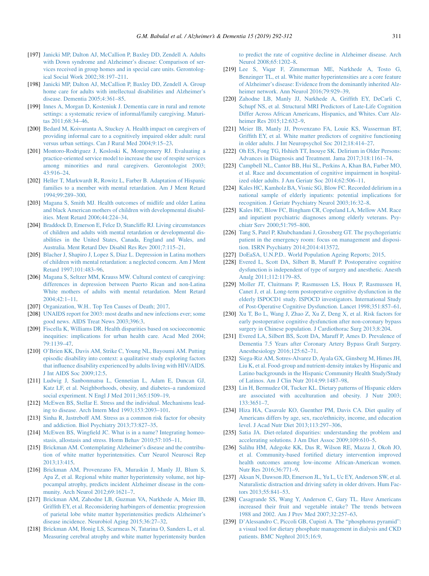- <span id="page-21-0"></span>[197] [Janicki MP, Dalton AJ, McCallion P, Baxley DD, Zendell A. Adults](http://refhub.elsevier.com/S1552-5260(18)33556-8/sref197) [with Down syndrome and Alzheimer's disease: Comparison of ser](http://refhub.elsevier.com/S1552-5260(18)33556-8/sref197)[vices received in group homes and in special care units. Gerontolog](http://refhub.elsevier.com/S1552-5260(18)33556-8/sref197)[ical Social Work 2002;38:197–211](http://refhub.elsevier.com/S1552-5260(18)33556-8/sref197).
- [198] [Janicki MP, Dalton AJ, McCallion P, Baxley DD, Zendell A. Group](http://refhub.elsevier.com/S1552-5260(18)33556-8/sref198) [home care for adults with intellectual disabilities and Alzheimer's](http://refhub.elsevier.com/S1552-5260(18)33556-8/sref198) [disease. Dementia 2005;4:361–85.](http://refhub.elsevier.com/S1552-5260(18)33556-8/sref198)
- [199] [Innes A, Morgan D, Kosteniuk J. Dementia care in rural and remote](http://refhub.elsevier.com/S1552-5260(18)33556-8/sref199) [settings: a systematic review of informal/family caregiving. Maturi](http://refhub.elsevier.com/S1552-5260(18)33556-8/sref199)[tas 2011;68:34–46](http://refhub.elsevier.com/S1552-5260(18)33556-8/sref199).
- [200] [Bedard M, Koivuranta A, Stuckey A. Health impact on caregivers of](http://refhub.elsevier.com/S1552-5260(18)33556-8/sref200) [providing informal care to a cognitively impaired older adult: rural](http://refhub.elsevier.com/S1552-5260(18)33556-8/sref200) [versus urban settings. Can J Rural Med 2004;9:15–23.](http://refhub.elsevier.com/S1552-5260(18)33556-8/sref200)
- [201] [Montoro-Rodriguez J, Kosloski K, Montgomery RJ. Evaluating a](http://refhub.elsevier.com/S1552-5260(18)33556-8/sref201) [practice-oriented service model to increase the use of respite services](http://refhub.elsevier.com/S1552-5260(18)33556-8/sref201) [among minorities and rural caregivers. Gerontologist 2003;](http://refhub.elsevier.com/S1552-5260(18)33556-8/sref201) [43:916–24](http://refhub.elsevier.com/S1552-5260(18)33556-8/sref201).
- [202] [Heller T, Markwardt R, Rowitz L, Farber B. Adaptation of Hispanic](http://refhub.elsevier.com/S1552-5260(18)33556-8/sref202) [families to a member with mental retardation. Am J Ment Retard](http://refhub.elsevier.com/S1552-5260(18)33556-8/sref202) [1994;99:289–300](http://refhub.elsevier.com/S1552-5260(18)33556-8/sref202).
- [203] [Magana S, Smith MJ. Health outcomes of midlife and older Latina](http://refhub.elsevier.com/S1552-5260(18)33556-8/sref203) [and black American mothers of children with developmental disabil](http://refhub.elsevier.com/S1552-5260(18)33556-8/sref203)[ities. Ment Retard 2006;44:224–34](http://refhub.elsevier.com/S1552-5260(18)33556-8/sref203).
- [204] [Braddock D, Emerson E, Felce D, Stancliffe RJ. Living circumstances](http://refhub.elsevier.com/S1552-5260(18)33556-8/sref204) [of children and adults with mental retardation or developmental dis](http://refhub.elsevier.com/S1552-5260(18)33556-8/sref204)[abilities in the United States, Canada, England and Wales, and](http://refhub.elsevier.com/S1552-5260(18)33556-8/sref204) [Australia. Ment Retard Dev Disabil Res Rev 2001;7:115–21](http://refhub.elsevier.com/S1552-5260(18)33556-8/sref204).
- [205] [Blacher J, Shapiro J, Lopez S, Diaz L. Depression in Latina mothers](http://refhub.elsevier.com/S1552-5260(18)33556-8/sref205) [of children with mental retardation: a neglected concern. Am J Ment](http://refhub.elsevier.com/S1552-5260(18)33556-8/sref205) [Retard 1997;101:483–96.](http://refhub.elsevier.com/S1552-5260(18)33556-8/sref205)
- [206] [Magana S, Seltzer MM, Krauss MW. Cultural context of caregiving:](http://refhub.elsevier.com/S1552-5260(18)33556-8/sref206) [differences in depression between Puerto Rican and non-Latina](http://refhub.elsevier.com/S1552-5260(18)33556-8/sref206) [White mothers of adults with mental retardation. Ment Retard](http://refhub.elsevier.com/S1552-5260(18)33556-8/sref206) [2004;42:1–11](http://refhub.elsevier.com/S1552-5260(18)33556-8/sref206).
- [207] [Organization, W.H.. Top Ten Causes of Death; 2017](http://refhub.elsevier.com/S1552-5260(18)33556-8/sref207).
- [208] [UNAIDS report for 2003: most deaths and new infections ever; some](http://refhub.elsevier.com/S1552-5260(18)33556-8/sref208) [good news. AIDS Treat News 2003;396:3.](http://refhub.elsevier.com/S1552-5260(18)33556-8/sref208)
- [209] [Fiscella K, Williams DR. Health disparities based on socioeconomic](http://refhub.elsevier.com/S1552-5260(18)33556-8/sref209) [inequities: implications for urban health care. Acad Med 2004;](http://refhub.elsevier.com/S1552-5260(18)33556-8/sref209) [79:1139–47](http://refhub.elsevier.com/S1552-5260(18)33556-8/sref209).
- [210] [O'Brien KK, Davis AM, Strike C, Young NL, Bayoumi AM. Putting](http://refhub.elsevier.com/S1552-5260(18)33556-8/sref210) [episodic disability into context: a qualitative study exploring factors](http://refhub.elsevier.com/S1552-5260(18)33556-8/sref210) [that influence disability experienced by adults living with HIV/AIDS.](http://refhub.elsevier.com/S1552-5260(18)33556-8/sref210) [J Int AIDS Soc 2009;12:5.](http://refhub.elsevier.com/S1552-5260(18)33556-8/sref210)
- [211] [Ludwig J, Sanbonmatsu L, Gennetian L, Adam E, Duncan GJ,](http://refhub.elsevier.com/S1552-5260(18)33556-8/sref211) [Katz LF, et al. Neighborhoods, obesity, and diabetes–a randomized](http://refhub.elsevier.com/S1552-5260(18)33556-8/sref211) [social experiment. N Engl J Med 2011;365:1509–19](http://refhub.elsevier.com/S1552-5260(18)33556-8/sref211).
- [212] [McEwen BS, Stellar E. Stress and the individual. Mechanisms lead](http://refhub.elsevier.com/S1552-5260(18)33556-8/sref212)[ing to disease. Arch Intern Med 1993;153:2093–101](http://refhub.elsevier.com/S1552-5260(18)33556-8/sref212).
- [213] [Sinha R, Jastreboff AM. Stress as a common risk factor for obesity](http://refhub.elsevier.com/S1552-5260(18)33556-8/sref213) [and addiction. Biol Psychiatry 2013;73:827–35.](http://refhub.elsevier.com/S1552-5260(18)33556-8/sref213)
- [214] [McEwen BS, Wingfield JC. What is in a name? Integrating homeo](http://refhub.elsevier.com/S1552-5260(18)33556-8/sref214)[stasis, allostasis and stress. Horm Behav 2010;57:105–11](http://refhub.elsevier.com/S1552-5260(18)33556-8/sref214).
- [215] [Brickman AM. Contemplating Alzheimer's disease and the contribu](http://refhub.elsevier.com/S1552-5260(18)33556-8/sref215)[tion of white matter hyperintensities. Curr Neurol Neurosci Rep](http://refhub.elsevier.com/S1552-5260(18)33556-8/sref215) [2013;13:415](http://refhub.elsevier.com/S1552-5260(18)33556-8/sref215).
- [216] [Brickman AM, Provenzano FA, Muraskin J, Manly JJ, Blum S,](http://refhub.elsevier.com/S1552-5260(18)33556-8/sref216) [Apa Z, et al. Regional white matter hyperintensity volume, not hip](http://refhub.elsevier.com/S1552-5260(18)33556-8/sref216)[pocampal atrophy, predicts incident Alzheimer disease in the com](http://refhub.elsevier.com/S1552-5260(18)33556-8/sref216)[munity. Arch Neurol 2012;69:1621–7](http://refhub.elsevier.com/S1552-5260(18)33556-8/sref216).
- [217] [Brickman AM, Zahodne LB, Guzman VA, Narkhede A, Meier IB,](http://refhub.elsevier.com/S1552-5260(18)33556-8/sref217) [Griffith EY, et al. Reconsidering harbingers of dementia: progression](http://refhub.elsevier.com/S1552-5260(18)33556-8/sref217) [of parietal lobe white matter hyperintensities predicts Alzheimer's](http://refhub.elsevier.com/S1552-5260(18)33556-8/sref217) [disease incidence. Neurobiol Aging 2015;36:27–32](http://refhub.elsevier.com/S1552-5260(18)33556-8/sref217).
- [218] [Brickman AM, Honig LS, Scarmeas N, Tatarina O, Sanders L, et al.](http://refhub.elsevier.com/S1552-5260(18)33556-8/sref218) [Measuring cerebral atrophy and white matter hyperintensity burden](http://refhub.elsevier.com/S1552-5260(18)33556-8/sref218)

[to predict the rate of cognitive decline in Alzheimer disease. Arch](http://refhub.elsevier.com/S1552-5260(18)33556-8/sref218) [Neurol 2008;65:1202–8.](http://refhub.elsevier.com/S1552-5260(18)33556-8/sref218)

- [219] [Lee S, Viqar F, Zimmerman ME, Narkhede A, Tosto G,](http://refhub.elsevier.com/S1552-5260(18)33556-8/sref219) [Benzinger TL, et al. White matter hyperintensities are a core feature](http://refhub.elsevier.com/S1552-5260(18)33556-8/sref219) [of Alzheimer's disease: Evidence from the dominantly inherited Alz](http://refhub.elsevier.com/S1552-5260(18)33556-8/sref219)[heimer network. Ann Neurol 2016;79:929–39](http://refhub.elsevier.com/S1552-5260(18)33556-8/sref219).
- [220] [Zahodne LB, Manly JJ, Narkhede A, Griffith EY, DeCarli C,](http://refhub.elsevier.com/S1552-5260(18)33556-8/sref220) [Schupf NS, et al. Structural MRI Predictors of Late-Life Cognition](http://refhub.elsevier.com/S1552-5260(18)33556-8/sref220) [Differ Across African Americans, Hispanics, and Whites. Curr Alz](http://refhub.elsevier.com/S1552-5260(18)33556-8/sref220)[heimer Res 2015;12:632–9.](http://refhub.elsevier.com/S1552-5260(18)33556-8/sref220)
- [221] [Meier IB, Manly JJ, Provenzano FA, Louie KS, Wasserman BT,](http://refhub.elsevier.com/S1552-5260(18)33556-8/sref221) [Griffith EY, et al. White matter predictors of cognitive functioning](http://refhub.elsevier.com/S1552-5260(18)33556-8/sref221) [in older adults. J Int Neuropsychol Soc 2012;18:414–27.](http://refhub.elsevier.com/S1552-5260(18)33556-8/sref221)
- [222] [Oh ES, Fong TG, Hshieh TT, Inouye SK. Delirium in Older Persons:](http://refhub.elsevier.com/S1552-5260(18)33556-8/sref222) [Advances in Diagnosis and Treatment. Jama 2017;318:1161–74](http://refhub.elsevier.com/S1552-5260(18)33556-8/sref222).
- [223] [Campbell NL, Cantor BB, Hui SL, Perkins A, Khan BA, Farber MO,](http://refhub.elsevier.com/S1552-5260(18)33556-8/sref223) [et al. Race and documentation of cognitive impairment in hospital](http://refhub.elsevier.com/S1552-5260(18)33556-8/sref223)[ized older adults. J Am Geriatr Soc 2014;62:506–11.](http://refhub.elsevier.com/S1552-5260(18)33556-8/sref223)
- [224] [Kales HC, Kamholz BA, Visnic SG, Blow FC. Recorded delirium in a](http://refhub.elsevier.com/S1552-5260(18)33556-8/sref224) [national sample of elderly inpatients: potential implications for](http://refhub.elsevier.com/S1552-5260(18)33556-8/sref224) [recognition. J Geriatr Psychiatry Neurol 2003;16:32–8](http://refhub.elsevier.com/S1552-5260(18)33556-8/sref224).
- [225] [Kales HC, Blow FC, Bingham CR, Copeland LA, Mellow AM. Race](http://refhub.elsevier.com/S1552-5260(18)33556-8/sref225) [and inpatient psychiatric diagnoses among elderly veterans. Psy](http://refhub.elsevier.com/S1552-5260(18)33556-8/sref225)[chiatr Serv 2000;51:795–800.](http://refhub.elsevier.com/S1552-5260(18)33556-8/sref225)
- [226] [Tang S, Patel P, Khubchandani J, Grossberg GT. The psychogeriatric](http://refhub.elsevier.com/S1552-5260(18)33556-8/sref226) [patient in the emergency room: focus on management and disposi](http://refhub.elsevier.com/S1552-5260(18)33556-8/sref226)[tion. ISRN Psychiatry 2014;2014:413572.](http://refhub.elsevier.com/S1552-5260(18)33556-8/sref226)
- [227] [DoEaSA, U.N.P.D.. World Population Ageing Reports; 2015](http://refhub.elsevier.com/S1552-5260(18)33556-8/sref227).
- [228] [Evered L, Scott DA, Silbert B, Maruff P. Postoperative cognitive](http://refhub.elsevier.com/S1552-5260(18)33556-8/sref228) [dysfunction is independent of type of surgery and anesthetic. Anesth](http://refhub.elsevier.com/S1552-5260(18)33556-8/sref228) [Analg 2011;112:1179–85.](http://refhub.elsevier.com/S1552-5260(18)33556-8/sref228)
- [229] [Moller JT, Cluitmans P, Rasmussen LS, Houx P, Rasmussen H,](http://refhub.elsevier.com/S1552-5260(18)33556-8/sref229) [Canet J, et al. Long-term postoperative cognitive dysfunction in the](http://refhub.elsevier.com/S1552-5260(18)33556-8/sref229) [elderly ISPOCD1 study. ISPOCD investigators. International Study](http://refhub.elsevier.com/S1552-5260(18)33556-8/sref229) [of Post-Operative Cognitive Dysfunction. Lancet 1998;351:857–61.](http://refhub.elsevier.com/S1552-5260(18)33556-8/sref229)
- [230] [Xu T, Bo L, Wang J, Zhao Z, Xu Z, Deng X, et al. Risk factors for](http://refhub.elsevier.com/S1552-5260(18)33556-8/sref230) [early postoperative cognitive dysfunction after non-coronary bypass](http://refhub.elsevier.com/S1552-5260(18)33556-8/sref230) [surgery in Chinese population. J Cardiothorac Surg 2013;8:204](http://refhub.elsevier.com/S1552-5260(18)33556-8/sref230).
- [231] [Evered LA, Silbert BS, Scott DA, Maruff P, Ames D. Prevalence of](http://refhub.elsevier.com/S1552-5260(18)33556-8/sref231) [Dementia 7.5 Years after Coronary Artery Bypass Graft Surgery.](http://refhub.elsevier.com/S1552-5260(18)33556-8/sref231) [Anesthesiology 2016;125:62–71](http://refhub.elsevier.com/S1552-5260(18)33556-8/sref231).
- [232] [Siega-Riz AM, Sotres-Alvarez D, Ayala GX, Ginsberg M, Himes JH,](http://refhub.elsevier.com/S1552-5260(18)33556-8/sref232) [Liu K, et al. Food-group and nutrient-density intakes by Hispanic and](http://refhub.elsevier.com/S1552-5260(18)33556-8/sref232) [Latino backgrounds in the Hispanic Community Health Study/Study](http://refhub.elsevier.com/S1552-5260(18)33556-8/sref232) [of Latinos. Am J Clin Nutr 2014;99:1487–98](http://refhub.elsevier.com/S1552-5260(18)33556-8/sref232).
- [233] [Lin H, Bermudez OI, Tucker KL. Dietary patterns of Hispanic elders](http://refhub.elsevier.com/S1552-5260(18)33556-8/sref233) [are associated with acculturation and obesity. J Nutr 2003;](http://refhub.elsevier.com/S1552-5260(18)33556-8/sref233) [133:3651–7](http://refhub.elsevier.com/S1552-5260(18)33556-8/sref233).
- [234] [Hiza HA, Casavale KO, Guenther PM, Davis CA. Diet quality of](http://refhub.elsevier.com/S1552-5260(18)33556-8/sref234) [Americans differs by age, sex, race/ethnicity, income, and education](http://refhub.elsevier.com/S1552-5260(18)33556-8/sref234) [level. J Acad Nutr Diet 2013;113:297–306](http://refhub.elsevier.com/S1552-5260(18)33556-8/sref234).
- [235] [Satia JA. Diet-related disparities: understanding the problem and](http://refhub.elsevier.com/S1552-5260(18)33556-8/sref235) [accelerating solutions. J Am Diet Assoc 2009;109:610–5.](http://refhub.elsevier.com/S1552-5260(18)33556-8/sref235)
- [236] [Salihu HM, Adegoke KK, Das R, Wilson RE, Mazza J, Okoh JO,](http://refhub.elsevier.com/S1552-5260(18)33556-8/sref236) [et al. Community-based fortified dietary intervention improved](http://refhub.elsevier.com/S1552-5260(18)33556-8/sref236) [health outcomes among low-income African-American women.](http://refhub.elsevier.com/S1552-5260(18)33556-8/sref236) [Nutr Res 2016;36:771–9](http://refhub.elsevier.com/S1552-5260(18)33556-8/sref236).
- [237] [Aksan N, Dawson JD, Emerson JL, Yu L, Uc EY, Anderson SW, et al.](http://refhub.elsevier.com/S1552-5260(18)33556-8/sref237) [Naturalistic distraction and driving safety in older drivers. Hum Fac](http://refhub.elsevier.com/S1552-5260(18)33556-8/sref237)[tors 2013;55:841–53](http://refhub.elsevier.com/S1552-5260(18)33556-8/sref237).
- [238] [Casagrande SS, Wang Y, Anderson C, Gary TL. Have Americans](http://refhub.elsevier.com/S1552-5260(18)33556-8/sref238) [increased their fruit and vegetable intake? The trends between](http://refhub.elsevier.com/S1552-5260(18)33556-8/sref238) [1988 and 2002. Am J Prev Med 2007;32:257–63](http://refhub.elsevier.com/S1552-5260(18)33556-8/sref238).
- [239] [D'Alessandro C, Piccoli GB, Cupisti A. The "phosphorus pyramid":](http://refhub.elsevier.com/S1552-5260(18)33556-8/sref239) [a visual tool for dietary phosphate management in dialysis and CKD](http://refhub.elsevier.com/S1552-5260(18)33556-8/sref239) [patients. BMC Nephrol 2015;16:9.](http://refhub.elsevier.com/S1552-5260(18)33556-8/sref239)